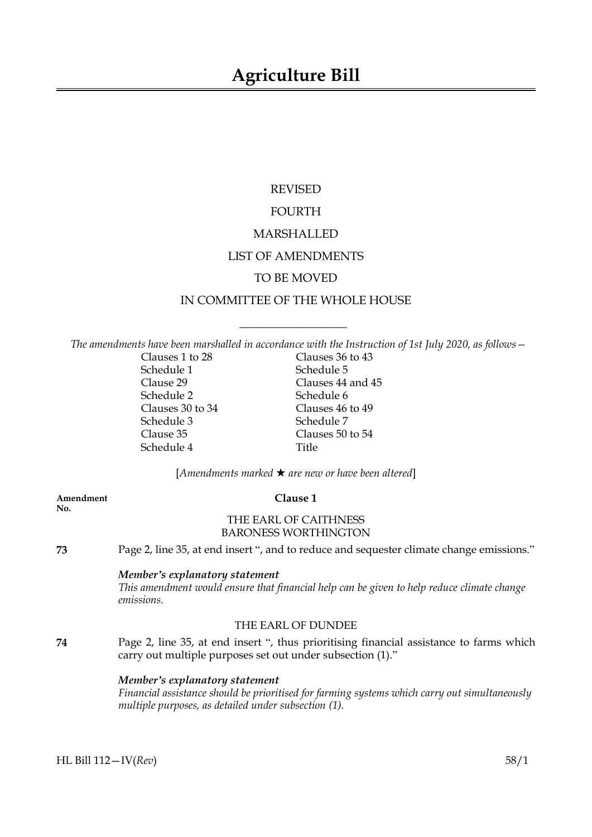# REVISED FOURTH MARSHALLED LIST OF AMENDMENTS TO BE MOVED IN COMMITTEE OF THE WHOLE HOUSE

 $\overline{\phantom{a}}$  , where  $\overline{\phantom{a}}$ 

|                 | The amendments have been marshalled in accordance with the Instruction of 1st July 2020, as follows - |
|-----------------|-------------------------------------------------------------------------------------------------------|
| Clauses 1 to 28 | Clauses 36 to 43                                                                                      |
| $C_1$ 1 1 1     | $0.1 \pm 1.1$                                                                                         |

Schedule 1 Schedule 5 Schedule 2<br>
Clauses 30 to 34<br>
Clauses 46 to 49 Clauses  $30$  to  $34$ Schedule 3 Schedule 7 Clause 35 Clauses 50 to 54 Schedule 4 Title

Clause 29 Clauses 44 and 45

[*Amendments marked* \* *are new or have been altered*]

| Amendment<br>No. | Clause 1                                                                                                                                                                                |  |  |
|------------------|-----------------------------------------------------------------------------------------------------------------------------------------------------------------------------------------|--|--|
|                  | THE EARL OF CAITHNESS<br><b>BARONESS WORTHINGTON</b>                                                                                                                                    |  |  |
| 73               | Page 2, line 35, at end insert ", and to reduce and sequester climate change emissions."                                                                                                |  |  |
|                  | Member's explanatory statement<br>This amendment would ensure that financial help can be given to help reduce climate change<br>emissions.                                              |  |  |
|                  | THE EARL OF DUNDEE                                                                                                                                                                      |  |  |
| 74               | Page 2, line 35, at end insert ", thus prioritising financial assistance to farms which<br>carry out multiple purposes set out under subsection (1)."                                   |  |  |
|                  | Member's explanatory statement<br>Financial assistance should be prioritised for farming systems which carry out simultaneously<br>multiple purposes, as detailed under subsection (1). |  |  |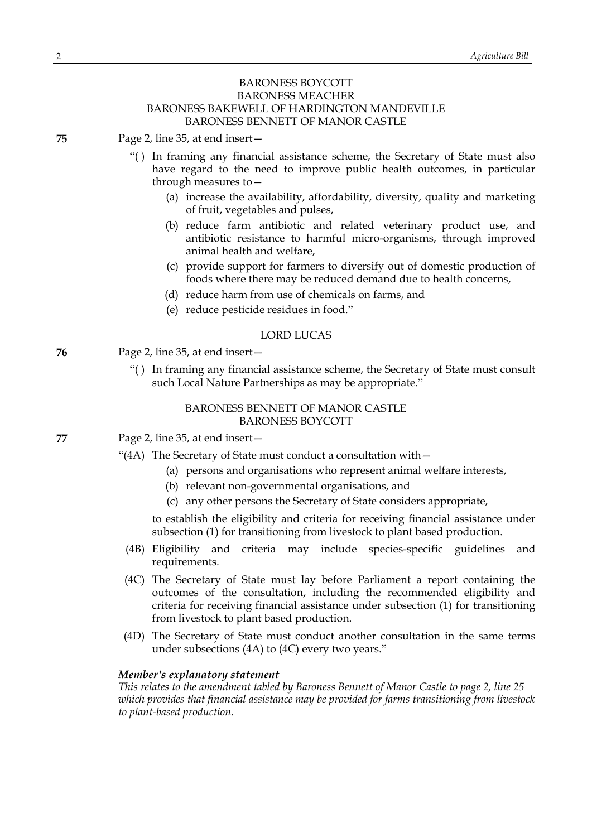# BARONESS BOYCOTT BARONESS MEACHER BARONESS BAKEWELL OF HARDINGTON MANDEVILLE BARONESS BENNETT OF MANOR CASTLE

**75** Page 2, line 35, at end insert—

- "( ) In framing any financial assistance scheme, the Secretary of State must also have regard to the need to improve public health outcomes, in particular through measures to—
	- (a) increase the availability, affordability, diversity, quality and marketing of fruit, vegetables and pulses,
	- (b) reduce farm antibiotic and related veterinary product use, and antibiotic resistance to harmful micro-organisms, through improved animal health and welfare,
	- (c) provide support for farmers to diversify out of domestic production of foods where there may be reduced demand due to health concerns,
	- (d) reduce harm from use of chemicals on farms, and
	- (e) reduce pesticide residues in food."

# LORD LUCAS

- **76** Page 2, line 35, at end insert—
	- "( ) In framing any financial assistance scheme, the Secretary of State must consult such Local Nature Partnerships as may be appropriate."

# BARONESS BENNETT OF MANOR CASTLE BARONESS BOYCOTT

- **77** Page 2, line 35, at end insert—
	- "(4A) The Secretary of State must conduct a consultation with—
		- (a) persons and organisations who represent animal welfare interests,
		- (b) relevant non-governmental organisations, and
		- (c) any other persons the Secretary of State considers appropriate,

to establish the eligibility and criteria for receiving financial assistance under subsection (1) for transitioning from livestock to plant based production.

- (4B) Eligibility and criteria may include species-specific guidelines and requirements.
- (4C) The Secretary of State must lay before Parliament a report containing the outcomes of the consultation, including the recommended eligibility and criteria for receiving financial assistance under subsection (1) for transitioning from livestock to plant based production.
- (4D) The Secretary of State must conduct another consultation in the same terms under subsections (4A) to (4C) every two years."

# *Member's explanatory statement*

*This relates to the amendment tabled by Baroness Bennett of Manor Castle to page 2, line 25 which provides that financial assistance may be provided for farms transitioning from livestock to plant-based production.*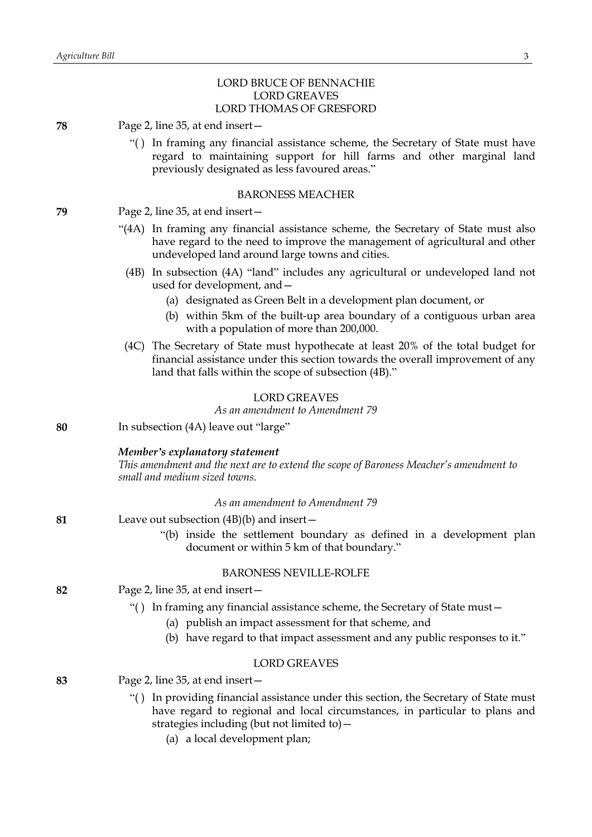# LORD BRUCE OF BENNACHIE LORD GREAVES LORD THOMAS OF GRESFORD

|    | LUKD THUMAS UF GKESFUKD                                                                                                                                                                                                      |
|----|------------------------------------------------------------------------------------------------------------------------------------------------------------------------------------------------------------------------------|
| 78 | Page 2, line 35, at end insert –                                                                                                                                                                                             |
|    | "() In framing any financial assistance scheme, the Secretary of State must have<br>regard to maintaining support for hill farms and other marginal land<br>previously designated as less favoured areas."                   |
|    | <b>BARONESS MEACHER</b>                                                                                                                                                                                                      |
| 79 | Page 2, line 35, at end insert –                                                                                                                                                                                             |
|    | "(4A) In framing any financial assistance scheme, the Secretary of State must also<br>have regard to the need to improve the management of agricultural and other<br>undeveloped land around large towns and cities.         |
|    | (4B) In subsection (4A) "land" includes any agricultural or undeveloped land not<br>used for development, and -                                                                                                              |
|    | (a) designated as Green Belt in a development plan document, or<br>(b) within 5km of the built-up area boundary of a contiguous urban area<br>with a population of more than 200,000.                                        |
|    | (4C) The Secretary of State must hypothecate at least 20% of the total budget for<br>financial assistance under this section towards the overall improvement of any<br>land that falls within the scope of subsection (4B)." |
|    | <b>LORD GREAVES</b><br>As an amendment to Amendment 79                                                                                                                                                                       |
| 80 | In subsection (4A) leave out "large"                                                                                                                                                                                         |
|    | Member's explanatory statement<br>This amendment and the next are to extend the scope of Baroness Meacher's amendment to<br>small and medium sized towns.                                                                    |
|    | As an amendment to Amendment 79                                                                                                                                                                                              |
| 81 | Leave out subsection $(4B)(b)$ and insert –                                                                                                                                                                                  |
|    | "(b) inside the settlement boundary as defined in a development plan<br>document or within 5 km of that boundary."                                                                                                           |
|    | <b>BARONESS NEVILLE-ROLFE</b>                                                                                                                                                                                                |
| 82 | Page 2, line 35, at end insert –                                                                                                                                                                                             |
|    | "() In framing any financial assistance scheme, the Secretary of State must –<br>(a) publish an impact assessment for that scheme, and                                                                                       |
|    | (b) have regard to that impact assessment and any public responses to it."                                                                                                                                                   |
|    | <b>LORD GREAVES</b>                                                                                                                                                                                                          |
| 83 | Page 2, line 35, at end insert -                                                                                                                                                                                             |
|    | "() In providing financial assistance under this section, the Secretary of State must<br>have regard to regional and local circumstances, in particular to plans and<br>strategies including (but not limited to) -          |
|    | (a) a local development plan;                                                                                                                                                                                                |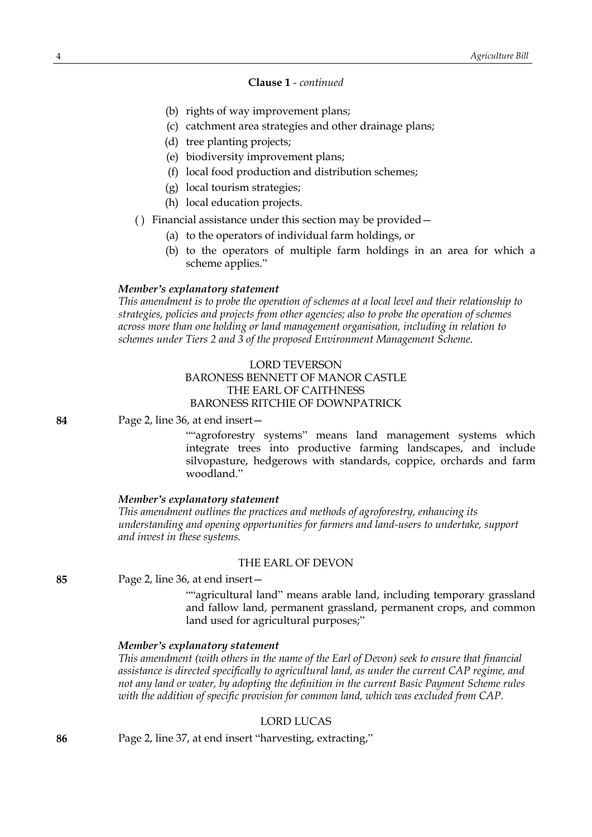# **Clause 1** *- continued*

- (b) rights of way improvement plans;
- (c) catchment area strategies and other drainage plans;
- (d) tree planting projects;
- (e) biodiversity improvement plans;
- (f) local food production and distribution schemes;
- (g) local tourism strategies;
- (h) local education projects.
- ( ) Financial assistance under this section may be provided—
	- (a) to the operators of individual farm holdings, or
	- (b) to the operators of multiple farm holdings in an area for which a scheme applies."

#### *Member's explanatory statement*

*This amendment is to probe the operation of schemes at a local level and their relationship to strategies, policies and projects from other agencies; also to probe the operation of schemes across more than one holding or land management organisation, including in relation to schemes under Tiers 2 and 3 of the proposed Environment Management Scheme.*

# LORD TEVERSON

BARONESS BENNETT OF MANOR CASTLE THE EARL OF CAITHNESS BARONESS RITCHIE OF DOWNPATRICK

**84** Page 2, line 36, at end insert—

""agroforestry systems" means land management systems which integrate trees into productive farming landscapes, and include silvopasture, hedgerows with standards, coppice, orchards and farm woodland."

### *Member's explanatory statement*

*This amendment outlines the practices and methods of agroforestry, enhancing its understanding and opening opportunities for farmers and land-users to undertake, support and invest in these systems.*

### THE EARL OF DEVON

**85** Page 2, line 36, at end insert—

""agricultural land" means arable land, including temporary grassland and fallow land, permanent grassland, permanent crops, and common land used for agricultural purposes;"

### *Member's explanatory statement*

*This amendment (with others in the name of the Earl of Devon) seek to ensure that financial assistance is directed specifically to agricultural land, as under the current CAP regime, and not any land or water, by adopting the definition in the current Basic Payment Scheme rules with the addition of specific provision for common land, which was excluded from CAP.*

# LORD LUCAS

**86** Page 2, line 37, at end insert "harvesting, extracting,"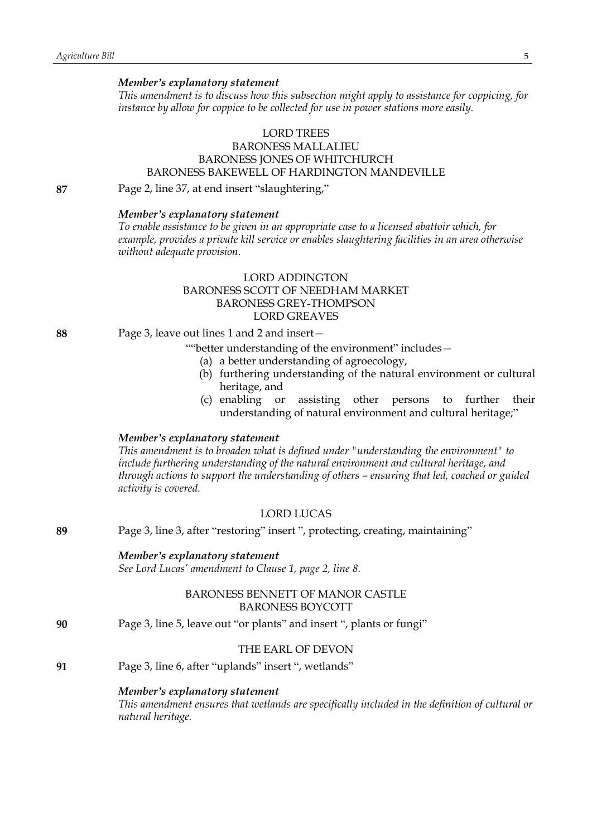*This amendment is to discuss how this subsection might apply to assistance for coppicing, for instance by allow for coppice to be collected for use in power stations more easily.*

# LORD TREES BARONESS MALLALIEU BARONESS JONES OF WHITCHURCH BARONESS BAKEWELL OF HARDINGTON MANDEVILLE

**87** Page 2, line 37, at end insert "slaughtering,"

# *Member's explanatory statement*

*To enable assistance to be given in an appropriate case to a licensed abattoir which, for example, provides a private kill service or enables slaughtering facilities in an area otherwise without adequate provision.*

# LORD ADDINGTON BARONESS SCOTT OF NEEDHAM MARKET BARONESS GREY-THOMPSON LORD GREAVES

**88** Page 3, leave out lines 1 and 2 and insert—

""better understanding of the environment" includes—

- (a) a better understanding of agroecology,
- (b) furthering understanding of the natural environment or cultural heritage, and
- (c) enabling or assisting other persons to further their understanding of natural environment and cultural heritage;"

#### *Member's explanatory statement*

*This amendment is to broaden what is defined under "understanding the environment" to include furthering understanding of the natural environment and cultural heritage, and through actions to support the understanding of others – ensuring that led, coached or guided activity is covered.*

# LORD LUCAS

| 89 | Page 3, line 3, after "restoring" insert ", protecting, creating, maintaining" |  |  |
|----|--------------------------------------------------------------------------------|--|--|
|    |                                                                                |  |  |

*Member's explanatory statement See Lord Lucas' amendment to Clause 1, page 2, line 8.*

# BARONESS BENNETT OF MANOR CASTLE BARONESS BOYCOTT

**90** Page 3, line 5, leave out "or plants" and insert ", plants or fungi"

# THE EARL OF DEVON

**91** Page 3, line 6, after "uplands" insert ", wetlands"

# *Member's explanatory statement*

*This amendment ensures that wetlands are specifically included in the definition of cultural or natural heritage.*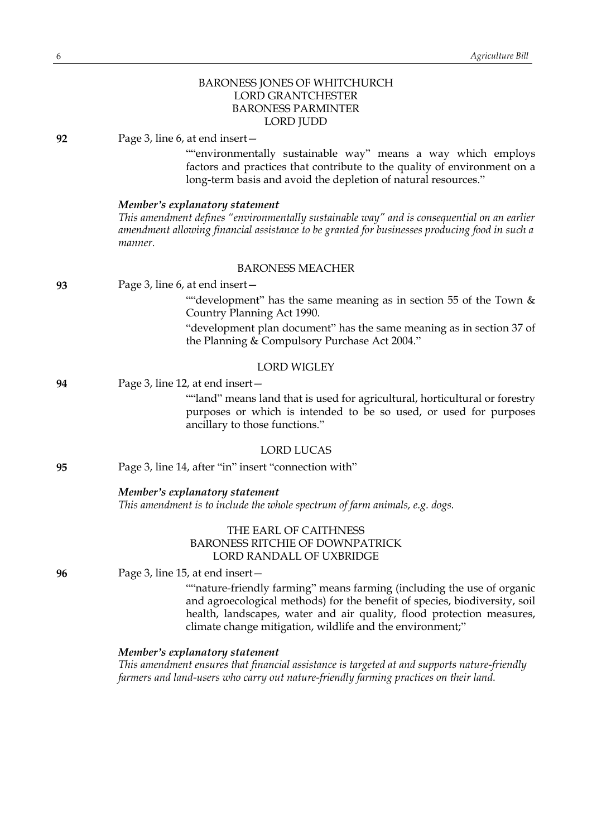|    | <b>BARONESS JONES OF WHITCHURCH</b><br><b>LORD GRANTCHESTER</b><br><b>BARONESS PARMINTER</b><br><b>LORD JUDD</b>                                                                                                                                                                           |
|----|--------------------------------------------------------------------------------------------------------------------------------------------------------------------------------------------------------------------------------------------------------------------------------------------|
| 92 | Page 3, line 6, at end insert –<br>""environmentally sustainable way" means a way which employs<br>factors and practices that contribute to the quality of environment on a<br>long-term basis and avoid the depletion of natural resources."                                              |
|    | Member's explanatory statement<br>This amendment defines "environmentally sustainable way" and is consequential on an earlier<br>amendment allowing financial assistance to be granted for businesses producing food in such a<br>manner.                                                  |
|    | <b>BARONESS MEACHER</b>                                                                                                                                                                                                                                                                    |
| 93 | Page 3, line 6, at end insert-                                                                                                                                                                                                                                                             |
|    | ""development" has the same meaning as in section 55 of the Town &<br>Country Planning Act 1990.                                                                                                                                                                                           |
|    | "development plan document" has the same meaning as in section 37 of<br>the Planning & Compulsory Purchase Act 2004."                                                                                                                                                                      |
|    | <b>LORD WIGLEY</b>                                                                                                                                                                                                                                                                         |
| 94 | Page 3, line 12, at end insert -                                                                                                                                                                                                                                                           |
|    | ""land" means land that is used for agricultural, horticultural or forestry<br>purposes or which is intended to be so used, or used for purposes<br>ancillary to those functions."                                                                                                         |
|    | <b>LORD LUCAS</b>                                                                                                                                                                                                                                                                          |
| 95 | Page 3, line 14, after "in" insert "connection with"                                                                                                                                                                                                                                       |
|    | Member's explanatory statement<br>This amendment is to include the whole spectrum of farm animals, e.g. dogs.                                                                                                                                                                              |
|    | THE EARL OF CAITHNESS<br><b>BARONESS RITCHIE OF DOWNPATRICK</b><br><b>LORD RANDALL OF UXBRIDGE</b>                                                                                                                                                                                         |
| 96 | Page 3, line 15, at end insert -                                                                                                                                                                                                                                                           |
|    | ""nature-friendly farming" means farming (including the use of organic<br>and agroecological methods) for the benefit of species, biodiversity, soil<br>health, landscapes, water and air quality, flood protection measures,<br>climate change mitigation, wildlife and the environment;" |
|    | Member's explanatory statement                                                                                                                                                                                                                                                             |
|    | This amendment ensures that financial assistance is targeted at and supports nature-friendly                                                                                                                                                                                               |

*farmers and land-users who carry out nature-friendly farming practices on their land.*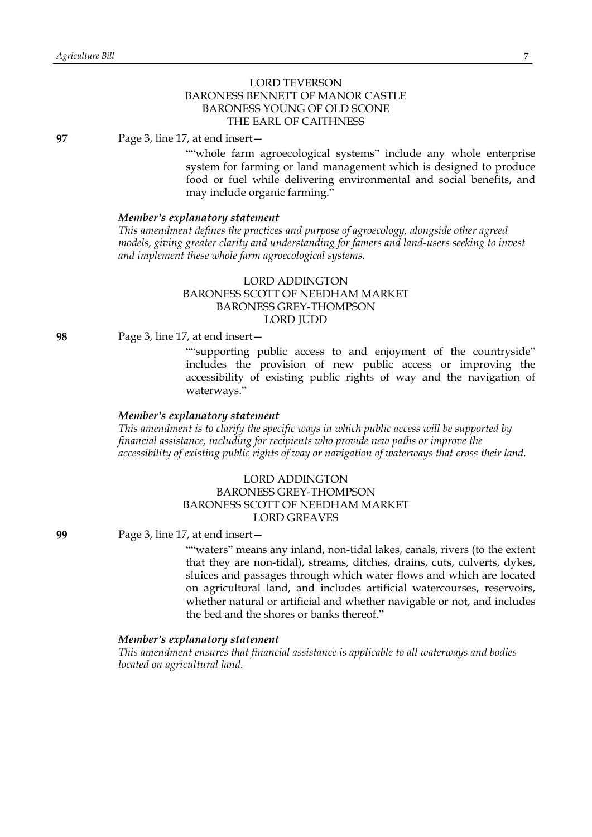# LORD TEVERSON BARONESS BENNETT OF MANOR CASTLE BARONESS YOUNG OF OLD SCONE THE EARL OF CAITHNESS

**97** Page 3, line 17, at end insert—

""whole farm agroecological systems" include any whole enterprise system for farming or land management which is designed to produce food or fuel while delivering environmental and social benefits, and may include organic farming."

#### *Member's explanatory statement*

*This amendment defines the practices and purpose of agroecology, alongside other agreed models, giving greater clarity and understanding for famers and land-users seeking to invest and implement these whole farm agroecological systems.*

# LORD ADDINGTON BARONESS SCOTT OF NEEDHAM MARKET BARONESS GREY-THOMPSON LORD JUDD

#### **98** Page 3, line 17, at end insert—

""supporting public access to and enjoyment of the countryside" includes the provision of new public access or improving the accessibility of existing public rights of way and the navigation of waterways."

# *Member's explanatory statement*

*This amendment is to clarify the specific ways in which public access will be supported by financial assistance, including for recipients who provide new paths or improve the accessibility of existing public rights of way or navigation of waterways that cross their land.*

# LORD ADDINGTON BARONESS GREY-THOMPSON BARONESS SCOTT OF NEEDHAM MARKET LORD GREAVES

**99** Page 3, line 17, at end insert—

""waters" means any inland, non-tidal lakes, canals, rivers (to the extent that they are non-tidal), streams, ditches, drains, cuts, culverts, dykes, sluices and passages through which water flows and which are located on agricultural land, and includes artificial watercourses, reservoirs, whether natural or artificial and whether navigable or not, and includes the bed and the shores or banks thereof."

### *Member's explanatory statement*

*This amendment ensures that financial assistance is applicable to all waterways and bodies located on agricultural land.*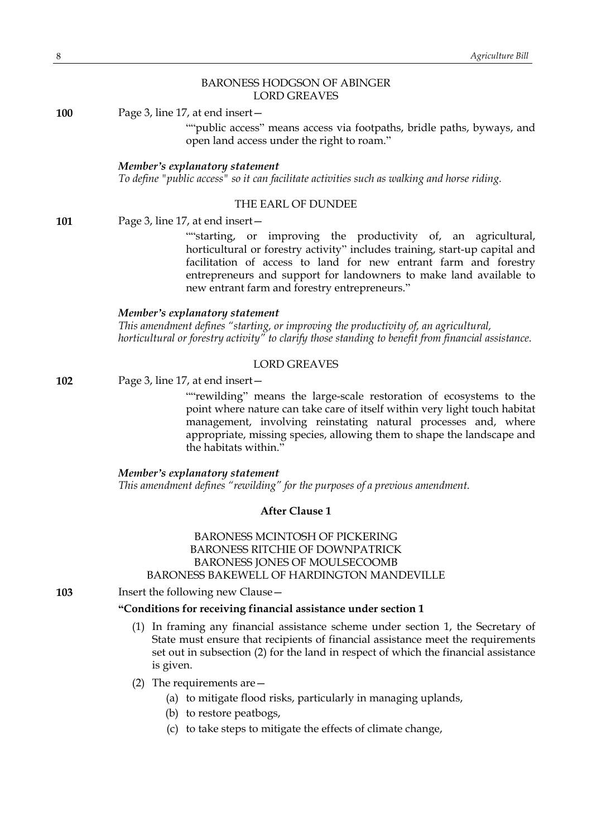# BARONESS HODGSON OF ABINGER LORD GREAVES

**100** Page 3, line 17, at end insert—

""public access" means access via footpaths, bridle paths, byways, and open land access under the right to roam."

#### *Member's explanatory statement*

*To define "public access" so it can facilitate activities such as walking and horse riding.*

# THE EARL OF DUNDEE

**101** Page 3, line 17, at end insert—

""starting, or improving the productivity of, an agricultural, horticultural or forestry activity" includes training, start-up capital and facilitation of access to land for new entrant farm and forestry entrepreneurs and support for landowners to make land available to new entrant farm and forestry entrepreneurs."

#### *Member's explanatory statement*

*This amendment defines "starting, or improving the productivity of, an agricultural, horticultural or forestry activity" to clarify those standing to benefit from financial assistance.*

# LORD GREAVES

**102** Page 3, line 17, at end insert—

""rewilding" means the large-scale restoration of ecosystems to the point where nature can take care of itself within very light touch habitat management, involving reinstating natural processes and, where appropriate, missing species, allowing them to shape the landscape and the habitats within'

*Member's explanatory statement This amendment defines "rewilding" for the purposes of a previous amendment.*

### **After Clause 1**

# BARONESS MCINTOSH OF PICKERING BARONESS RITCHIE OF DOWNPATRICK BARONESS JONES OF MOULSECOOMB BARONESS BAKEWELL OF HARDINGTON MANDEVILLE

**103** Insert the following new Clause—

### **"Conditions for receiving financial assistance under section 1**

- (1) In framing any financial assistance scheme under section 1, the Secretary of State must ensure that recipients of financial assistance meet the requirements set out in subsection (2) for the land in respect of which the financial assistance is given.
- (2) The requirements are—
	- (a) to mitigate flood risks, particularly in managing uplands,
	- (b) to restore peatbogs,
	- (c) to take steps to mitigate the effects of climate change,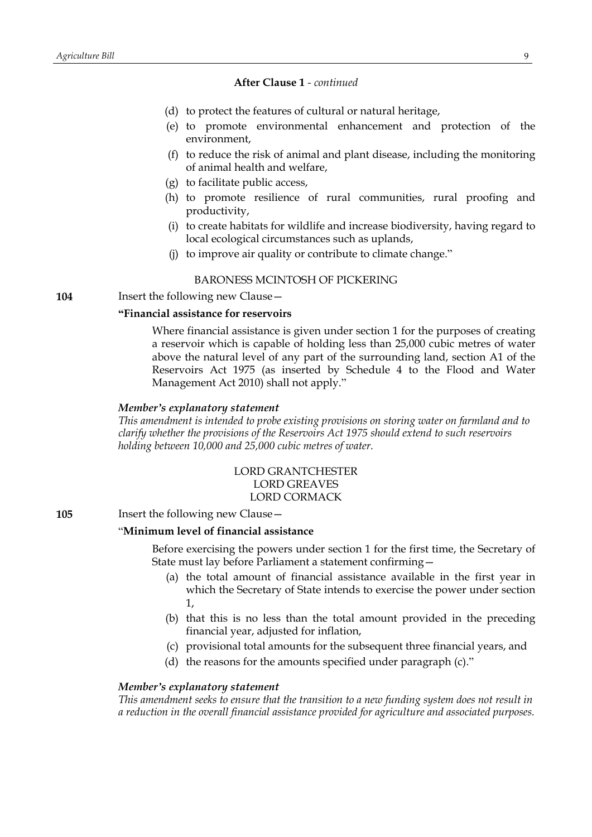# **After Clause 1** *- continued*

- (d) to protect the features of cultural or natural heritage,
- (e) to promote environmental enhancement and protection of the environment,
- (f) to reduce the risk of animal and plant disease, including the monitoring of animal health and welfare,
- (g) to facilitate public access,
- (h) to promote resilience of rural communities, rural proofing and productivity,
- (i) to create habitats for wildlife and increase biodiversity, having regard to local ecological circumstances such as uplands,
- (j) to improve air quality or contribute to climate change."

# BARONESS MCINTOSH OF PICKERING

**104** Insert the following new Clause -

# **"Financial assistance for reservoirs**

Where financial assistance is given under section 1 for the purposes of creating a reservoir which is capable of holding less than 25,000 cubic metres of water above the natural level of any part of the surrounding land, section A1 of the Reservoirs Act 1975 (as inserted by Schedule 4 to the Flood and Water Management Act 2010) shall not apply."

# *Member's explanatory statement*

*This amendment is intended to probe existing provisions on storing water on farmland and to clarify whether the provisions of the Reservoirs Act 1975 should extend to such reservoirs holding between 10,000 and 25,000 cubic metres of water.*

# LORD GRANTCHESTER LORD GREAVES LORD CORMACK

**105** Insert the following new Clause—

# "**Minimum level of financial assistance**

Before exercising the powers under section 1 for the first time, the Secretary of State must lay before Parliament a statement confirming—

- (a) the total amount of financial assistance available in the first year in which the Secretary of State intends to exercise the power under section 1,
- (b) that this is no less than the total amount provided in the preceding financial year, adjusted for inflation,
- (c) provisional total amounts for the subsequent three financial years, and
- (d) the reasons for the amounts specified under paragraph (c)."

# *Member's explanatory statement*

*This amendment seeks to ensure that the transition to a new funding system does not result in a reduction in the overall financial assistance provided for agriculture and associated purposes.*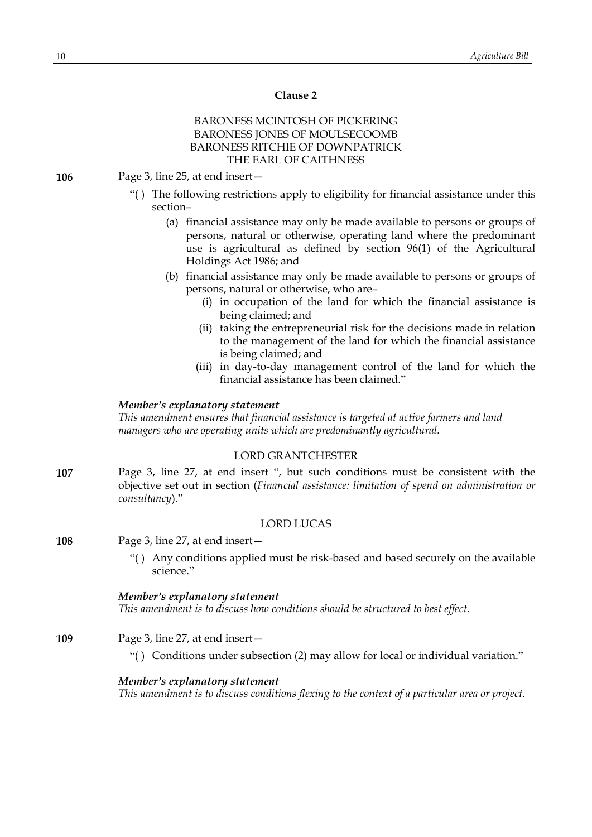# **Clause 2**

# BARONESS MCINTOSH OF PICKERING BARONESS JONES OF MOULSECOOMB BARONESS RITCHIE OF DOWNPATRICK THE EARL OF CAITHNESS

- **106** Page 3, line 25, at end insert—
	- "( ) The following restrictions apply to eligibility for financial assistance under this section–
		- (a) financial assistance may only be made available to persons or groups of persons, natural or otherwise, operating land where the predominant use is agricultural as defined by section 96(1) of the Agricultural Holdings Act 1986; and
		- (b) financial assistance may only be made available to persons or groups of persons, natural or otherwise, who are–
			- (i) in occupation of the land for which the financial assistance is being claimed; and
			- (ii) taking the entrepreneurial risk for the decisions made in relation to the management of the land for which the financial assistance is being claimed; and
			- (iii) in day-to-day management control of the land for which the financial assistance has been claimed."

### *Member's explanatory statement*

*This amendment ensures that financial assistance is targeted at active farmers and land managers who are operating units which are predominantly agricultural.*

# LORD GRANTCHESTER

**107** Page 3, line 27, at end insert ", but such conditions must be consistent with the objective set out in section (*Financial assistance: limitation of spend on administration or consultancy*)."

#### LORD LUCAS

| <b>108</b> | Page 3, line 27, at end insert- |
|------------|---------------------------------|
|------------|---------------------------------|

"( ) Any conditions applied must be risk-based and based securely on the available science."

*Member's explanatory statement This amendment is to discuss how conditions should be structured to best effect.*

- **109** Page 3, line 27, at end insert—
	- "( ) Conditions under subsection (2) may allow for local or individual variation."

# *Member's explanatory statement*

*This amendment is to discuss conditions flexing to the context of a particular area or project.*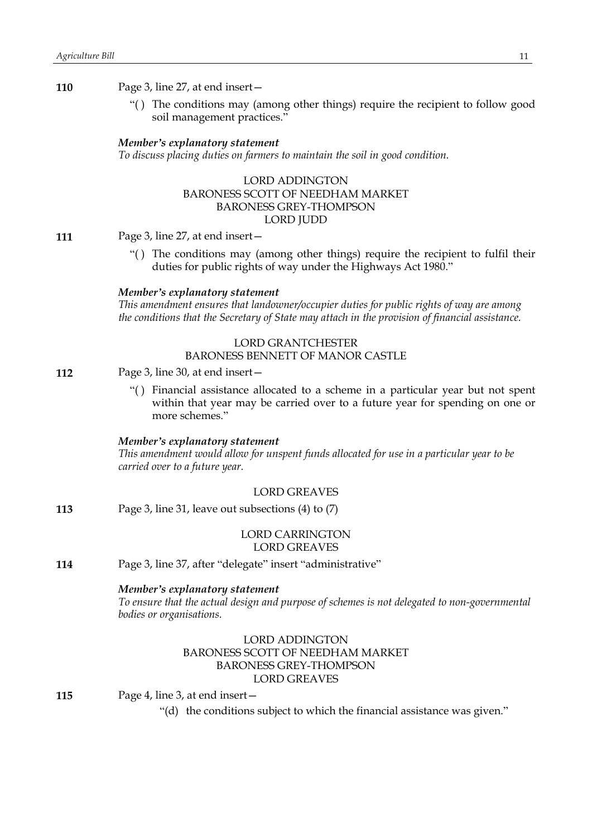- **110** Page 3, line 27, at end insert—
	- "( ) The conditions may (among other things) require the recipient to follow good soil management practices."

*To discuss placing duties on farmers to maintain the soil in good condition.*

# LORD ADDINGTON BARONESS SCOTT OF NEEDHAM MARKET BARONESS GREY-THOMPSON LORD JUDD

**111** Page 3, line 27, at end insert—

"( ) The conditions may (among other things) require the recipient to fulfil their duties for public rights of way under the Highways Act 1980."

# *Member's explanatory statement*

*This amendment ensures that landowner/occupier duties for public rights of way are among the conditions that the Secretary of State may attach in the provision of financial assistance.*

# LORD GRANTCHESTER BARONESS BENNETT OF MANOR CASTLE

- **112** Page 3, line 30, at end insert—
	- "( ) Financial assistance allocated to a scheme in a particular year but not spent within that year may be carried over to a future year for spending on one or more schemes."

### *Member's explanatory statement*

*This amendment would allow for unspent funds allocated for use in a particular year to be carried over to a future year.*

# LORD GREAVES

**113** Page 3, line 31, leave out subsections (4) to (7)

# LORD CARRINGTON LORD GREAVES

**114** Page 3, line 37, after "delegate" insert "administrative"

# *Member's explanatory statement*

*To ensure that the actual design and purpose of schemes is not delegated to non-governmental bodies or organisations.*

# LORD ADDINGTON BARONESS SCOTT OF NEEDHAM MARKET BARONESS GREY-THOMPSON LORD GREAVES

**115** Page 4, line 3, at end insert—

"(d) the conditions subject to which the financial assistance was given."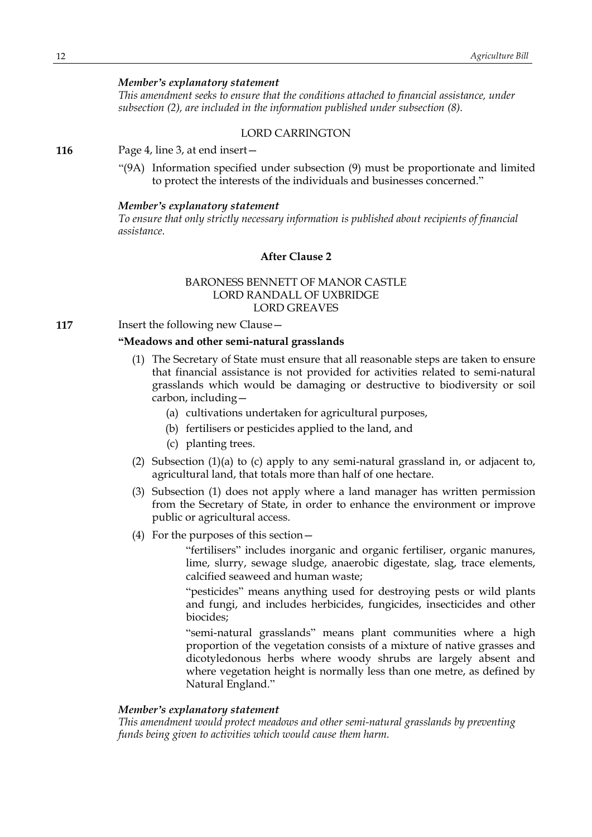*This amendment seeks to ensure that the conditions attached to financial assistance, under subsection (2), are included in the information published under subsection (8).*

#### LORD CARRINGTON

### **116** Page 4, line 3, at end insert—

"(9A) Information specified under subsection (9) must be proportionate and limited to protect the interests of the individuals and businesses concerned."

### *Member's explanatory statement*

*To ensure that only strictly necessary information is published about recipients of financial assistance.*

# **After Clause 2**

# BARONESS BENNETT OF MANOR CASTLE LORD RANDALL OF UXBRIDGE LORD GREAVES

**117** Insert the following new Clause -

# **"Meadows and other semi-natural grasslands**

- (1) The Secretary of State must ensure that all reasonable steps are taken to ensure that financial assistance is not provided for activities related to semi-natural grasslands which would be damaging or destructive to biodiversity or soil carbon, including—
	- (a) cultivations undertaken for agricultural purposes,
	- (b) fertilisers or pesticides applied to the land, and
	- (c) planting trees.
- (2) Subsection (1)(a) to (c) apply to any semi-natural grassland in, or adjacent to, agricultural land, that totals more than half of one hectare.
- (3) Subsection (1) does not apply where a land manager has written permission from the Secretary of State, in order to enhance the environment or improve public or agricultural access.
- (4) For the purposes of this section—

"fertilisers" includes inorganic and organic fertiliser, organic manures, lime, slurry, sewage sludge, anaerobic digestate, slag, trace elements, calcified seaweed and human waste;

"pesticides" means anything used for destroying pests or wild plants and fungi, and includes herbicides, fungicides, insecticides and other biocides;

"semi-natural grasslands" means plant communities where a high proportion of the vegetation consists of a mixture of native grasses and dicotyledonous herbs where woody shrubs are largely absent and where vegetation height is normally less than one metre, as defined by Natural England."

### *Member's explanatory statement*

*This amendment would protect meadows and other semi-natural grasslands by preventing funds being given to activities which would cause them harm.*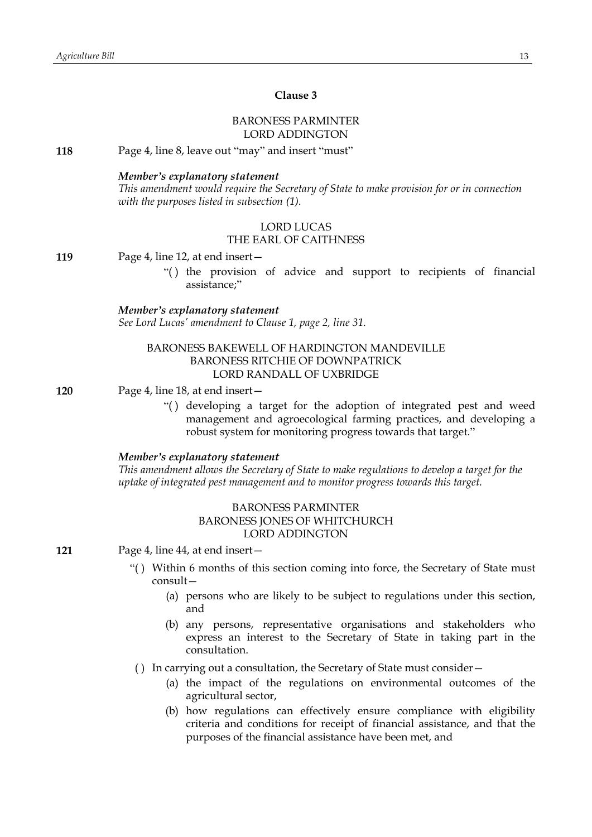# **Clause 3**

# BARONESS PARMINTER LORD ADDINGTON

**118** Page 4, line 8, leave out "may" and insert "must"

### *Member's explanatory statement*

*This amendment would require the Secretary of State to make provision for or in connection with the purposes listed in subsection (1).*

# LORD LUCAS

#### THE EARL OF CAITHNESS

**119** Page 4, line 12, at end insert—

"( ) the provision of advice and support to recipients of financial assistance;"

*Member's explanatory statement*

*See Lord Lucas' amendment to Clause 1, page 2, line 31.*

# BARONESS BAKEWELL OF HARDINGTON MANDEVILLE BARONESS RITCHIE OF DOWNPATRICK LORD RANDALL OF UXBRIDGE

**120** Page 4, line 18, at end insert—

"( ) developing a target for the adoption of integrated pest and weed management and agroecological farming practices, and developing a robust system for monitoring progress towards that target."

### *Member's explanatory statement*

*This amendment allows the Secretary of State to make regulations to develop a target for the uptake of integrated pest management and to monitor progress towards this target.*

# BARONESS PARMINTER BARONESS JONES OF WHITCHURCH LORD ADDINGTON

- **121** Page 4, line 44, at end insert—
	- "( ) Within 6 months of this section coming into force, the Secretary of State must consult—
		- (a) persons who are likely to be subject to regulations under this section, and
		- (b) any persons, representative organisations and stakeholders who express an interest to the Secretary of State in taking part in the consultation.

( ) In carrying out a consultation, the Secretary of State must consider—

- (a) the impact of the regulations on environmental outcomes of the agricultural sector,
- (b) how regulations can effectively ensure compliance with eligibility criteria and conditions for receipt of financial assistance, and that the purposes of the financial assistance have been met, and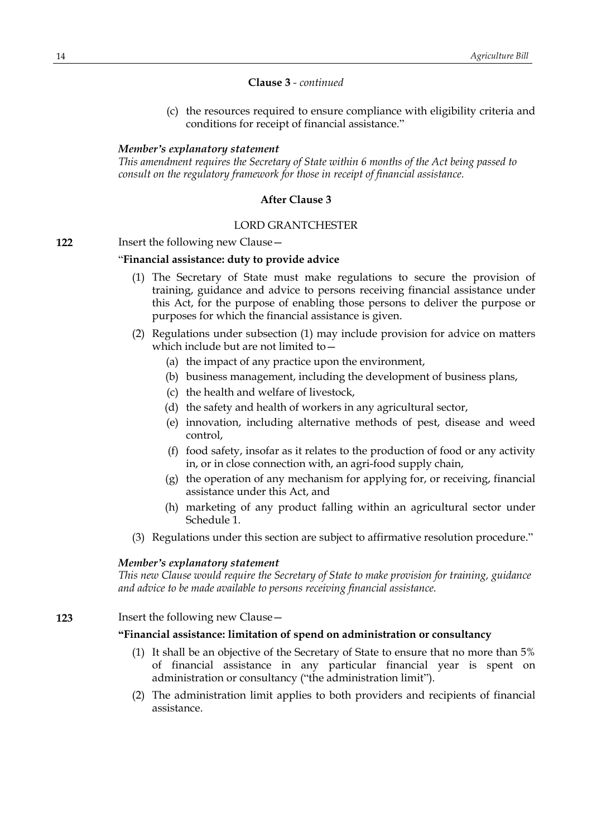#### **Clause 3** *- continued*

(c) the resources required to ensure compliance with eligibility criteria and conditions for receipt of financial assistance."

### *Member's explanatory statement*

*This amendment requires the Secretary of State within 6 months of the Act being passed to consult on the regulatory framework for those in receipt of financial assistance.*

### **After Clause 3**

# LORD GRANTCHESTER

### **122** Insert the following new Clause—

#### "**Financial assistance: duty to provide advice**

- (1) The Secretary of State must make regulations to secure the provision of training, guidance and advice to persons receiving financial assistance under this Act, for the purpose of enabling those persons to deliver the purpose or purposes for which the financial assistance is given.
- (2) Regulations under subsection (1) may include provision for advice on matters which include but are not limited to—
	- (a) the impact of any practice upon the environment,
	- (b) business management, including the development of business plans,
	- (c) the health and welfare of livestock,
	- (d) the safety and health of workers in any agricultural sector,
	- (e) innovation, including alternative methods of pest, disease and weed control,
	- (f) food safety, insofar as it relates to the production of food or any activity in, or in close connection with, an agri-food supply chain,
	- (g) the operation of any mechanism for applying for, or receiving, financial assistance under this Act, and
	- (h) marketing of any product falling within an agricultural sector under Schedule 1.
- (3) Regulations under this section are subject to affirmative resolution procedure."

#### *Member's explanatory statement*

*This new Clause would require the Secretary of State to make provision for training, guidance and advice to be made available to persons receiving financial assistance.*

# **123** Insert the following new Clause—

#### **"Financial assistance: limitation of spend on administration or consultancy**

- (1) It shall be an objective of the Secretary of State to ensure that no more than 5% of financial assistance in any particular financial year is spent on administration or consultancy ("the administration limit").
- (2) The administration limit applies to both providers and recipients of financial assistance.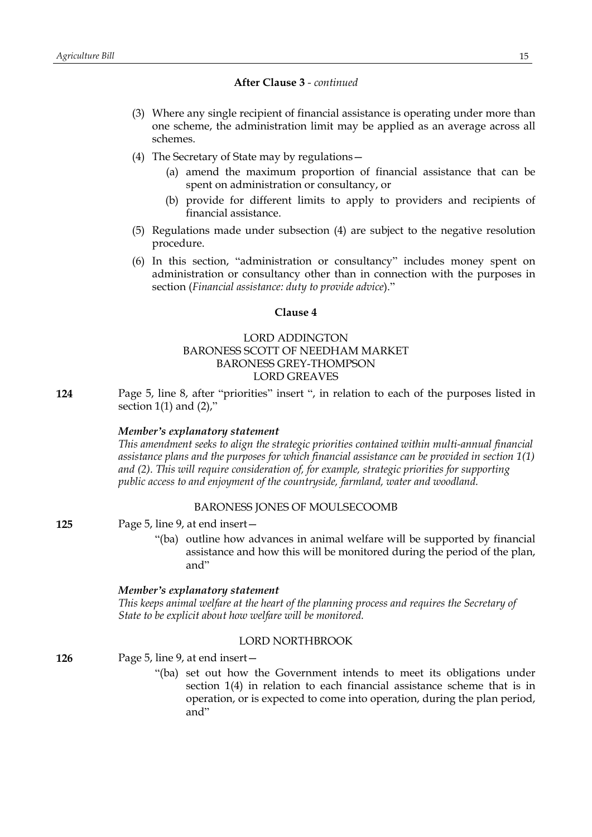### **After Clause 3** *- continued*

- (3) Where any single recipient of financial assistance is operating under more than one scheme, the administration limit may be applied as an average across all schemes.
- (4) The Secretary of State may by regulations—
	- (a) amend the maximum proportion of financial assistance that can be spent on administration or consultancy, or
	- (b) provide for different limits to apply to providers and recipients of financial assistance.
- (5) Regulations made under subsection (4) are subject to the negative resolution procedure.
- (6) In this section, "administration or consultancy" includes money spent on administration or consultancy other than in connection with the purposes in section (*Financial assistance: duty to provide advice*)."

#### **Clause 4**

# LORD ADDINGTON BARONESS SCOTT OF NEEDHAM MARKET BARONESS GREY-THOMPSON LORD GREAVES

**124** Page 5, line 8, after "priorities" insert ", in relation to each of the purposes listed in section  $1(1)$  and  $(2)$ ,"

### *Member's explanatory statement*

*This amendment seeks to align the strategic priorities contained within multi-annual financial assistance plans and the purposes for which financial assistance can be provided in section 1(1) and (2). This will require consideration of, for example, strategic priorities for supporting public access to and enjoyment of the countryside, farmland, water and woodland.*

### BARONESS JONES OF MOULSECOOMB

- **125** Page 5, line 9, at end insert—
	- "(ba) outline how advances in animal welfare will be supported by financial assistance and how this will be monitored during the period of the plan, and"

#### *Member's explanatory statement*

*This keeps animal welfare at the heart of the planning process and requires the Secretary of State to be explicit about how welfare will be monitored.*

### LORD NORTHBROOK

**126** Page 5, line 9, at end insert—

"(ba) set out how the Government intends to meet its obligations under section 1(4) in relation to each financial assistance scheme that is in operation, or is expected to come into operation, during the plan period, and"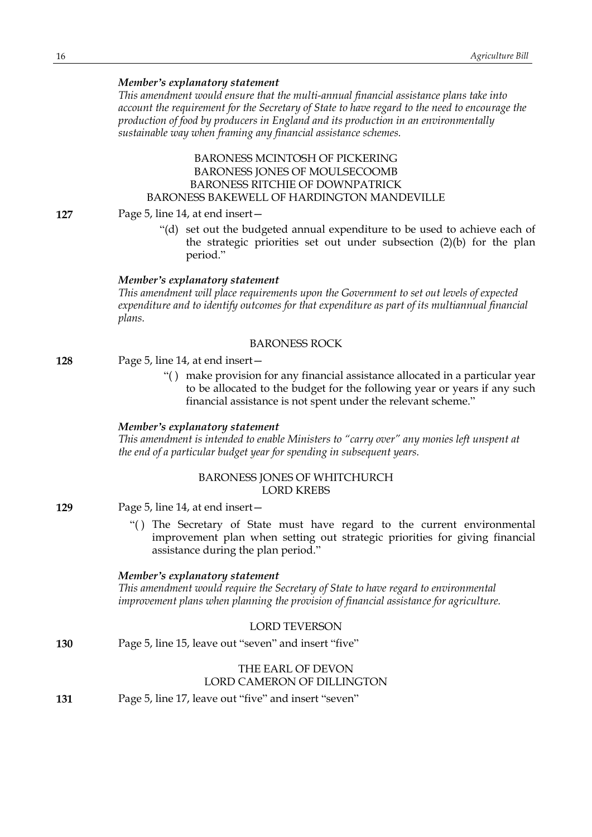*This amendment would ensure that the multi-annual financial assistance plans take into account the requirement for the Secretary of State to have regard to the need to encourage the production of food by producers in England and its production in an environmentally sustainable way when framing any financial assistance schemes.*

# BARONESS MCINTOSH OF PICKERING BARONESS JONES OF MOULSECOOMB BARONESS RITCHIE OF DOWNPATRICK BARONESS BAKEWELL OF HARDINGTON MANDEVILLE

#### **127** Page 5, line 14, at end insert—

"(d) set out the budgeted annual expenditure to be used to achieve each of the strategic priorities set out under subsection (2)(b) for the plan period."

### *Member's explanatory statement*

*This amendment will place requirements upon the Government to set out levels of expected expenditure and to identify outcomes for that expenditure as part of its multiannual financial plans.*

# BARONESS ROCK

### **128** Page 5, line 14, at end insert—

"( ) make provision for any financial assistance allocated in a particular year to be allocated to the budget for the following year or years if any such financial assistance is not spent under the relevant scheme."

#### *Member's explanatory statement*

*This amendment is intended to enable Ministers to "carry over" any monies left unspent at the end of a particular budget year for spending in subsequent years.*

### BARONESS JONES OF WHITCHURCH LORD KREBS

**129** Page 5, line 14, at end insert—

"() The Secretary of State must have regard to the current environmental improvement plan when setting out strategic priorities for giving financial assistance during the plan period."

### *Member's explanatory statement*

*This amendment would require the Secretary of State to have regard to environmental improvement plans when planning the provision of financial assistance for agriculture.*

# LORD TEVERSON

**130** Page 5, line 15, leave out "seven" and insert "five"

# THE EARL OF DEVON LORD CAMERON OF DILLINGTON

**131** Page 5, line 17, leave out "five" and insert "seven"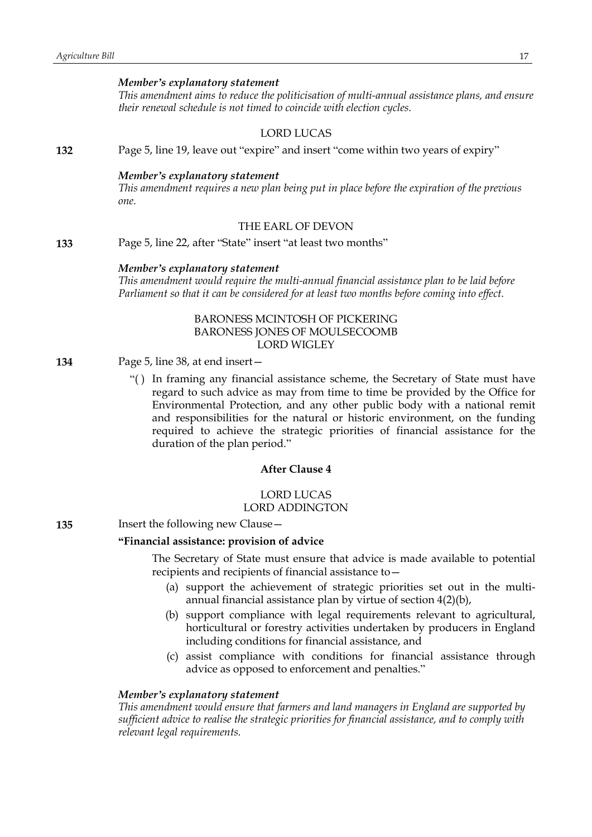*This amendment aims to reduce the politicisation of multi-annual assistance plans, and ensure their renewal schedule is not timed to coincide with election cycles.*

### LORD LUCAS

**132** Page 5, line 19, leave out "expire" and insert "come within two years of expiry"

#### *Member's explanatory statement*

*This amendment requires a new plan being put in place before the expiration of the previous one.*

# THE EARL OF DEVON

**133** Page 5, line 22, after "State" insert "at least two months"

#### *Member's explanatory statement*

*This amendment would require the multi-annual financial assistance plan to be laid before Parliament so that it can be considered for at least two months before coming into effect.*

# BARONESS MCINTOSH OF PICKERING BARONESS JONES OF MOULSECOOMB LORD WIGLEY

- **134** Page 5, line 38, at end insert—
	- "( ) In framing any financial assistance scheme, the Secretary of State must have regard to such advice as may from time to time be provided by the Office for Environmental Protection, and any other public body with a national remit and responsibilities for the natural or historic environment, on the funding required to achieve the strategic priorities of financial assistance for the duration of the plan period."

# **After Clause 4**

# LORD LUCAS LORD ADDINGTON

#### **135** Insert the following new Clause—

#### **"Financial assistance: provision of advice**

The Secretary of State must ensure that advice is made available to potential recipients and recipients of financial assistance to—

- (a) support the achievement of strategic priorities set out in the multiannual financial assistance plan by virtue of section 4(2)(b),
- (b) support compliance with legal requirements relevant to agricultural, horticultural or forestry activities undertaken by producers in England including conditions for financial assistance, and
- (c) assist compliance with conditions for financial assistance through advice as opposed to enforcement and penalties."

# *Member's explanatory statement*

*This amendment would ensure that farmers and land managers in England are supported by sufficient advice to realise the strategic priorities for financial assistance, and to comply with relevant legal requirements.*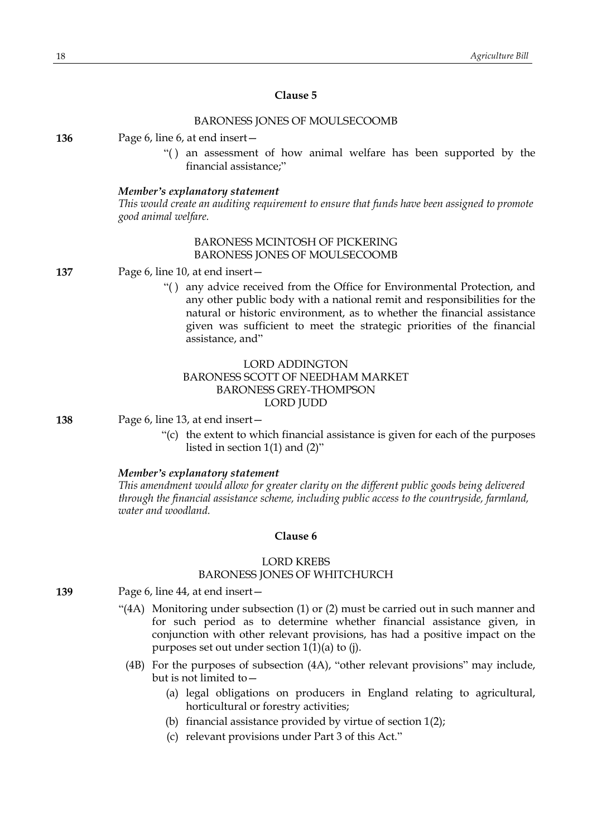# **Clause 5**

### BARONESS JONES OF MOULSECOOMB

- **136** Page 6, line 6, at end insert—
	- "( ) an assessment of how animal welfare has been supported by the financial assistance;"

#### *Member's explanatory statement*

*This would create an auditing requirement to ensure that funds have been assigned to promote good animal welfare.*

### BARONESS MCINTOSH OF PICKERING BARONESS JONES OF MOULSECOOMB

**137** Page 6, line 10, at end insert—

"( ) any advice received from the Office for Environmental Protection, and any other public body with a national remit and responsibilities for the natural or historic environment, as to whether the financial assistance given was sufficient to meet the strategic priorities of the financial assistance, and"

# LORD ADDINGTON BARONESS SCOTT OF NEEDHAM MARKET BARONESS GREY-THOMPSON LORD JUDD

**138** Page 6, line 13, at end insert—

"(c) the extent to which financial assistance is given for each of the purposes listed in section 1(1) and (2)"

#### *Member's explanatory statement*

*This amendment would allow for greater clarity on the different public goods being delivered through the financial assistance scheme, including public access to the countryside, farmland, water and woodland.*

### **Clause 6**

# LORD KREBS

# BARONESS JONES OF WHITCHURCH

**139** Page 6, line 44, at end insert—

- "(4A) Monitoring under subsection (1) or (2) must be carried out in such manner and for such period as to determine whether financial assistance given, in conjunction with other relevant provisions, has had a positive impact on the purposes set out under section  $1(1)(a)$  to (j).
	- (4B) For the purposes of subsection (4A), "other relevant provisions" may include, but is not limited to—
		- (a) legal obligations on producers in England relating to agricultural, horticultural or forestry activities;
		- (b) financial assistance provided by virtue of section 1(2);
		- (c) relevant provisions under Part 3 of this Act."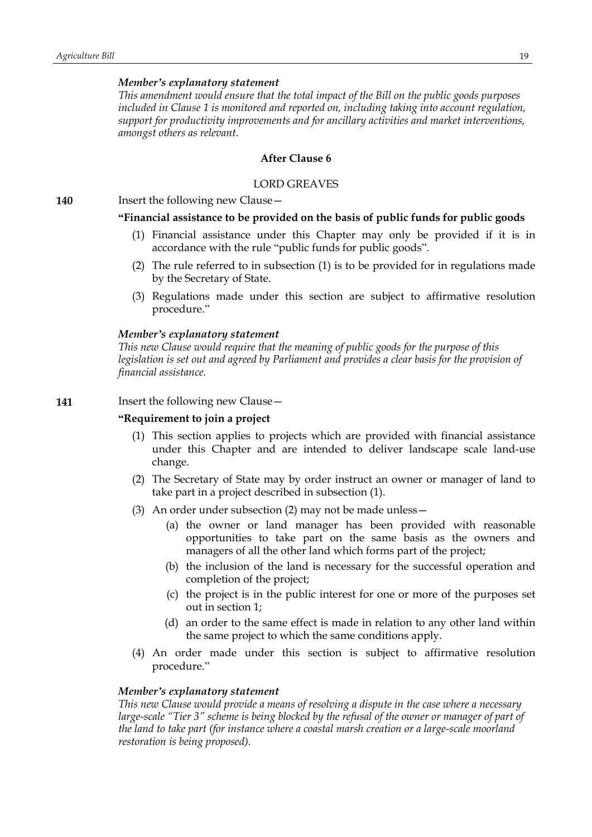*This amendment would ensure that the total impact of the Bill on the public goods purposes included in Clause 1 is monitored and reported on, including taking into account regulation, support for productivity improvements and for ancillary activities and market interventions, amongst others as relevant.*

# **After Clause 6**

#### LORD GREAVES

**140** Insert the following new Clause -

### **"Financial assistance to be provided on the basis of public funds for public goods**

- (1) Financial assistance under this Chapter may only be provided if it is in accordance with the rule "public funds for public goods".
- (2) The rule referred to in subsection (1) is to be provided for in regulations made by the Secretary of State.
- (3) Regulations made under this section are subject to affirmative resolution procedure."

#### *Member's explanatory statement*

*This new Clause would require that the meaning of public goods for the purpose of this legislation is set out and agreed by Parliament and provides a clear basis for the provision of financial assistance.*

# **141** Insert the following new Clause -

# **"Requirement to join a project**

- (1) This section applies to projects which are provided with financial assistance under this Chapter and are intended to deliver landscape scale land-use change.
- (2) The Secretary of State may by order instruct an owner or manager of land to take part in a project described in subsection (1).
- (3) An order under subsection (2) may not be made unless—
	- (a) the owner or land manager has been provided with reasonable opportunities to take part on the same basis as the owners and managers of all the other land which forms part of the project;
	- (b) the inclusion of the land is necessary for the successful operation and completion of the project;
	- (c) the project is in the public interest for one or more of the purposes set out in section 1;
	- (d) an order to the same effect is made in relation to any other land within the same project to which the same conditions apply.
- (4) An order made under this section is subject to affirmative resolution procedure."

# *Member's explanatory statement*

*This new Clause would provide a means of resolving a dispute in the case where a necessary large-scale "Tier 3" scheme is being blocked by the refusal of the owner or manager of part of the land to take part (for instance where a coastal marsh creation or a large-scale moorland restoration is being proposed).*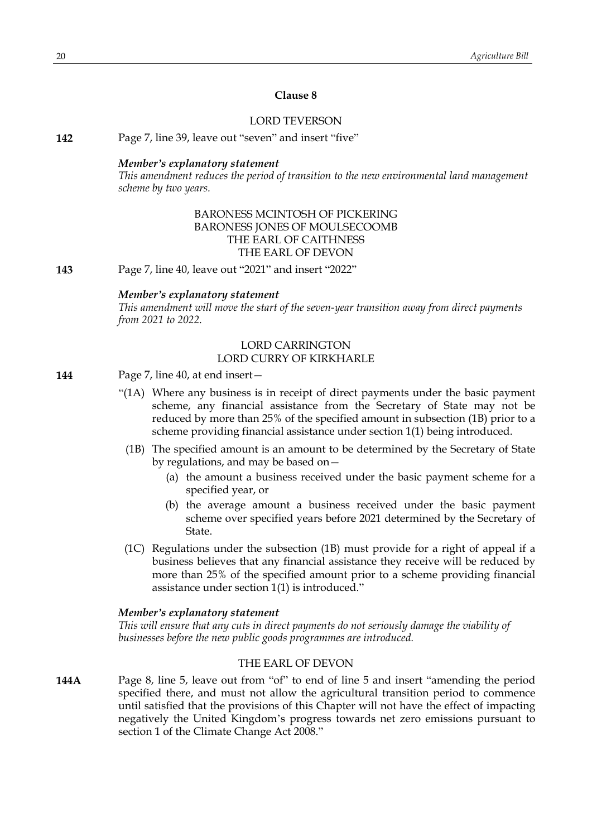# **Clause 8**

# LORD TEVERSON

**142** Page 7, line 39, leave out "seven" and insert "five"

#### *Member's explanatory statement*

*This amendment reduces the period of transition to the new environmental land management scheme by two years.*

# BARONESS MCINTOSH OF PICKERING BARONESS JONES OF MOULSECOOMB THE EARL OF CAITHNESS THE EARL OF DEVON

**143** Page 7, line 40, leave out "2021" and insert "2022"

#### *Member's explanatory statement*

*This amendment will move the start of the seven-year transition away from direct payments from 2021 to 2022.*

# LORD CARRINGTON LORD CURRY OF KIRKHARLE

- **144** Page 7, line 40, at end insert—
	- "(1A) Where any business is in receipt of direct payments under the basic payment scheme, any financial assistance from the Secretary of State may not be reduced by more than 25% of the specified amount in subsection (1B) prior to a scheme providing financial assistance under section 1(1) being introduced.
		- (1B) The specified amount is an amount to be determined by the Secretary of State by regulations, and may be based on—
			- (a) the amount a business received under the basic payment scheme for a specified year, or
			- (b) the average amount a business received under the basic payment scheme over specified years before 2021 determined by the Secretary of State.
	- (1C) Regulations under the subsection (1B) must provide for a right of appeal if a business believes that any financial assistance they receive will be reduced by more than 25% of the specified amount prior to a scheme providing financial assistance under section 1(1) is introduced."

### *Member's explanatory statement*

*This will ensure that any cuts in direct payments do not seriously damage the viability of businesses before the new public goods programmes are introduced.*

### THE EARL OF DEVON

**144A** Page 8, line 5, leave out from "of" to end of line 5 and insert "amending the period specified there, and must not allow the agricultural transition period to commence until satisfied that the provisions of this Chapter will not have the effect of impacting negatively the United Kingdom's progress towards net zero emissions pursuant to section 1 of the Climate Change Act 2008."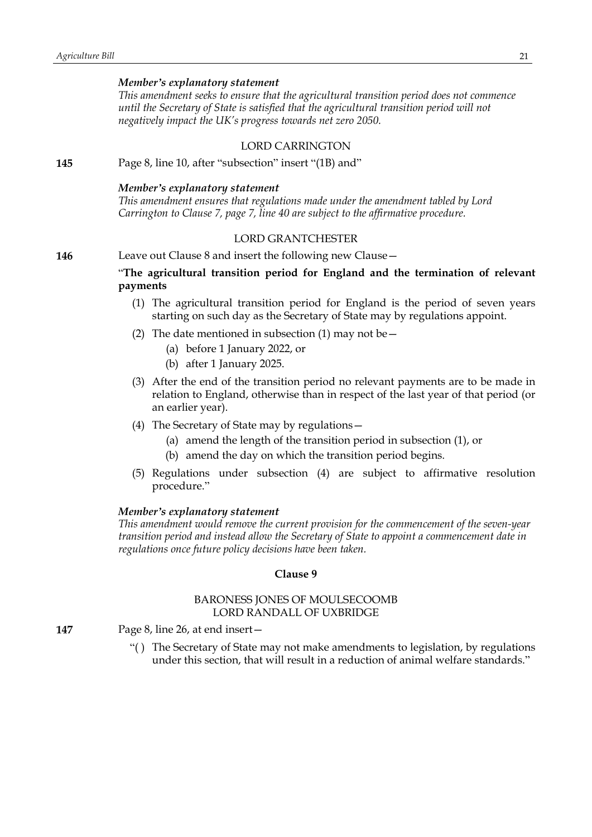*This amendment seeks to ensure that the agricultural transition period does not commence until the Secretary of State is satisfied that the agricultural transition period will not negatively impact the UK's progress towards net zero 2050.*

# LORD CARRINGTON

**145** Page 8, line 10, after "subsection" insert "(1B) and"

# *Member's explanatory statement*

*This amendment ensures that regulations made under the amendment tabled by Lord Carrington to Clause 7, page 7, line 40 are subject to the affirmative procedure.*

# LORD GRANTCHESTER

### **146** Leave out Clause 8 and insert the following new Clause—

# "**The agricultural transition period for England and the termination of relevant payments**

- (1) The agricultural transition period for England is the period of seven years starting on such day as the Secretary of State may by regulations appoint.
- (2) The date mentioned in subsection (1) may not be  $-$ 
	- (a) before 1 January 2022, or
	- (b) after 1 January 2025.
- (3) After the end of the transition period no relevant payments are to be made in relation to England, otherwise than in respect of the last year of that period (or an earlier year).
- (4) The Secretary of State may by regulations—
	- (a) amend the length of the transition period in subsection (1), or
	- (b) amend the day on which the transition period begins.
- (5) Regulations under subsection (4) are subject to affirmative resolution procedure."

# *Member's explanatory statement*

*This amendment would remove the current provision for the commencement of the seven-year transition period and instead allow the Secretary of State to appoint a commencement date in regulations once future policy decisions have been taken.*

# **Clause 9**

# BARONESS JONES OF MOULSECOOMB LORD RANDALL OF UXBRIDGE

- **147** Page 8, line 26, at end insert—
	- "( ) The Secretary of State may not make amendments to legislation, by regulations under this section, that will result in a reduction of animal welfare standards."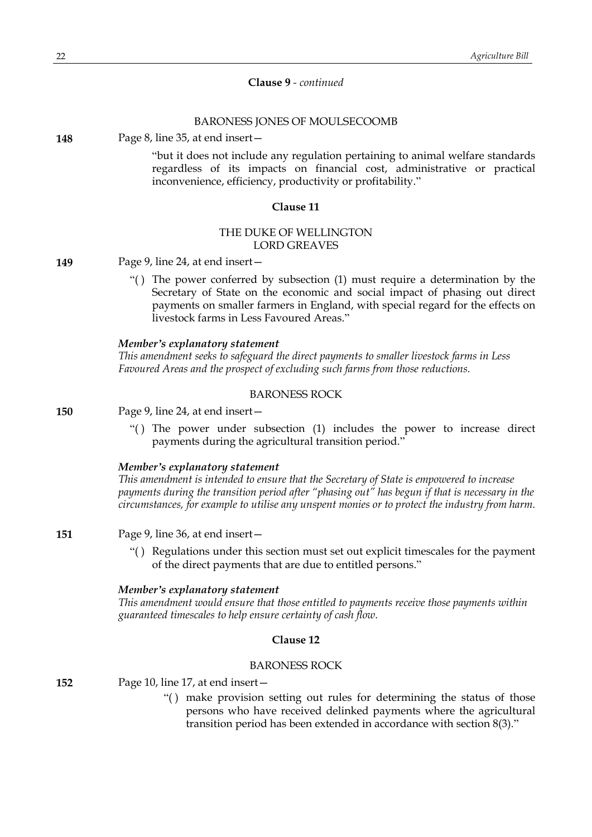# **Clause 9** *- continued*

### BARONESS JONES OF MOULSECOOMB

**148** Page 8, line 35, at end insert—

"but it does not include any regulation pertaining to animal welfare standards regardless of its impacts on financial cost, administrative or practical inconvenience, efficiency, productivity or profitability."

# **Clause 11**

# THE DUKE OF WELLINGTON LORD GREAVES

**149** Page 9, line 24, at end insert—

"( ) The power conferred by subsection (1) must require a determination by the Secretary of State on the economic and social impact of phasing out direct payments on smaller farmers in England, with special regard for the effects on livestock farms in Less Favoured Areas."

#### *Member's explanatory statement*

*This amendment seeks to safeguard the direct payments to smaller livestock farms in Less Favoured Areas and the prospect of excluding such farms from those reductions.*

### BARONESS ROCK

**150** Page 9, line 24, at end insert—

"( ) The power under subsection (1) includes the power to increase direct payments during the agricultural transition period."

# *Member's explanatory statement*

*This amendment is intended to ensure that the Secretary of State is empowered to increase payments during the transition period after "phasing out" has begun if that is necessary in the circumstances, for example to utilise any unspent monies or to protect the industry from harm.*

# **151** Page 9, line 36, at end insert—

"( ) Regulations under this section must set out explicit timescales for the payment of the direct payments that are due to entitled persons."

#### *Member's explanatory statement*

*This amendment would ensure that those entitled to payments receive those payments within guaranteed timescales to help ensure certainty of cash flow.*

#### **Clause 12**

#### BARONESS ROCK

**152** Page 10, line 17, at end insert—

"( ) make provision setting out rules for determining the status of those persons who have received delinked payments where the agricultural transition period has been extended in accordance with section 8(3)."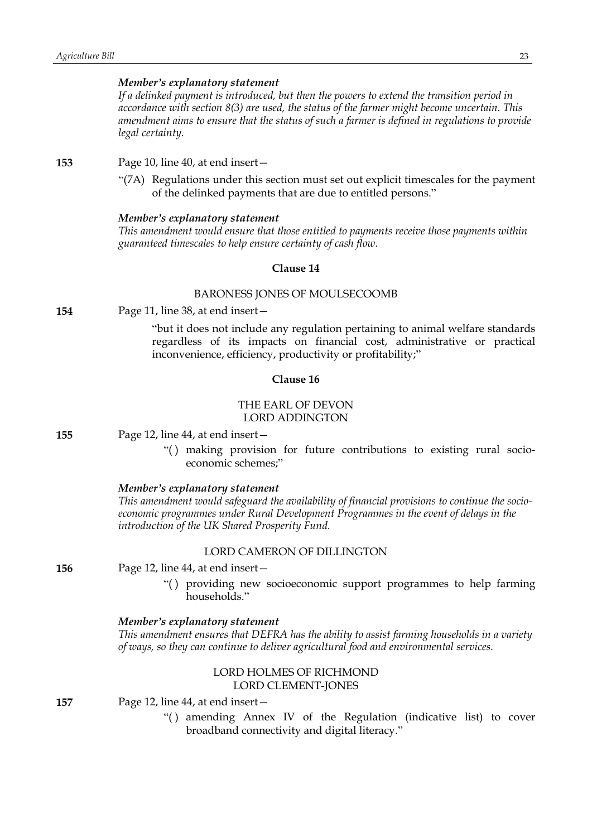*If a delinked payment is introduced, but then the powers to extend the transition period in accordance with section 8(3) are used, the status of the farmer might become uncertain. This amendment aims to ensure that the status of such a farmer is defined in regulations to provide legal certainty.*

**153** Page 10, line 40, at end insert—

"(7A) Regulations under this section must set out explicit timescales for the payment of the delinked payments that are due to entitled persons."

#### *Member's explanatory statement*

*This amendment would ensure that those entitled to payments receive those payments within guaranteed timescales to help ensure certainty of cash flow.*

# **Clause 14**

# BARONESS JONES OF MOULSECOOMB

**154** Page 11, line 38, at end insert—

"but it does not include any regulation pertaining to animal welfare standards regardless of its impacts on financial cost, administrative or practical inconvenience, efficiency, productivity or profitability;"

# **Clause 16**

# THE EARL OF DEVON LORD ADDINGTON

**155** Page 12, line 44, at end insert—

"() making provision for future contributions to existing rural socioeconomic schemes;"

#### *Member's explanatory statement*

*This amendment would safeguard the availability of financial provisions to continue the socioeconomic programmes under Rural Development Programmes in the event of delays in the introduction of the UK Shared Prosperity Fund.*

#### LORD CAMERON OF DILLINGTON

**156** Page 12, line 44, at end insert—

"( ) providing new socioeconomic support programmes to help farming households."

#### *Member's explanatory statement*

*This amendment ensures that DEFRA has the ability to assist farming households in a variety of ways, so they can continue to deliver agricultural food and environmental services.*

# LORD HOLMES OF RICHMOND LORD CLEMENT-JONES

**157** Page 12, line 44, at end insert—

"( ) amending Annex IV of the Regulation (indicative list) to cover broadband connectivity and digital literacy."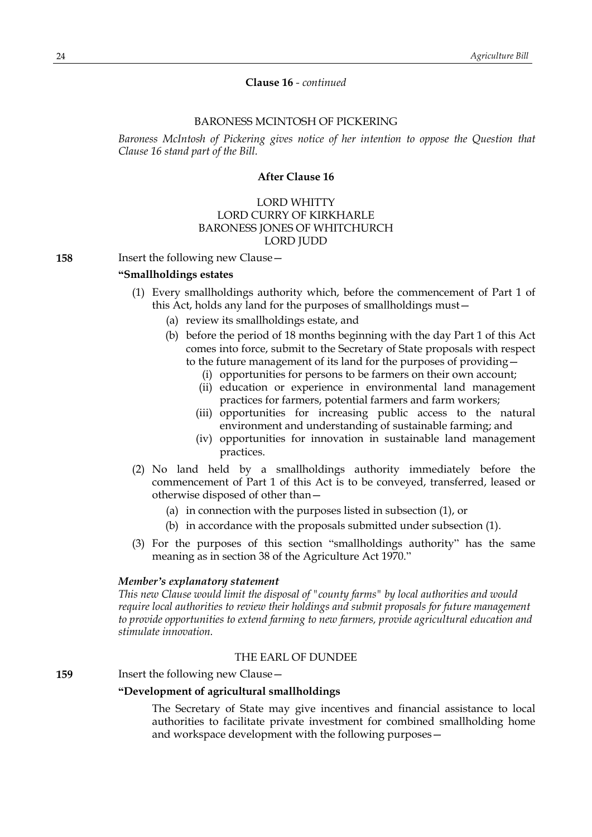# **Clause 16** *- continued*

# BARONESS MCINTOSH OF PICKERING

*Baroness McIntosh of Pickering gives notice of her intention to oppose the Question that Clause 16 stand part of the Bill.*

# **After Clause 16**

# LORD WHITTY LORD CURRY OF KIRKHARLE BARONESS JONES OF WHITCHURCH LORD JUDD

**158** Insert the following new Clause—

#### **"Smallholdings estates**

- (1) Every smallholdings authority which, before the commencement of Part 1 of this Act, holds any land for the purposes of smallholdings must—
	- (a) review its smallholdings estate, and
	- (b) before the period of 18 months beginning with the day Part 1 of this Act comes into force, submit to the Secretary of State proposals with respect to the future management of its land for the purposes of providing—
		- (i) opportunities for persons to be farmers on their own account;
		- (ii) education or experience in environmental land management practices for farmers, potential farmers and farm workers;
		- (iii) opportunities for increasing public access to the natural environment and understanding of sustainable farming; and
		- (iv) opportunities for innovation in sustainable land management practices.
- (2) No land held by a smallholdings authority immediately before the commencement of Part 1 of this Act is to be conveyed, transferred, leased or otherwise disposed of other than—
	- (a) in connection with the purposes listed in subsection (1), or
	- (b) in accordance with the proposals submitted under subsection (1).
- (3) For the purposes of this section "smallholdings authority" has the same meaning as in section 38 of the Agriculture Act 1970."

#### *Member's explanatory statement*

*This new Clause would limit the disposal of "county farms" by local authorities and would require local authorities to review their holdings and submit proposals for future management to provide opportunities to extend farming to new farmers, provide agricultural education and stimulate innovation.*

# THE EARL OF DUNDEE

### **159** Insert the following new Clause—

#### **"Development of agricultural smallholdings**

The Secretary of State may give incentives and financial assistance to local authorities to facilitate private investment for combined smallholding home and workspace development with the following purposes—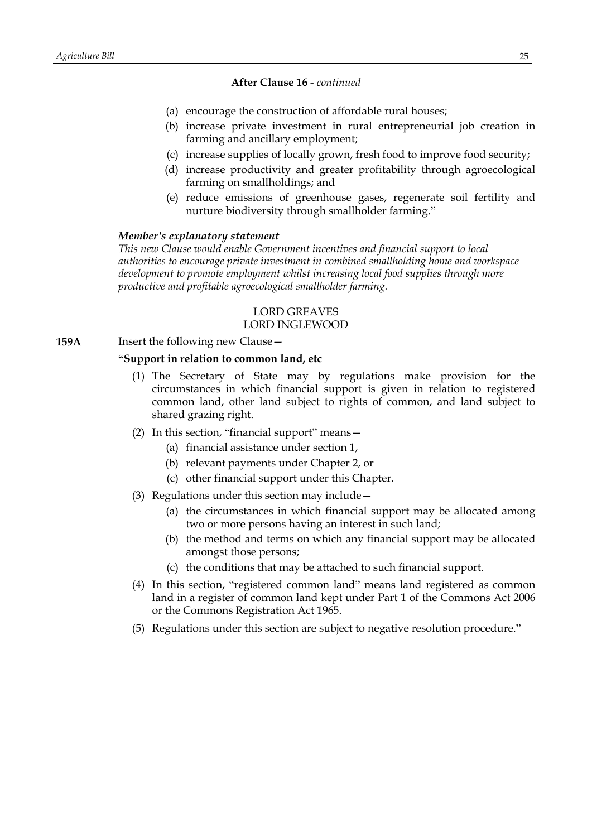# **After Clause 16** *- continued*

- (a) encourage the construction of affordable rural houses;
- (b) increase private investment in rural entrepreneurial job creation in farming and ancillary employment;
- (c) increase supplies of locally grown, fresh food to improve food security;
- (d) increase productivity and greater profitability through agroecological farming on smallholdings; and
- (e) reduce emissions of greenhouse gases, regenerate soil fertility and nurture biodiversity through smallholder farming."

### *Member's explanatory statement*

*This new Clause would enable Government incentives and financial support to local authorities to encourage private investment in combined smallholding home and workspace development to promote employment whilst increasing local food supplies through more productive and profitable agroecological smallholder farming.*

# LORD GREAVES LORD INGLEWOOD

**159A** Insert the following new Clause-

#### **"Support in relation to common land, etc**

- (1) The Secretary of State may by regulations make provision for the circumstances in which financial support is given in relation to registered common land, other land subject to rights of common, and land subject to shared grazing right.
- (2) In this section, "financial support" means—
	- (a) financial assistance under section 1,
	- (b) relevant payments under Chapter 2, or
	- (c) other financial support under this Chapter.
- (3) Regulations under this section may include—
	- (a) the circumstances in which financial support may be allocated among two or more persons having an interest in such land;
	- (b) the method and terms on which any financial support may be allocated amongst those persons;
	- (c) the conditions that may be attached to such financial support.
- (4) In this section, "registered common land" means land registered as common land in a register of common land kept under Part 1 of the Commons Act 2006 or the Commons Registration Act 1965.
- (5) Regulations under this section are subject to negative resolution procedure."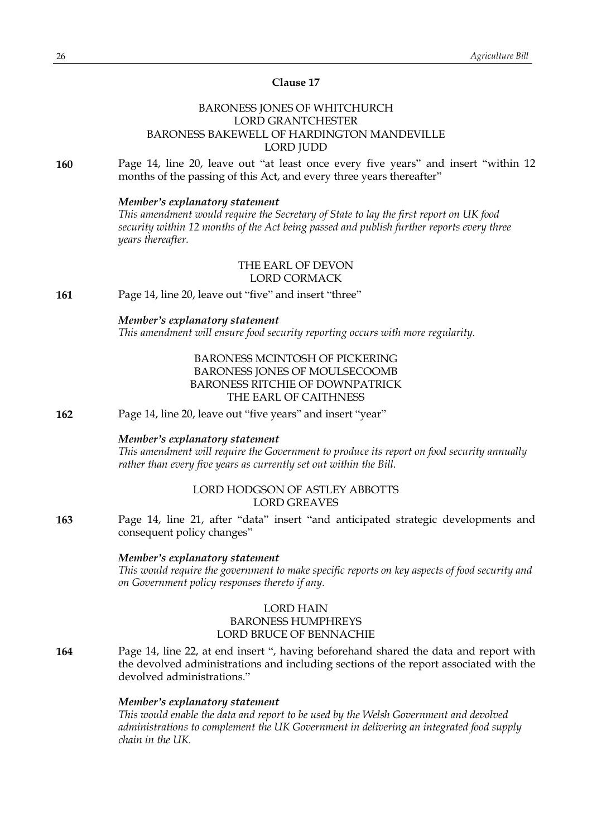# **Clause 17**

# BARONESS JONES OF WHITCHURCH LORD GRANTCHESTER BARONESS BAKEWELL OF HARDINGTON MANDEVILLE LORD JUDD

**160** Page 14, line 20, leave out "at least once every five years" and insert "within 12 months of the passing of this Act, and every three years thereafter"

# *Member's explanatory statement*

*This amendment would require the Secretary of State to lay the first report on UK food security within 12 months of the Act being passed and publish further reports every three years thereafter.*

# THE EARL OF DEVON LORD CORMACK

**161** Page 14, line 20, leave out "five" and insert "three"

# *Member's explanatory statement*

*This amendment will ensure food security reporting occurs with more regularity.*

# BARONESS MCINTOSH OF PICKERING BARONESS JONES OF MOULSECOOMB BARONESS RITCHIE OF DOWNPATRICK THE EARL OF CAITHNESS

**162** Page 14, line 20, leave out "five years" and insert "year"

### *Member's explanatory statement*

*This amendment will require the Government to produce its report on food security annually rather than every five years as currently set out within the Bill.*

# LORD HODGSON OF ASTLEY ABBOTTS LORD GREAVES

**163** Page 14, line 21, after "data" insert "and anticipated strategic developments and consequent policy changes"

#### *Member's explanatory statement*

*This would require the government to make specific reports on key aspects of food security and on Government policy responses thereto if any.*

# LORD HAIN BARONESS HUMPHREYS LORD BRUCE OF BENNACHIE

**164** Page 14, line 22, at end insert ", having beforehand shared the data and report with the devolved administrations and including sections of the report associated with the devolved administrations."

# *Member's explanatory statement*

*This would enable the data and report to be used by the Welsh Government and devolved administrations to complement the UK Government in delivering an integrated food supply chain in the UK.*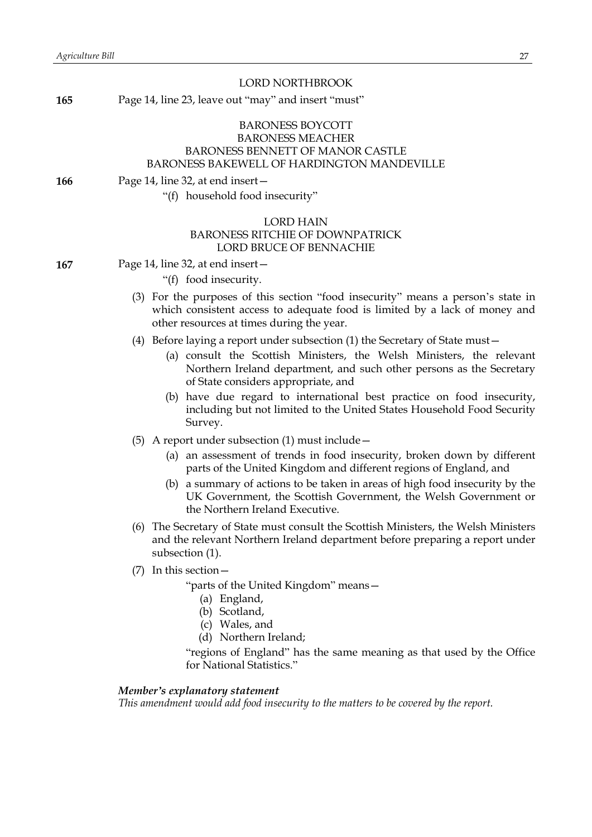#### LORD NORTHBROOK

**165** Page 14, line 23, leave out "may" and insert "must"

# BARONESS BOYCOTT BARONESS MEACHER BARONESS BENNETT OF MANOR CASTLE BARONESS BAKEWELL OF HARDINGTON MANDEVILLE

- **166** Page 14, line 32, at end insert—
	- "(f) household food insecurity"

# LORD HAIN BARONESS RITCHIE OF DOWNPATRICK LORD BRUCE OF BENNACHIE

| 167 | Page 14, line 32, at end insert- |
|-----|----------------------------------|
|-----|----------------------------------|

- "(f) food insecurity.
- (3) For the purposes of this section "food insecurity" means a person's state in which consistent access to adequate food is limited by a lack of money and other resources at times during the year.
- (4) Before laying a report under subsection (1) the Secretary of State must—
	- (a) consult the Scottish Ministers, the Welsh Ministers, the relevant Northern Ireland department, and such other persons as the Secretary of State considers appropriate, and
	- (b) have due regard to international best practice on food insecurity, including but not limited to the United States Household Food Security Survey.
- (5) A report under subsection (1) must include—
	- (a) an assessment of trends in food insecurity, broken down by different parts of the United Kingdom and different regions of England, and
	- (b) a summary of actions to be taken in areas of high food insecurity by the UK Government, the Scottish Government, the Welsh Government or the Northern Ireland Executive.
- (6) The Secretary of State must consult the Scottish Ministers, the Welsh Ministers and the relevant Northern Ireland department before preparing a report under subsection (1).
- (7) In this section—

"parts of the United Kingdom" means—

- (a) England,
- (b) Scotland,
- (c) Wales, and
- (d) Northern Ireland;

"regions of England" has the same meaning as that used by the Office for National Statistics."

# *Member's explanatory statement*

*This amendment would add food insecurity to the matters to be covered by the report.*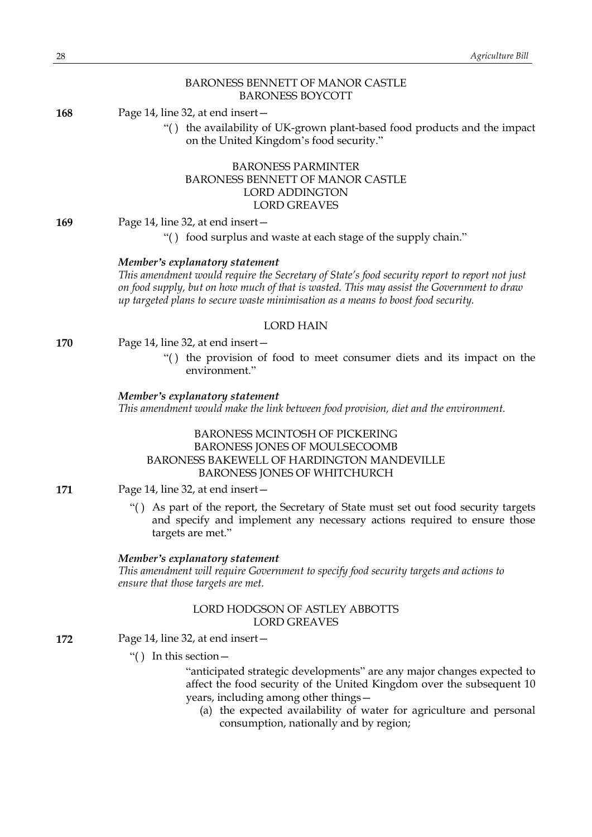|     | BARONESS BENNETT OF MANOR CASTLE<br><b>BARONESS BOYCOTT</b>                                                                                                                                                                                                                                                       |
|-----|-------------------------------------------------------------------------------------------------------------------------------------------------------------------------------------------------------------------------------------------------------------------------------------------------------------------|
| 168 | Page 14, line 32, at end insert -                                                                                                                                                                                                                                                                                 |
|     | "() the availability of UK-grown plant-based food products and the impact<br>on the United Kingdom's food security."                                                                                                                                                                                              |
|     | <b>BARONESS PARMINTER</b><br><b>BARONESS BENNETT OF MANOR CASTLE</b><br><b>LORD ADDINGTON</b><br><b>LORD GREAVES</b>                                                                                                                                                                                              |
| 169 | Page 14, line 32, at end insert-                                                                                                                                                                                                                                                                                  |
|     | "() food surplus and waste at each stage of the supply chain."                                                                                                                                                                                                                                                    |
|     | Member's explanatory statement<br>This amendment would require the Secretary of State's food security report to report not just<br>on food supply, but on how much of that is wasted. This may assist the Government to draw<br>up targeted plans to secure waste minimisation as a means to boost food security. |
|     | <b>LORD HAIN</b>                                                                                                                                                                                                                                                                                                  |
| 170 | Page 14, line 32, at end insert -                                                                                                                                                                                                                                                                                 |
|     | "() the provision of food to meet consumer diets and its impact on the<br>environment."                                                                                                                                                                                                                           |
|     | Member's explanatory statement<br>This amendment would make the link between food provision, diet and the environment.                                                                                                                                                                                            |
|     | <b>BARONESS MCINTOSH OF PICKERING</b><br><b>BARONESS JONES OF MOULSECOOMB</b><br><b>BARONESS BAKEWELL OF HARDINGTON MANDEVILLE</b><br><b>BARONESS JONES OF WHITCHURCH</b>                                                                                                                                         |
| 171 | Page 14, line 32, at end insert –                                                                                                                                                                                                                                                                                 |
|     | "() As part of the report, the Secretary of State must set out food security targets<br>and specify and implement any necessary actions required to ensure those<br>targets are met."                                                                                                                             |
|     | Member's explanatory statement<br>This amendment will require Government to specify food security targets and actions to<br>ensure that those targets are met.                                                                                                                                                    |
|     | LORD HODGSON OF ASTLEY ABBOTTS<br><b>LORD GREAVES</b>                                                                                                                                                                                                                                                             |
| 172 | Page 14, line 32, at end insert-                                                                                                                                                                                                                                                                                  |
|     | "() In this section $-$                                                                                                                                                                                                                                                                                           |
|     | "anticipated strategic developments" are any major changes expected to<br>affect the food security of the United Kingdom over the subsequent 10<br>years, including among other things-<br>(a) the expected availability of water for agriculture and personal<br>consumption, nationally and by region;          |
|     |                                                                                                                                                                                                                                                                                                                   |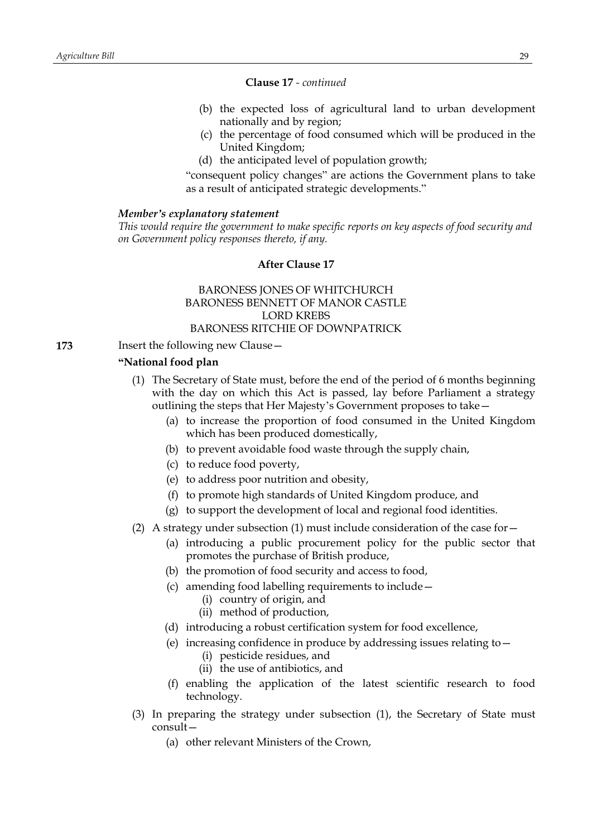#### **Clause 17** *- continued*

- (b) the expected loss of agricultural land to urban development nationally and by region;
- (c) the percentage of food consumed which will be produced in the United Kingdom;
- (d) the anticipated level of population growth;

"consequent policy changes" are actions the Government plans to take as a result of anticipated strategic developments."

#### *Member's explanatory statement*

*This would require the government to make specific reports on key aspects of food security and on Government policy responses thereto, if any.*

# **After Clause 17**

# BARONESS JONES OF WHITCHURCH BARONESS BENNETT OF MANOR CASTLE LORD KREBS BARONESS RITCHIE OF DOWNPATRICK

**173** Insert the following new Clause—

# **"National food plan**

- (1) The Secretary of State must, before the end of the period of 6 months beginning with the day on which this Act is passed, lay before Parliament a strategy outlining the steps that Her Majesty's Government proposes to take—
	- (a) to increase the proportion of food consumed in the United Kingdom which has been produced domestically,
	- (b) to prevent avoidable food waste through the supply chain,
	- (c) to reduce food poverty,
	- (e) to address poor nutrition and obesity,
	- (f) to promote high standards of United Kingdom produce, and
	- (g) to support the development of local and regional food identities.
- (2) A strategy under subsection (1) must include consideration of the case for  $-$ 
	- (a) introducing a public procurement policy for the public sector that promotes the purchase of British produce,
	- (b) the promotion of food security and access to food,
	- (c) amending food labelling requirements to include—
		- (i) country of origin, and
		- (ii) method of production,
	- (d) introducing a robust certification system for food excellence,
	- (e) increasing confidence in produce by addressing issues relating to—
		- (i) pesticide residues, and
		- (ii) the use of antibiotics, and
	- (f) enabling the application of the latest scientific research to food technology.
- (3) In preparing the strategy under subsection (1), the Secretary of State must consult—
	- (a) other relevant Ministers of the Crown,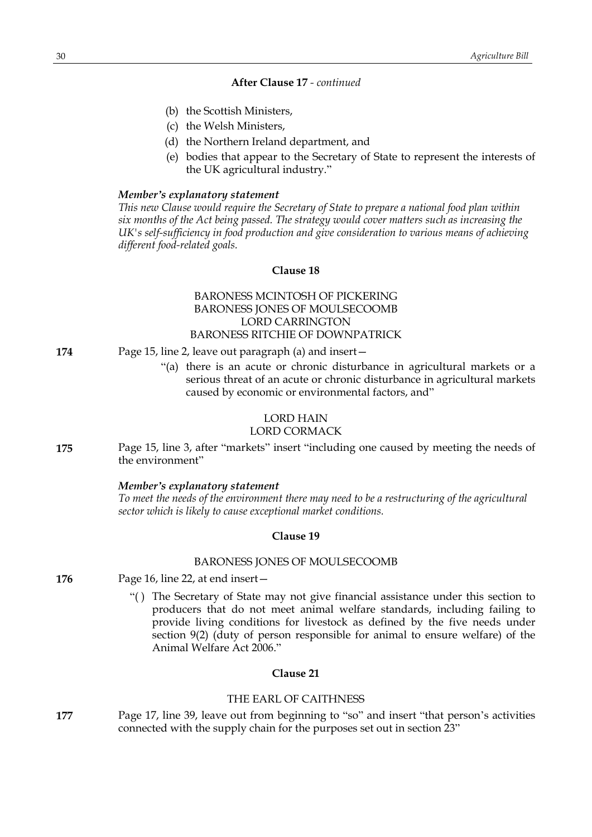# **After Clause 17** *- continued*

- (b) the Scottish Ministers,
- (c) the Welsh Ministers,
- (d) the Northern Ireland department, and
- (e) bodies that appear to the Secretary of State to represent the interests of the UK agricultural industry."

### *Member's explanatory statement*

*This new Clause would require the Secretary of State to prepare a national food plan within six months of the Act being passed. The strategy would cover matters such as increasing the UK's self-sufficiency in food production and give consideration to various means of achieving different food-related goals.*

# **Clause 18**

# BARONESS MCINTOSH OF PICKERING BARONESS JONES OF MOULSECOOMB LORD CARRINGTON BARONESS RITCHIE OF DOWNPATRICK

- **174** Page 15, line 2, leave out paragraph (a) and insert—
	- "(a) there is an acute or chronic disturbance in agricultural markets or a serious threat of an acute or chronic disturbance in agricultural markets caused by economic or environmental factors, and"

# LORD HAIN

# LORD CORMACK

**175** Page 15, line 3, after "markets" insert "including one caused by meeting the needs of the environment"

#### *Member's explanatory statement*

*To meet the needs of the environment there may need to be a restructuring of the agricultural sector which is likely to cause exceptional market conditions.*

#### **Clause 19**

### BARONESS JONES OF MOULSECOOMB

- **176** Page 16, line 22, at end insert—
	- "( ) The Secretary of State may not give financial assistance under this section to producers that do not meet animal welfare standards, including failing to provide living conditions for livestock as defined by the five needs under section 9(2) (duty of person responsible for animal to ensure welfare) of the Animal Welfare Act 2006."

# **Clause 21**

#### THE EARL OF CAITHNESS

**177** Page 17, line 39, leave out from beginning to "so" and insert "that person's activities connected with the supply chain for the purposes set out in section 23"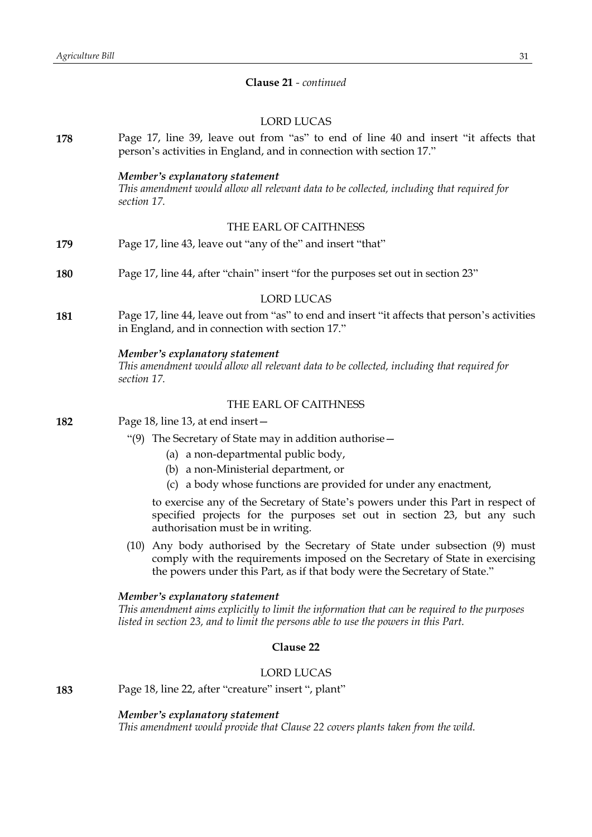# **Clause 21** *- continued*

# LORD LUCAS

| 178 | Page 17, line 39, leave out from "as" to end of line 40 and insert "it affects that |
|-----|-------------------------------------------------------------------------------------|
|     | person's activities in England, and in connection with section 17."                 |

# *Member's explanatory statement*

*This amendment would allow all relevant data to be collected, including that required for section 17.*

### THE EARL OF CAITHNESS

- **179** Page 17, line 43, leave out "any of the" and insert "that"
- **180** Page 17, line 44, after "chain" insert "for the purposes set out in section 23"

# LORD LUCAS

**181** Page 17, line 44, leave out from "as" to end and insert "it affects that person's activities in England, and in connection with section 17."

#### *Member's explanatory statement*

*This amendment would allow all relevant data to be collected, including that required for section 17.*

### THE EARL OF CAITHNESS

**182** Page 18, line 13, at end insert—

- "(9) The Secretary of State may in addition authorise—
	- (a) a non-departmental public body,
	- (b) a non-Ministerial department, or
	- (c) a body whose functions are provided for under any enactment,

to exercise any of the Secretary of State's powers under this Part in respect of specified projects for the purposes set out in section 23, but any such authorisation must be in writing.

(10) Any body authorised by the Secretary of State under subsection (9) must comply with the requirements imposed on the Secretary of State in exercising the powers under this Part, as if that body were the Secretary of State."

#### *Member's explanatory statement*

*This amendment aims explicitly to limit the information that can be required to the purposes listed in section 23, and to limit the persons able to use the powers in this Part.*

# **Clause 22**

# LORD LUCAS

**183** Page 18, line 22, after "creature" insert ", plant"

*Member's explanatory statement This amendment would provide that Clause 22 covers plants taken from the wild.*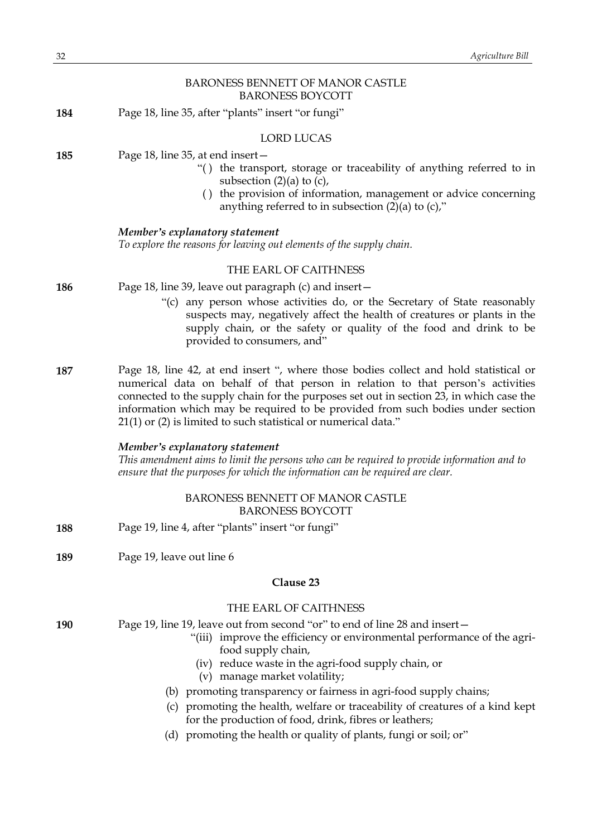# BARONESS BENNETT OF MANOR CASTLE BARONESS BOYCOTT

|     | DANUNESS DU LUI L                                                                                                                                                                                                                                                                                                                                                                                                         |
|-----|---------------------------------------------------------------------------------------------------------------------------------------------------------------------------------------------------------------------------------------------------------------------------------------------------------------------------------------------------------------------------------------------------------------------------|
| 184 | Page 18, line 35, after "plants" insert "or fungi"                                                                                                                                                                                                                                                                                                                                                                        |
|     | <b>LORD LUCAS</b>                                                                                                                                                                                                                                                                                                                                                                                                         |
| 185 | Page 18, line 35, at end insert-<br>"() the transport, storage or traceability of anything referred to in<br>subsection $(2)(a)$ to $(c)$ ,<br>() the provision of information, management or advice concerning<br>anything referred to in subsection $(2)(a)$ to $(c)$ ,"                                                                                                                                                |
|     | Member's explanatory statement<br>To explore the reasons for leaving out elements of the supply chain.                                                                                                                                                                                                                                                                                                                    |
|     | THE EARL OF CAITHNESS                                                                                                                                                                                                                                                                                                                                                                                                     |
| 186 | Page 18, line 39, leave out paragraph (c) and insert –                                                                                                                                                                                                                                                                                                                                                                    |
|     | "(c) any person whose activities do, or the Secretary of State reasonably<br>suspects may, negatively affect the health of creatures or plants in the<br>supply chain, or the safety or quality of the food and drink to be<br>provided to consumers, and"                                                                                                                                                                |
| 187 | Page 18, line 42, at end insert ", where those bodies collect and hold statistical or<br>numerical data on behalf of that person in relation to that person's activities<br>connected to the supply chain for the purposes set out in section 23, in which case the<br>information which may be required to be provided from such bodies under section<br>21(1) or (2) is limited to such statistical or numerical data." |
|     | Member's explanatory statement<br>This amendment aims to limit the persons who can be required to provide information and to<br>ensure that the purposes for which the information can be required are clear.                                                                                                                                                                                                             |
|     | BARONESS BENNETT OF MANOR CASTLE<br><b>BARONESS BOYCOTT</b>                                                                                                                                                                                                                                                                                                                                                               |
| 188 | Page 19, line 4, after "plants" insert "or fungi"                                                                                                                                                                                                                                                                                                                                                                         |
| 189 | Page 19, leave out line 6                                                                                                                                                                                                                                                                                                                                                                                                 |
|     | Clause 23                                                                                                                                                                                                                                                                                                                                                                                                                 |
|     | THE EARL OF CAITHNESS                                                                                                                                                                                                                                                                                                                                                                                                     |
| 190 | Page 19, line 19, leave out from second "or" to end of line 28 and insert -<br>"(iii) improve the efficiency or environmental performance of the agri-<br>food supply chain,<br>(iv) reduce waste in the agri-food supply chain, or<br>(v) manage market volatility;                                                                                                                                                      |
|     | (b) promoting transparency or fairness in agri-food supply chains;                                                                                                                                                                                                                                                                                                                                                        |
|     | promoting the health, welfare or traceability of creatures of a kind kept<br>(c)<br>for the production of food, drink, fibres or leathers;                                                                                                                                                                                                                                                                                |
|     | (d) promoting the health or quality of plants, fungi or soil; or"                                                                                                                                                                                                                                                                                                                                                         |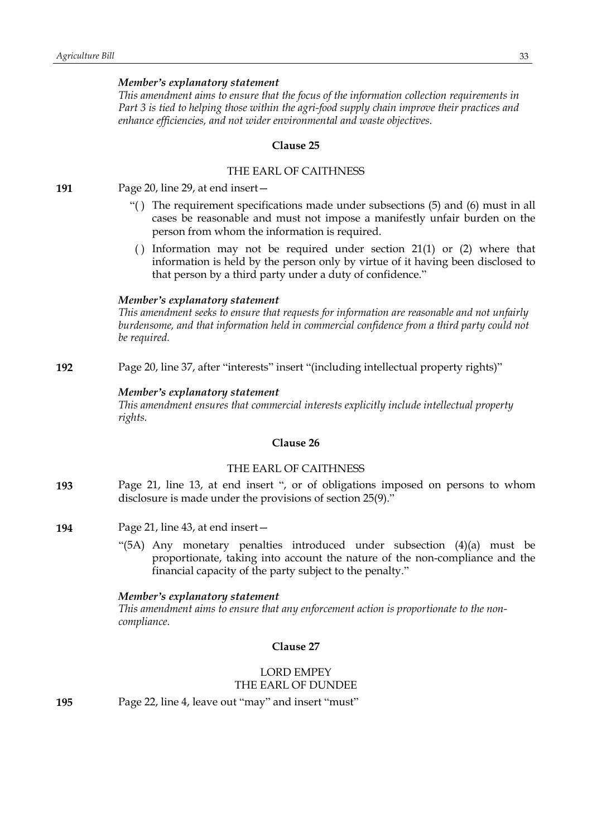*This amendment aims to ensure that the focus of the information collection requirements in Part 3 is tied to helping those within the agri-food supply chain improve their practices and enhance efficiencies, and not wider environmental and waste objectives.*

### **Clause 25**

# THE EARL OF CAITHNESS

**191** Page 20, line 29, at end insert—

- "( ) The requirement specifications made under subsections (5) and (6) must in all cases be reasonable and must not impose a manifestly unfair burden on the person from whom the information is required.
- () Information may not be required under section  $21(1)$  or  $(2)$  where that information is held by the person only by virtue of it having been disclosed to that person by a third party under a duty of confidence."

#### *Member's explanatory statement*

*This amendment seeks to ensure that requests for information are reasonable and not unfairly burdensome, and that information held in commercial confidence from a third party could not be required.*

**192** Page 20, line 37, after "interests" insert "(including intellectual property rights)"

### *Member's explanatory statement*

*This amendment ensures that commercial interests explicitly include intellectual property rights.*

# **Clause 26**

# THE EARL OF CAITHNESS

- **193** Page 21, line 13, at end insert ", or of obligations imposed on persons to whom disclosure is made under the provisions of section 25(9)."
- **194** Page 21, line 43, at end insert—
	- "(5A) Any monetary penalties introduced under subsection (4)(a) must be proportionate, taking into account the nature of the non-compliance and the financial capacity of the party subject to the penalty."

*Member's explanatory statement This amendment aims to ensure that any enforcement action is proportionate to the noncompliance.*

### **Clause 27**

# LORD EMPEY THE EARL OF DUNDEE

**195** Page 22, line 4, leave out "may" and insert "must"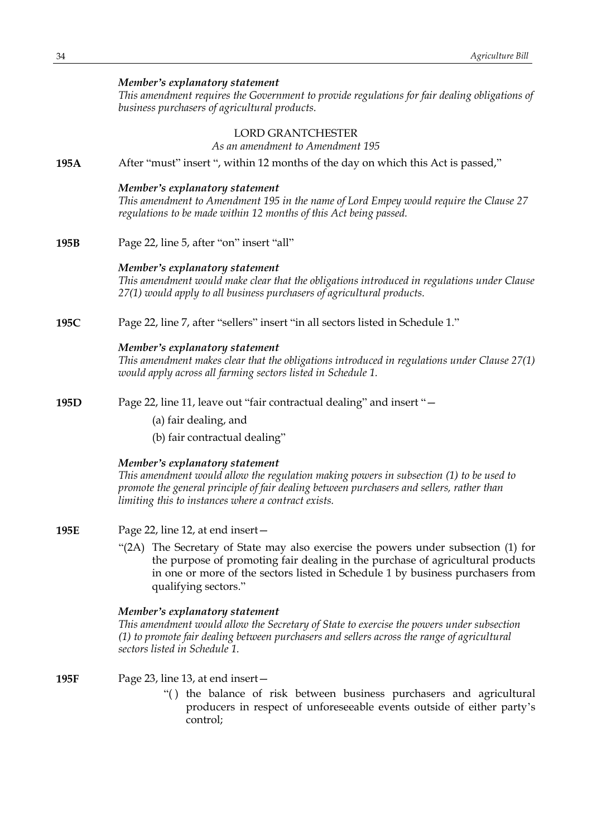*This amendment requires the Government to provide regulations for fair dealing obligations of business purchasers of agricultural products.*

# LORD GRANTCHESTER

*As an amendment to Amendment 195*

**195A** After "must" insert ", within 12 months of the day on which this Act is passed,"

### *Member's explanatory statement*

*This amendment to Amendment 195 in the name of Lord Empey would require the Clause 27 regulations to be made within 12 months of this Act being passed.*

**195B** Page 22, line 5, after "on" insert "all"

#### *Member's explanatory statement*

*This amendment would make clear that the obligations introduced in regulations under Clause 27(1) would apply to all business purchasers of agricultural products.*

**195C** Page 22, line 7, after "sellers" insert "in all sectors listed in Schedule 1."

### *Member's explanatory statement*

*This amendment makes clear that the obligations introduced in regulations under Clause 27(1) would apply across all farming sectors listed in Schedule 1.*

- **195D** Page 22, line 11, leave out "fair contractual dealing" and insert "—
	- (a) fair dealing, and
	- (b) fair contractual dealing"

# *Member's explanatory statement*

*This amendment would allow the regulation making powers in subsection (1) to be used to promote the general principle of fair dealing between purchasers and sellers, rather than limiting this to instances where a contract exists.*

- **195E** Page 22, line 12, at end insert—
	- "(2A) The Secretary of State may also exercise the powers under subsection (1) for the purpose of promoting fair dealing in the purchase of agricultural products in one or more of the sectors listed in Schedule 1 by business purchasers from qualifying sectors."

#### *Member's explanatory statement*

*This amendment would allow the Secretary of State to exercise the powers under subsection (1) to promote fair dealing between purchasers and sellers across the range of agricultural sectors listed in Schedule 1.*

**195F** Page 23, line 13, at end insert—

"( ) the balance of risk between business purchasers and agricultural producers in respect of unforeseeable events outside of either party's control;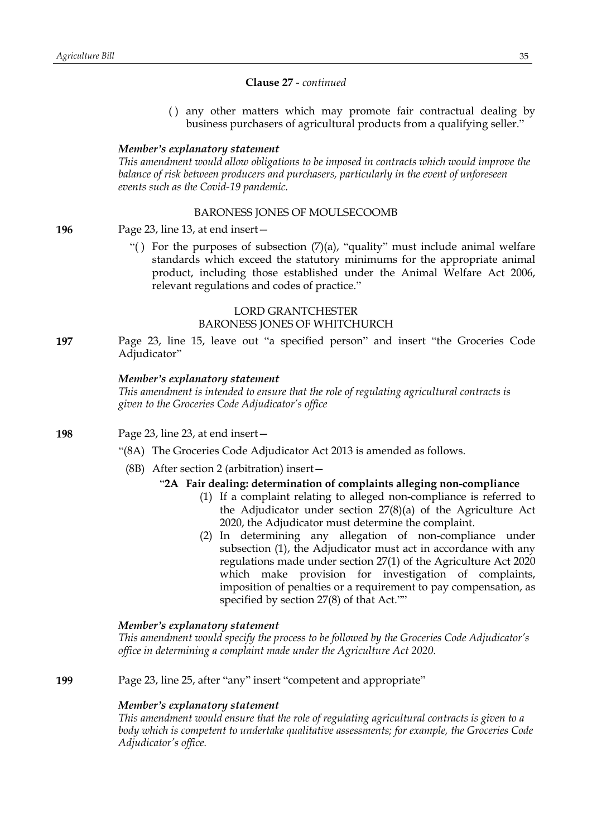# **Clause 27** *- continued*

( ) any other matters which may promote fair contractual dealing by business purchasers of agricultural products from a qualifying seller."

### *Member's explanatory statement*

*This amendment would allow obligations to be imposed in contracts which would improve the balance of risk between producers and purchasers, particularly in the event of unforeseen events such as the Covid-19 pandemic.*

### BARONESS JONES OF MOULSECOOMB

**196** Page 23, line 13, at end insert—

"() For the purposes of subsection  $(7)(a)$ , "quality" must include animal welfare standards which exceed the statutory minimums for the appropriate animal product, including those established under the Animal Welfare Act 2006, relevant regulations and codes of practice."

# LORD GRANTCHESTER BARONESS JONES OF WHITCHURCH

**197** Page 23, line 15, leave out "a specified person" and insert "the Groceries Code Adjudicator"

#### *Member's explanatory statement*

*This amendment is intended to ensure that the role of regulating agricultural contracts is given to the Groceries Code Adjudicator's office*

- **198** Page 23, line 23, at end insert—
	- "(8A) The Groceries Code Adjudicator Act 2013 is amended as follows.
	- (8B) After section 2 (arbitration) insert—

# "**2A Fair dealing: determination of complaints alleging non-compliance**

- (1) If a complaint relating to alleged non-compliance is referred to the Adjudicator under section 27(8)(a) of the Agriculture Act 2020, the Adjudicator must determine the complaint.
- (2) In determining any allegation of non-compliance under subsection (1), the Adjudicator must act in accordance with any regulations made under section 27(1) of the Agriculture Act 2020 which make provision for investigation of complaints, imposition of penalties or a requirement to pay compensation, as specified by section 27(8) of that Act.""

#### *Member's explanatory statement*

*This amendment would specify the process to be followed by the Groceries Code Adjudicator's office in determining a complaint made under the Agriculture Act 2020.*

**199** Page 23, line 25, after "any" insert "competent and appropriate"

#### *Member's explanatory statement*

*This amendment would ensure that the role of regulating agricultural contracts is given to a body which is competent to undertake qualitative assessments; for example, the Groceries Code Adjudicator's office.*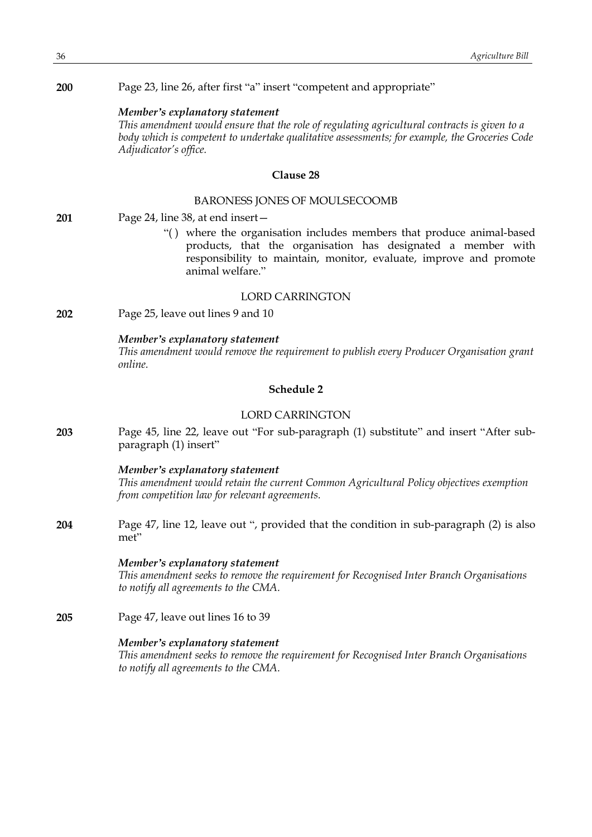**200** Page 23, line 26, after first "a" insert "competent and appropriate"

### *Member's explanatory statement*

*This amendment would ensure that the role of regulating agricultural contracts is given to a body which is competent to undertake qualitative assessments; for example, the Groceries Code Adjudicator's office.*

#### **Clause 28**

# BARONESS JONES OF MOULSECOOMB

**201** Page 24, line 38, at end insert—

"( ) where the organisation includes members that produce animal-based products, that the organisation has designated a member with responsibility to maintain, monitor, evaluate, improve and promote animal welfare"

# LORD CARRINGTON

**202** Page 25, leave out lines 9 and 10

#### *Member's explanatory statement*

*This amendment would remove the requirement to publish every Producer Organisation grant online.*

# **Schedule 2**

# LORD CARRINGTON

**203** Page 45, line 22, leave out "For sub-paragraph (1) substitute" and insert "After subparagraph (1) insert"

### *Member's explanatory statement*

*This amendment would retain the current Common Agricultural Policy objectives exemption from competition law for relevant agreements.*

**204** Page 47, line 12, leave out ", provided that the condition in sub-paragraph (2) is also met"

### *Member's explanatory statement*

*This amendment seeks to remove the requirement for Recognised Inter Branch Organisations to notify all agreements to the CMA.*

# **205** Page 47, leave out lines 16 to 39

# *Member's explanatory statement*

*This amendment seeks to remove the requirement for Recognised Inter Branch Organisations to notify all agreements to the CMA.*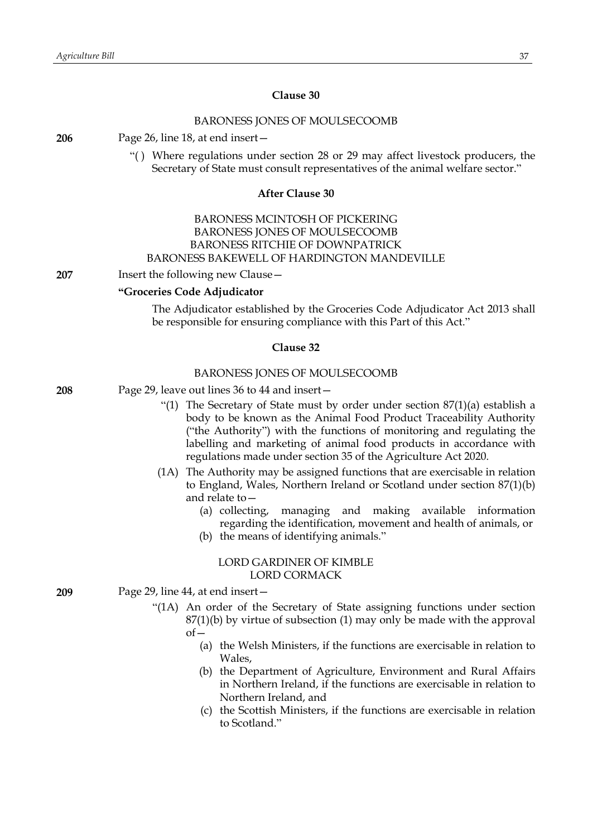## **Clause 30**

#### BARONESS JONES OF MOULSECOOMB

**206** Page 26, line 18, at end insert—

"( ) Where regulations under section 28 or 29 may affect livestock producers, the Secretary of State must consult representatives of the animal welfare sector."

# **After Clause 30**

# BARONESS MCINTOSH OF PICKERING BARONESS JONES OF MOULSECOOMB BARONESS RITCHIE OF DOWNPATRICK BARONESS BAKEWELL OF HARDINGTON MANDEVILLE

**207** Insert the following new Clause—

# **"Groceries Code Adjudicator**

The Adjudicator established by the Groceries Code Adjudicator Act 2013 shall be responsible for ensuring compliance with this Part of this Act."

## **Clause 32**

#### BARONESS JONES OF MOULSECOOMB

- **208** Page 29, leave out lines 36 to 44 and insert—
	- "(1) The Secretary of State must by order under section 87(1)(a) establish a body to be known as the Animal Food Product Traceability Authority ("the Authority") with the functions of monitoring and regulating the labelling and marketing of animal food products in accordance with regulations made under section 35 of the Agriculture Act 2020.
	- (1A) The Authority may be assigned functions that are exercisable in relation to England, Wales, Northern Ireland or Scotland under section 87(1)(b) and relate to—
		- (a) collecting, managing and making available information regarding the identification, movement and health of animals, or
		- (b) the means of identifying animals."

# LORD GARDINER OF KIMBLE LORD CORMACK

- **209** Page 29, line 44, at end insert—
	- "(1A) An order of the Secretary of State assigning functions under section 87(1)(b) by virtue of subsection (1) may only be made with the approval  $of –$ 
		-
		- (a) the Welsh Ministers, if the functions are exercisable in relation to Wales,
		- (b) the Department of Agriculture, Environment and Rural Affairs in Northern Ireland, if the functions are exercisable in relation to Northern Ireland, and
		- (c) the Scottish Ministers, if the functions are exercisable in relation to Scotland."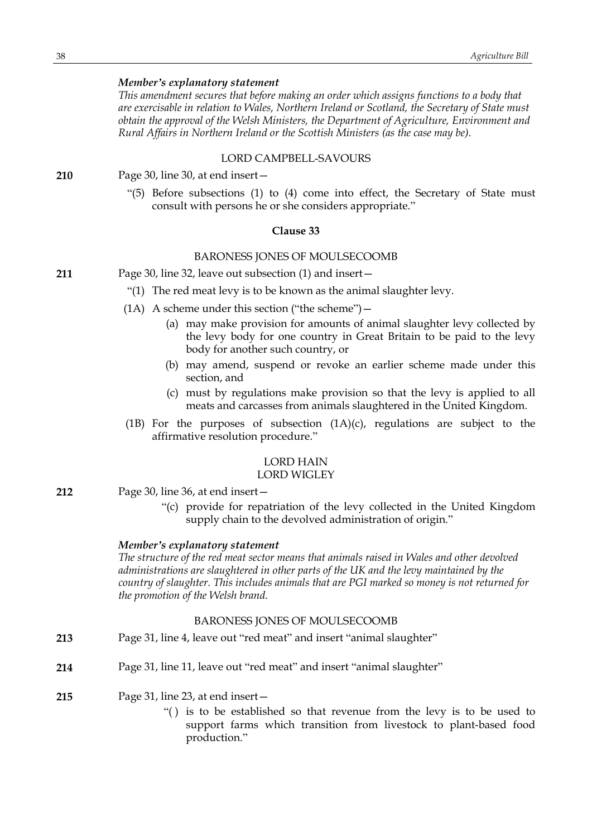## *Member's explanatory statement*

*This amendment secures that before making an order which assigns functions to a body that are exercisable in relation to Wales, Northern Ireland or Scotland, the Secretary of State must obtain the approval of the Welsh Ministers, the Department of Agriculture, Environment and Rural Affairs in Northern Ireland or the Scottish Ministers (as the case may be).*

## LORD CAMPBELL-SAVOURS

**210** Page 30, line 30, at end insert—

"(5) Before subsections (1) to (4) come into effect, the Secretary of State must consult with persons he or she considers appropriate."

#### **Clause 33**

### BARONESS JONES OF MOULSECOOMB

- **211** Page 30, line 32, leave out subsection (1) and insert—
	- "(1) The red meat levy is to be known as the animal slaughter levy.
	- (1A) A scheme under this section ("the scheme")—
		- (a) may make provision for amounts of animal slaughter levy collected by the levy body for one country in Great Britain to be paid to the levy body for another such country, or
		- (b) may amend, suspend or revoke an earlier scheme made under this section, and
		- (c) must by regulations make provision so that the levy is applied to all meats and carcasses from animals slaughtered in the United Kingdom.
	- (1B) For the purposes of subsection (1A)(c), regulations are subject to the affirmative resolution procedure."

#### LORD HAIN LORD WIGLEY

- **212** Page 30, line 36, at end insert—
	- "(c) provide for repatriation of the levy collected in the United Kingdom supply chain to the devolved administration of origin."

#### *Member's explanatory statement*

*The structure of the red meat sector means that animals raised in Wales and other devolved administrations are slaughtered in other parts of the UK and the levy maintained by the country of slaughter. This includes animals that are PGI marked so money is not returned for the promotion of the Welsh brand.*

#### BARONESS JONES OF MOULSECOOMB

- **213** Page 31, line 4, leave out "red meat" and insert "animal slaughter"
- **214** Page 31, line 11, leave out "red meat" and insert "animal slaughter"
- **215** Page 31, line 23, at end insert—
	- "( ) is to be established so that revenue from the levy is to be used to support farms which transition from livestock to plant-based food production."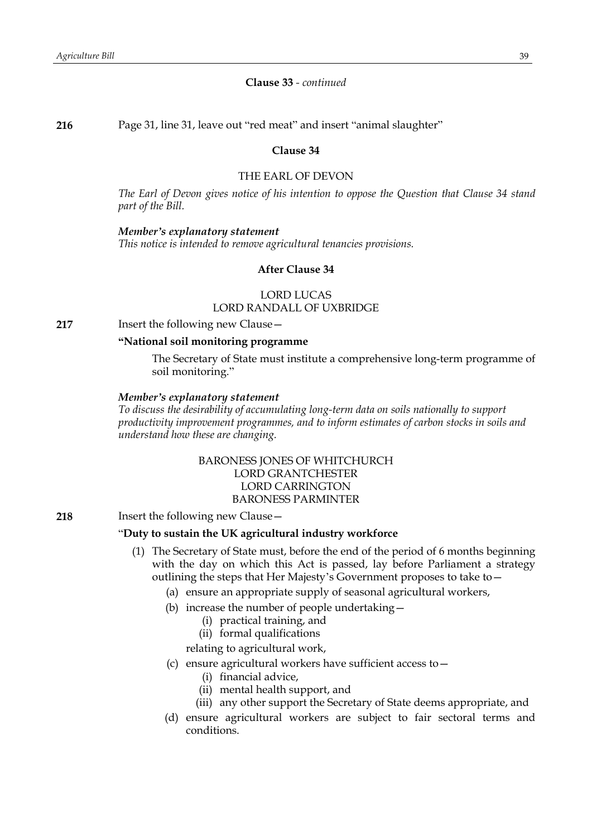# **Clause 33** *- continued*

**216** Page 31, line 31, leave out "red meat" and insert "animal slaughter"

### **Clause 34**

### THE EARL OF DEVON

*The Earl of Devon gives notice of his intention to oppose the Question that Clause 34 stand part of the Bill.*

#### *Member's explanatory statement*

*This notice is intended to remove agricultural tenancies provisions.*

## **After Clause 34**

LORD LUCAS LORD RANDALL OF UXBRIDGE

# **217** Insert the following new Clause—

# **"National soil monitoring programme**

The Secretary of State must institute a comprehensive long-term programme of soil monitoring."

## *Member's explanatory statement*

*To discuss the desirability of accumulating long-term data on soils nationally to support productivity improvement programmes, and to inform estimates of carbon stocks in soils and understand how these are changing.*

# BARONESS JONES OF WHITCHURCH LORD GRANTCHESTER LORD CARRINGTON BARONESS PARMINTER

**218** Insert the following new Clause -

## "**Duty to sustain the UK agricultural industry workforce**

- (1) The Secretary of State must, before the end of the period of 6 months beginning with the day on which this Act is passed, lay before Parliament a strategy outlining the steps that Her Majesty's Government proposes to take to—
	- (a) ensure an appropriate supply of seasonal agricultural workers,
	- (b) increase the number of people undertaking—
		- (i) practical training, and
		- (ii) formal qualifications

relating to agricultural work,

- (c) ensure agricultural workers have sufficient access to—
	- (i) financial advice,
	- (ii) mental health support, and
	- (iii) any other support the Secretary of State deems appropriate, and
- (d) ensure agricultural workers are subject to fair sectoral terms and conditions.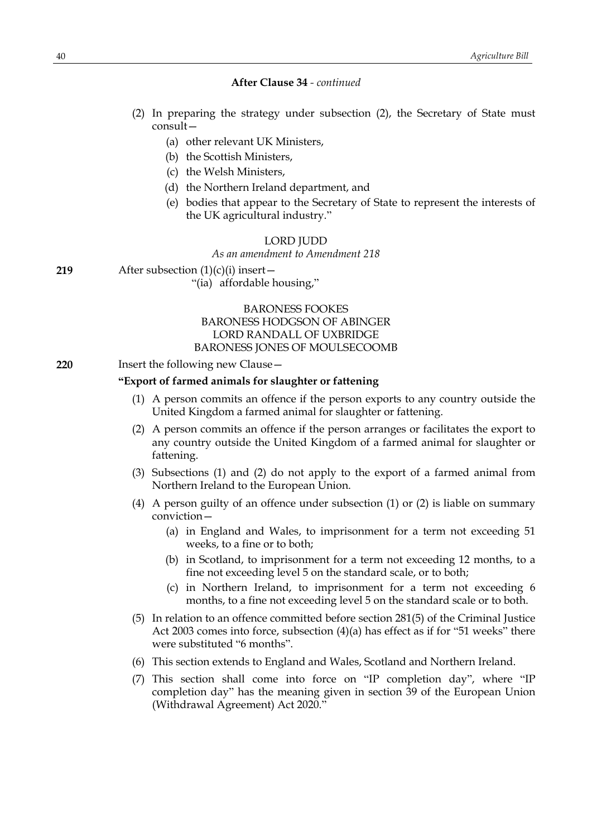- (2) In preparing the strategy under subsection (2), the Secretary of State must consult—
	- (a) other relevant UK Ministers,
	- (b) the Scottish Ministers,
	- (c) the Welsh Ministers,
	- (d) the Northern Ireland department, and
	- (e) bodies that appear to the Secretary of State to represent the interests of the UK agricultural industry."

#### LORD **JUDD**

#### *As an amendment to Amendment 218*

**219** After subsection  $(1)(c)(i)$  insert—

"(ia) affordable housing,"

# BARONESS FOOKES BARONESS HODGSON OF ABINGER LORD RANDALL OF UXBRIDGE BARONESS JONES OF MOULSECOOMB

#### **220** Insert the following new Clause—

#### **"Export of farmed animals for slaughter or fattening**

- (1) A person commits an offence if the person exports to any country outside the United Kingdom a farmed animal for slaughter or fattening.
- (2) A person commits an offence if the person arranges or facilitates the export to any country outside the United Kingdom of a farmed animal for slaughter or fattening.
- (3) Subsections (1) and (2) do not apply to the export of a farmed animal from Northern Ireland to the European Union.
- (4) A person guilty of an offence under subsection (1) or (2) is liable on summary conviction—
	- (a) in England and Wales, to imprisonment for a term not exceeding 51 weeks, to a fine or to both;
	- (b) in Scotland, to imprisonment for a term not exceeding 12 months, to a fine not exceeding level 5 on the standard scale, or to both;
	- (c) in Northern Ireland, to imprisonment for a term not exceeding 6 months, to a fine not exceeding level 5 on the standard scale or to both.
- (5) In relation to an offence committed before section 281(5) of the Criminal Justice Act 2003 comes into force, subsection (4)(a) has effect as if for "51 weeks" there were substituted "6 months".
- (6) This section extends to England and Wales, Scotland and Northern Ireland.
- (7) This section shall come into force on "IP completion day", where "IP completion day" has the meaning given in section 39 of the European Union (Withdrawal Agreement) Act 2020."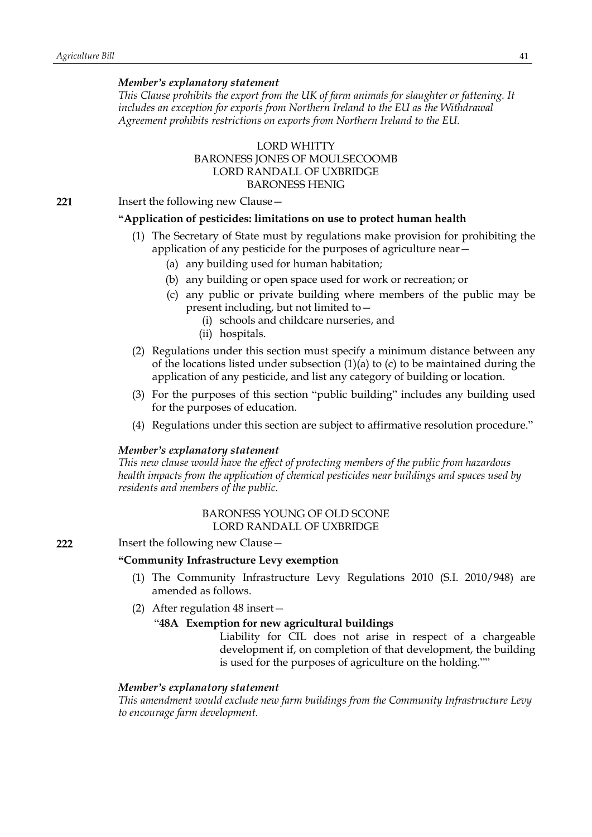## *Member's explanatory statement*

*This Clause prohibits the export from the UK of farm animals for slaughter or fattening. It includes an exception for exports from Northern Ireland to the EU as the Withdrawal Agreement prohibits restrictions on exports from Northern Ireland to the EU.*

# LORD WHITTY BARONESS JONES OF MOULSECOOMB LORD RANDALL OF UXBRIDGE BARONESS HENIG

**221** Insert the following new Clause –

#### **"Application of pesticides: limitations on use to protect human health**

- (1) The Secretary of State must by regulations make provision for prohibiting the application of any pesticide for the purposes of agriculture near—
	- (a) any building used for human habitation;
	- (b) any building or open space used for work or recreation; or
	- (c) any public or private building where members of the public may be present including, but not limited to—
		- (i) schools and childcare nurseries, and
		- (ii) hospitals.
- (2) Regulations under this section must specify a minimum distance between any of the locations listed under subsection  $(1)(a)$  to  $(c)$  to be maintained during the application of any pesticide, and list any category of building or location.
- (3) For the purposes of this section "public building" includes any building used for the purposes of education.
- (4) Regulations under this section are subject to affirmative resolution procedure."

## *Member's explanatory statement*

*This new clause would have the effect of protecting members of the public from hazardous health impacts from the application of chemical pesticides near buildings and spaces used by residents and members of the public.*

## BARONESS YOUNG OF OLD SCONE LORD RANDALL OF UXBRIDGE

**222** Insert the following new Clause—

## **"Community Infrastructure Levy exemption**

- (1) The Community Infrastructure Levy Regulations 2010 (S.I. 2010/948) are amended as follows.
- (2) After regulation 48 insert—

## "**48A Exemption for new agricultural buildings**

Liability for CIL does not arise in respect of a chargeable development if, on completion of that development, the building is used for the purposes of agriculture on the holding.""

#### *Member's explanatory statement*

*This amendment would exclude new farm buildings from the Community Infrastructure Levy to encourage farm development.*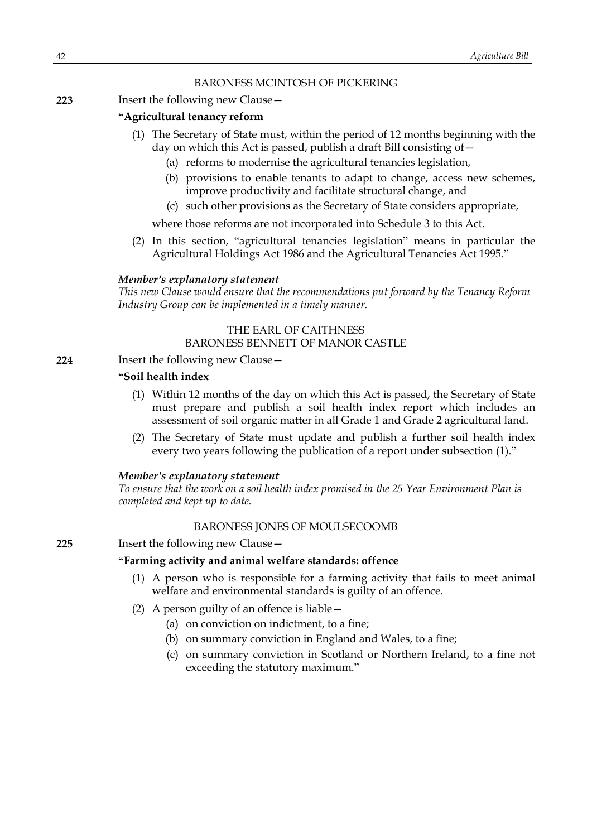## BARONESS MCINTOSH OF PICKERING

#### **223** Insert the following new Clause—

# **"Agricultural tenancy reform**

- (1) The Secretary of State must, within the period of 12 months beginning with the day on which this Act is passed, publish a draft Bill consisting of—
	- (a) reforms to modernise the agricultural tenancies legislation,
	- (b) provisions to enable tenants to adapt to change, access new schemes, improve productivity and facilitate structural change, and
	- (c) such other provisions as the Secretary of State considers appropriate,
	- where those reforms are not incorporated into Schedule 3 to this Act.
- (2) In this section, "agricultural tenancies legislation" means in particular the Agricultural Holdings Act 1986 and the Agricultural Tenancies Act 1995."

## *Member's explanatory statement*

*This new Clause would ensure that the recommendations put forward by the Tenancy Reform Industry Group can be implemented in a timely manner.*

# THE EARL OF CAITHNESS BARONESS BENNETT OF MANOR CASTLE

## **224** Insert the following new Clause—

# **"Soil health index**

- (1) Within 12 months of the day on which this Act is passed, the Secretary of State must prepare and publish a soil health index report which includes an assessment of soil organic matter in all Grade 1 and Grade 2 agricultural land.
- (2) The Secretary of State must update and publish a further soil health index every two years following the publication of a report under subsection (1)."

### *Member's explanatory statement*

*To ensure that the work on a soil health index promised in the 25 Year Environment Plan is completed and kept up to date.*

# BARONESS JONES OF MOULSECOOMB

### **225** Insert the following new Clause—

## **"Farming activity and animal welfare standards: offence**

- (1) A person who is responsible for a farming activity that fails to meet animal welfare and environmental standards is guilty of an offence.
- (2) A person guilty of an offence is liable—
	- (a) on conviction on indictment, to a fine;
		- (b) on summary conviction in England and Wales, to a fine;
		- (c) on summary conviction in Scotland or Northern Ireland, to a fine not exceeding the statutory maximum."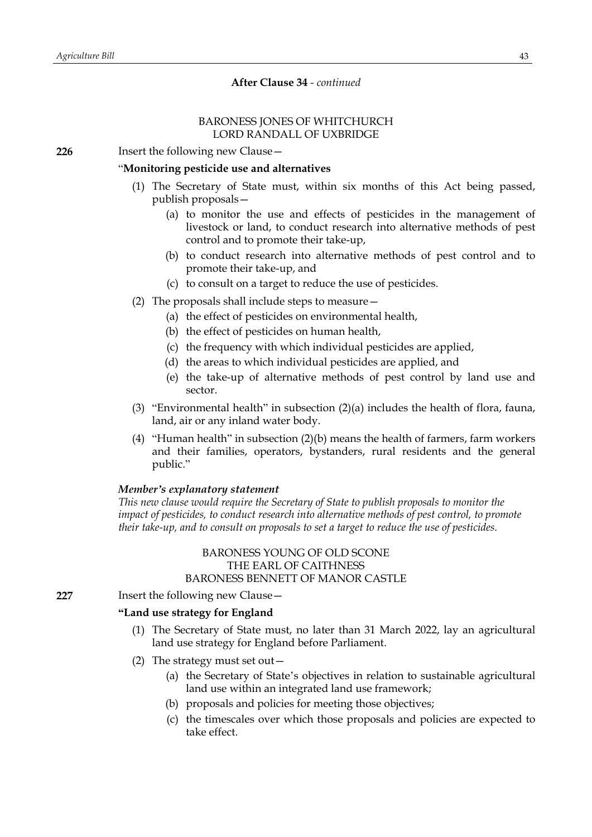### BARONESS JONES OF WHITCHURCH LORD RANDALL OF UXBRIDGE

**226** Insert the following new Clause—

## "**Monitoring pesticide use and alternatives**

- (1) The Secretary of State must, within six months of this Act being passed, publish proposals—
	- (a) to monitor the use and effects of pesticides in the management of livestock or land, to conduct research into alternative methods of pest control and to promote their take-up,
	- (b) to conduct research into alternative methods of pest control and to promote their take-up, and
	- (c) to consult on a target to reduce the use of pesticides.
- (2) The proposals shall include steps to measure—
	- (a) the effect of pesticides on environmental health,
	- (b) the effect of pesticides on human health,
	- (c) the frequency with which individual pesticides are applied,
	- (d) the areas to which individual pesticides are applied, and
	- (e) the take-up of alternative methods of pest control by land use and sector.
- (3) "Environmental health" in subsection (2)(a) includes the health of flora, fauna, land, air or any inland water body.
- (4) "Human health" in subsection (2)(b) means the health of farmers, farm workers and their families, operators, bystanders, rural residents and the general public."

#### *Member's explanatory statement*

*This new clause would require the Secretary of State to publish proposals to monitor the impact of pesticides, to conduct research into alternative methods of pest control, to promote their take-up, and to consult on proposals to set a target to reduce the use of pesticides.*

# BARONESS YOUNG OF OLD SCONE THE EARL OF CAITHNESS BARONESS BENNETT OF MANOR CASTLE

**227** Insert the following new Clause—

## **"Land use strategy for England**

- (1) The Secretary of State must, no later than 31 March 2022, lay an agricultural land use strategy for England before Parliament.
- (2) The strategy must set out—
	- (a) the Secretary of State's objectives in relation to sustainable agricultural land use within an integrated land use framework;
	- (b) proposals and policies for meeting those objectives;
	- (c) the timescales over which those proposals and policies are expected to take effect.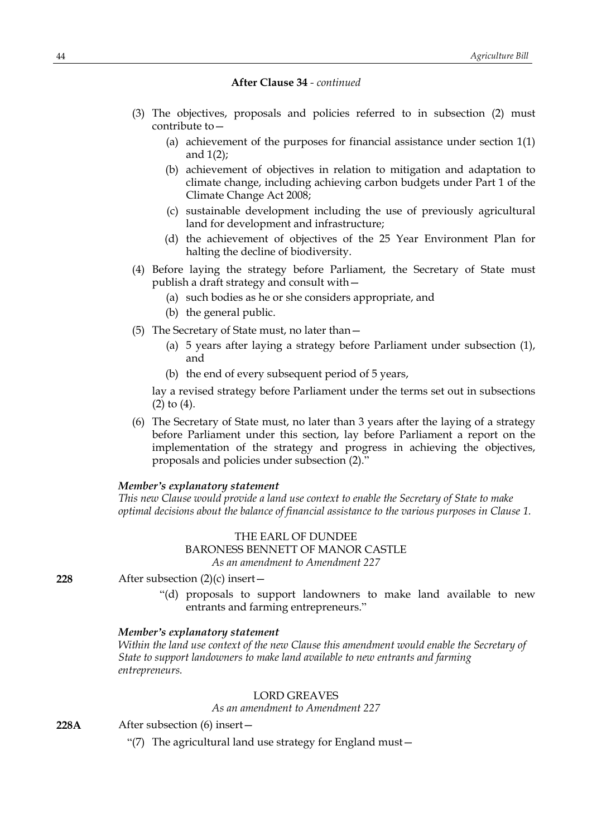- (3) The objectives, proposals and policies referred to in subsection (2) must contribute to—
	- (a) achievement of the purposes for financial assistance under section 1(1) and 1(2);
	- (b) achievement of objectives in relation to mitigation and adaptation to climate change, including achieving carbon budgets under Part 1 of the Climate Change Act 2008;
	- (c) sustainable development including the use of previously agricultural land for development and infrastructure;
	- (d) the achievement of objectives of the 25 Year Environment Plan for halting the decline of biodiversity.
- (4) Before laying the strategy before Parliament, the Secretary of State must publish a draft strategy and consult with—
	- (a) such bodies as he or she considers appropriate, and
	- (b) the general public.
- (5) The Secretary of State must, no later than—
	- (a) 5 years after laying a strategy before Parliament under subsection (1), and
	- (b) the end of every subsequent period of 5 years,

lay a revised strategy before Parliament under the terms set out in subsections (2) to (4).

(6) The Secretary of State must, no later than 3 years after the laying of a strategy before Parliament under this section, lay before Parliament a report on the implementation of the strategy and progress in achieving the objectives, proposals and policies under subsection (2)."

### *Member's explanatory statement*

*This new Clause would provide a land use context to enable the Secretary of State to make optimal decisions about the balance of financial assistance to the various purposes in Clause 1.*

## THE EARL OF DUNDEE BARONESS BENNETT OF MANOR CASTLE *As an amendment to Amendment 227*

**228** After subsection (2)(c) insert—

"(d) proposals to support landowners to make land available to new entrants and farming entrepreneurs."

#### *Member's explanatory statement*

*Within the land use context of the new Clause this amendment would enable the Secretary of State to support landowners to make land available to new entrants and farming entrepreneurs.*

# LORD GREAVES

*As an amendment to Amendment 227*

**228A** After subsection (6) insert—

"(7) The agricultural land use strategy for England must—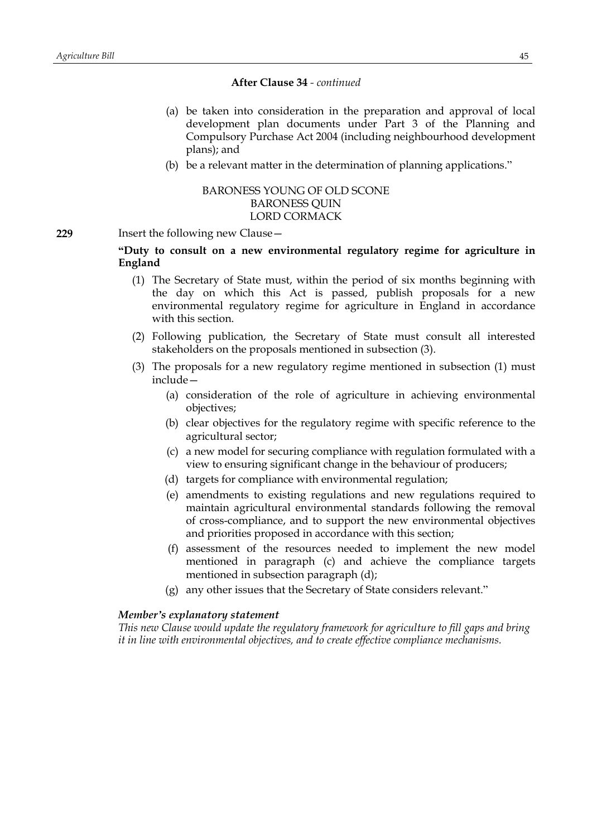- (a) be taken into consideration in the preparation and approval of local development plan documents under Part 3 of the Planning and Compulsory Purchase Act 2004 (including neighbourhood development plans); and
- (b) be a relevant matter in the determination of planning applications."

# BARONESS YOUNG OF OLD SCONE BARONESS QUIN LORD CORMACK

**229** Insert the following new Clause—

# **"Duty to consult on a new environmental regulatory regime for agriculture in England**

- (1) The Secretary of State must, within the period of six months beginning with the day on which this Act is passed, publish proposals for a new environmental regulatory regime for agriculture in England in accordance with this section.
- (2) Following publication, the Secretary of State must consult all interested stakeholders on the proposals mentioned in subsection (3).
- (3) The proposals for a new regulatory regime mentioned in subsection (1) must include—
	- (a) consideration of the role of agriculture in achieving environmental objectives;
	- (b) clear objectives for the regulatory regime with specific reference to the agricultural sector;
	- (c) a new model for securing compliance with regulation formulated with a view to ensuring significant change in the behaviour of producers;
	- (d) targets for compliance with environmental regulation;
	- (e) amendments to existing regulations and new regulations required to maintain agricultural environmental standards following the removal of cross-compliance, and to support the new environmental objectives and priorities proposed in accordance with this section;
	- (f) assessment of the resources needed to implement the new model mentioned in paragraph (c) and achieve the compliance targets mentioned in subsection paragraph (d);
	- (g) any other issues that the Secretary of State considers relevant."

## *Member's explanatory statement*

*This new Clause would update the regulatory framework for agriculture to fill gaps and bring it in line with environmental objectives, and to create effective compliance mechanisms.*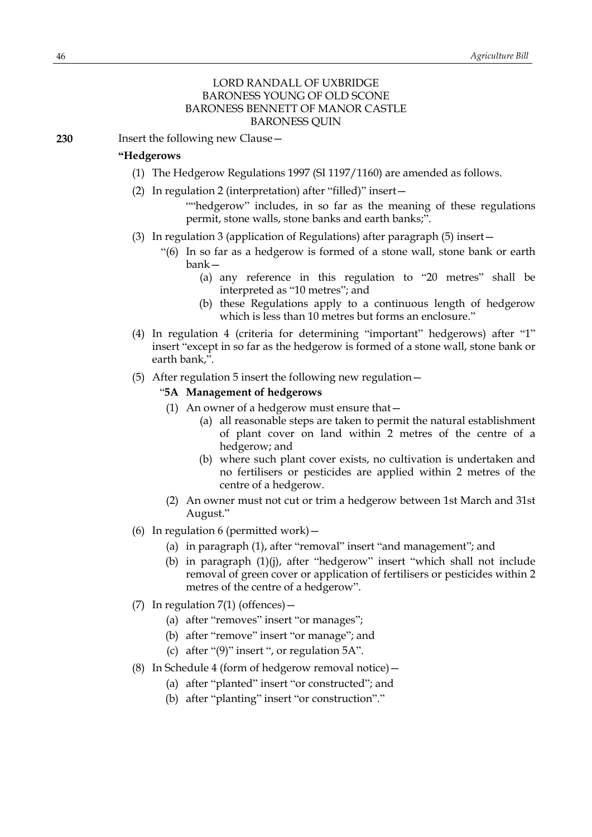# LORD RANDALL OF UXBRIDGE BARONESS YOUNG OF OLD SCONE BARONESS BENNETT OF MANOR CASTLE BARONESS QUIN

**230** Insert the following new Clause—

## **"Hedgerows**

- (1) The Hedgerow Regulations 1997 (SI 1197/1160) are amended as follows.
- (2) In regulation 2 (interpretation) after "filled)" insert—
	- ""hedgerow" includes, in so far as the meaning of these regulations permit, stone walls, stone banks and earth banks;".
- (3) In regulation 3 (application of Regulations) after paragraph (5) insert—
	- "(6) In so far as a hedgerow is formed of a stone wall, stone bank or earth bank—
		- (a) any reference in this regulation to "20 metres" shall be interpreted as "10 metres"; and
		- (b) these Regulations apply to a continuous length of hedgerow which is less than 10 metres but forms an enclosure."
- (4) In regulation 4 (criteria for determining "important" hedgerows) after "1" insert "except in so far as the hedgerow is formed of a stone wall, stone bank or earth bank,".
- (5) After regulation 5 insert the following new regulation—

### "**5A Management of hedgerows**

- (1) An owner of a hedgerow must ensure that—
	- (a) all reasonable steps are taken to permit the natural establishment of plant cover on land within 2 metres of the centre of a hedgerow; and
	- (b) where such plant cover exists, no cultivation is undertaken and no fertilisers or pesticides are applied within 2 metres of the centre of a hedgerow.
- (2) An owner must not cut or trim a hedgerow between 1st March and 31st August."
- (6) In regulation 6 (permitted work)  $-$ 
	- (a) in paragraph (1), after "removal" insert "and management"; and
	- (b) in paragraph (1)(j), after "hedgerow" insert "which shall not include removal of green cover or application of fertilisers or pesticides within 2 metres of the centre of a hedgerow".
- (7) In regulation  $7(1)$  (offences)  $-$ 
	- (a) after "removes" insert "or manages";
	- (b) after "remove" insert "or manage"; and
	- (c) after "(9)" insert ", or regulation 5A".
- (8) In Schedule 4 (form of hedgerow removal notice)—
	- (a) after "planted" insert "or constructed"; and
	- (b) after "planting" insert "or construction"."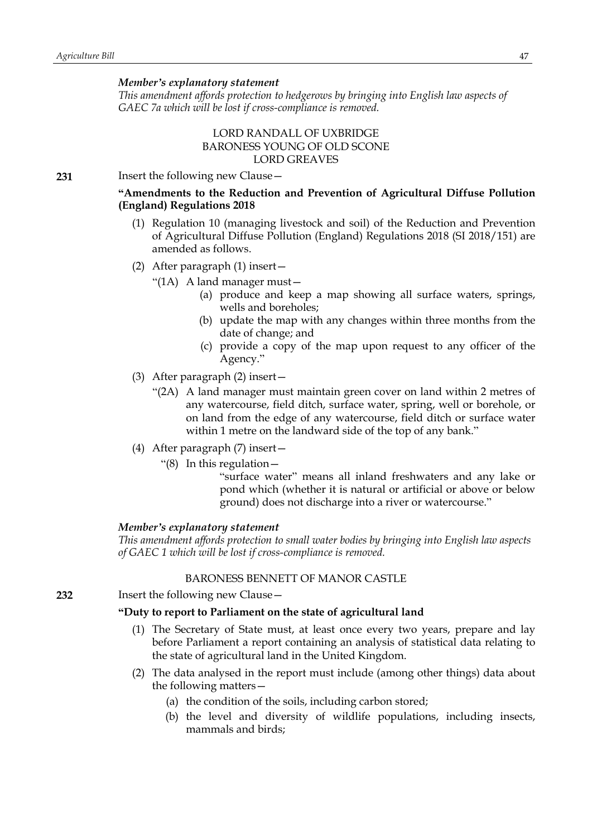### *Member's explanatory statement*

*This amendment affords protection to hedgerows by bringing into English law aspects of GAEC 7a which will be lost if cross-compliance is removed.*

# LORD RANDALL OF UXBRIDGE BARONESS YOUNG OF OLD SCONE LORD GREAVES

**231** Insert the following new Clause—

# **"Amendments to the Reduction and Prevention of Agricultural Diffuse Pollution (England) Regulations 2018**

- (1) Regulation 10 (managing livestock and soil) of the Reduction and Prevention of Agricultural Diffuse Pollution (England) Regulations 2018 (SI 2018/151) are amended as follows.
- (2) After paragraph (1) insert—
	- "(1A) A land manager must—
		- (a) produce and keep a map showing all surface waters, springs, wells and boreholes;
		- (b) update the map with any changes within three months from the date of change; and
		- (c) provide a copy of the map upon request to any officer of the Agency."
- (3) After paragraph (2) insert—
	- "(2A) A land manager must maintain green cover on land within 2 metres of any watercourse, field ditch, surface water, spring, well or borehole, or on land from the edge of any watercourse, field ditch or surface water within 1 metre on the landward side of the top of any bank."
- (4) After paragraph (7) insert—
	- "(8) In this regulation—

"surface water" means all inland freshwaters and any lake or pond which (whether it is natural or artificial or above or below ground) does not discharge into a river or watercourse."

### *Member's explanatory statement*

*This amendment affords protection to small water bodies by bringing into English law aspects of GAEC 1 which will be lost if cross-compliance is removed.*

## BARONESS BENNETT OF MANOR CASTLE

**232** Insert the following new Clause—

## **"Duty to report to Parliament on the state of agricultural land**

- (1) The Secretary of State must, at least once every two years, prepare and lay before Parliament a report containing an analysis of statistical data relating to the state of agricultural land in the United Kingdom.
- (2) The data analysed in the report must include (among other things) data about the following matters—
	- (a) the condition of the soils, including carbon stored;
	- (b) the level and diversity of wildlife populations, including insects, mammals and birds;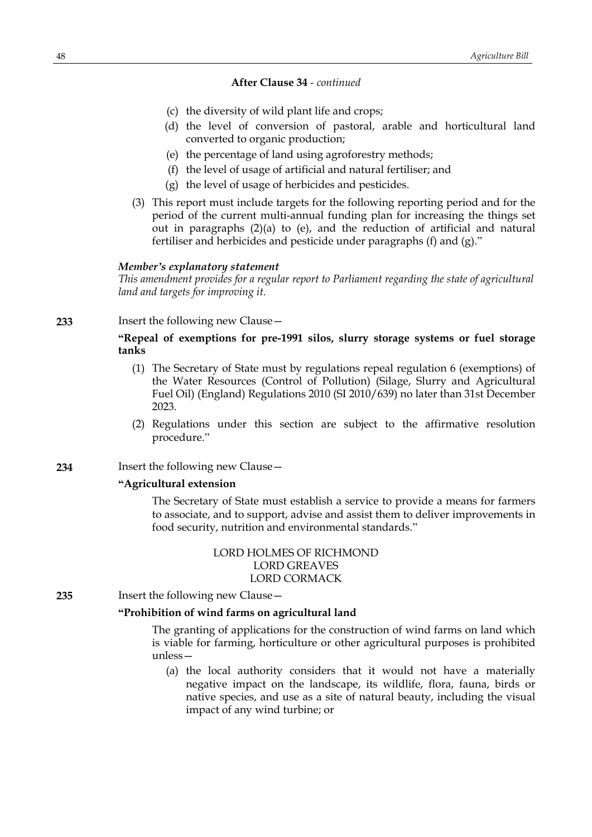- (c) the diversity of wild plant life and crops;
- (d) the level of conversion of pastoral, arable and horticultural land converted to organic production;
- (e) the percentage of land using agroforestry methods;
- (f) the level of usage of artificial and natural fertiliser; and
- (g) the level of usage of herbicides and pesticides.
- (3) This report must include targets for the following reporting period and for the period of the current multi-annual funding plan for increasing the things set out in paragraphs (2)(a) to (e), and the reduction of artificial and natural fertiliser and herbicides and pesticide under paragraphs (f) and (g)."

#### *Member's explanatory statement*

*This amendment provides for a regular report to Parliament regarding the state of agricultural land and targets for improving it.*

**233** Insert the following new Clause—

# **"Repeal of exemptions for pre-1991 silos, slurry storage systems or fuel storage tanks**

- (1) The Secretary of State must by regulations repeal regulation 6 (exemptions) of the Water Resources (Control of Pollution) (Silage, Slurry and Agricultural Fuel Oil) (England) Regulations 2010 (SI 2010/639) no later than 31st December 2023.
- (2) Regulations under this section are subject to the affirmative resolution procedure."
- **234** Insert the following new Clause—

## **"Agricultural extension**

The Secretary of State must establish a service to provide a means for farmers to associate, and to support, advise and assist them to deliver improvements in food security, nutrition and environmental standards."

> LORD HOLMES OF RICHMOND LORD GREAVES LORD CORMACK

**235** Insert the following new Clause—

## **"Prohibition of wind farms on agricultural land**

The granting of applications for the construction of wind farms on land which is viable for farming, horticulture or other agricultural purposes is prohibited unless—

(a) the local authority considers that it would not have a materially negative impact on the landscape, its wildlife, flora, fauna, birds or native species, and use as a site of natural beauty, including the visual impact of any wind turbine; or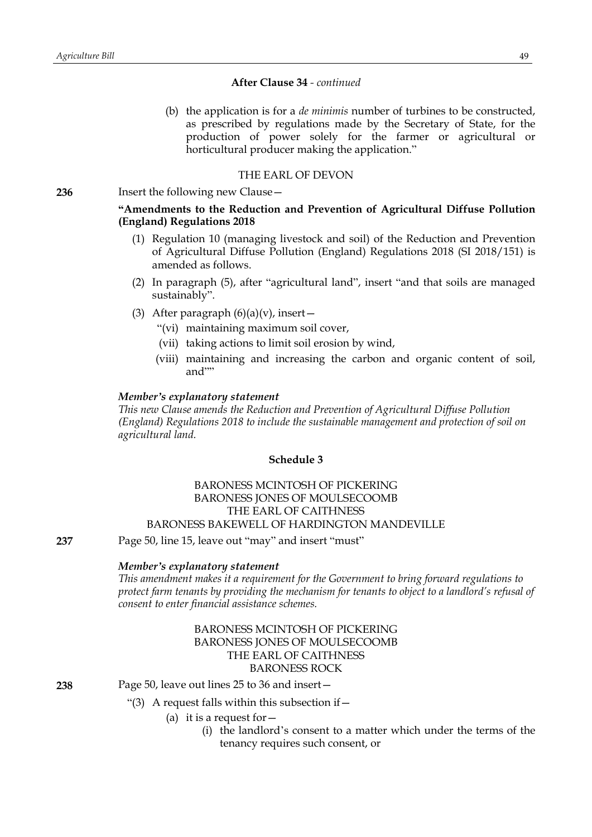(b) the application is for a *de minimis* number of turbines to be constructed, as prescribed by regulations made by the Secretary of State, for the production of power solely for the farmer or agricultural or horticultural producer making the application."

## THE EARL OF DEVON

**236** Insert the following new Clause—

## **"Amendments to the Reduction and Prevention of Agricultural Diffuse Pollution (England) Regulations 2018**

- (1) Regulation 10 (managing livestock and soil) of the Reduction and Prevention of Agricultural Diffuse Pollution (England) Regulations 2018 (SI 2018/151) is amended as follows.
- (2) In paragraph (5), after "agricultural land", insert "and that soils are managed sustainably".
- (3) After paragraph  $(6)(a)(v)$ , insert
	- "(vi) maintaining maximum soil cover,
	- (vii) taking actions to limit soil erosion by wind,
	- (viii) maintaining and increasing the carbon and organic content of soil, and""

# *Member's explanatory statement*

*This new Clause amends the Reduction and Prevention of Agricultural Diffuse Pollution (England) Regulations 2018 to include the sustainable management and protection of soil on agricultural land.*

### **Schedule 3**

# BARONESS MCINTOSH OF PICKERING BARONESS JONES OF MOULSECOOMB THE EARL OF CAITHNESS BARONESS BAKEWELL OF HARDINGTON MANDEVILLE

**237** Page 50, line 15, leave out "may" and insert "must"

### *Member's explanatory statement*

*This amendment makes it a requirement for the Government to bring forward regulations to protect farm tenants by providing the mechanism for tenants to object to a landlord's refusal of consent to enter financial assistance schemes.*

# BARONESS MCINTOSH OF PICKERING BARONESS JONES OF MOULSECOOMB THE EARL OF CAITHNESS BARONESS ROCK

**238** Page 50, leave out lines 25 to 36 and insert—

## "(3) A request falls within this subsection if  $-$

- (a) it is a request for  $-$ 
	- (i) the landlord's consent to a matter which under the terms of the tenancy requires such consent, or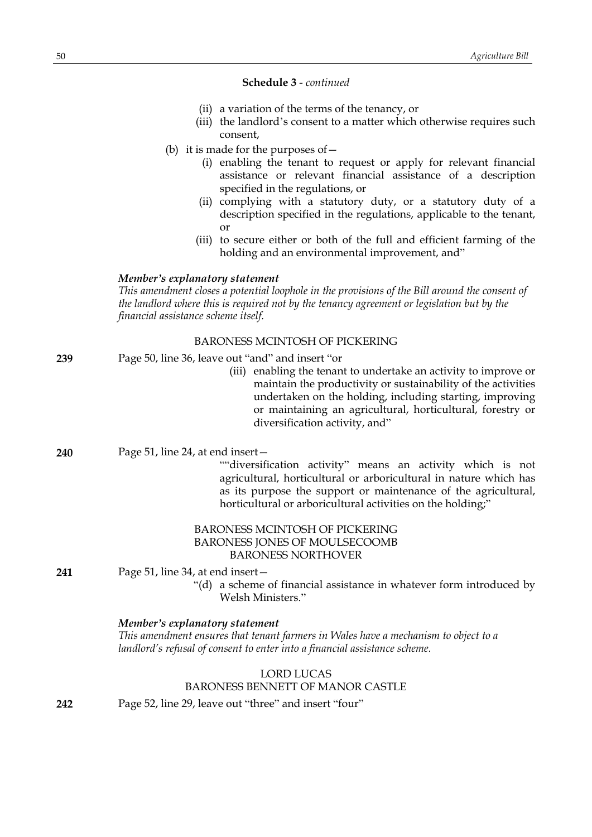# **Schedule 3** *- continued*

- (ii) a variation of the terms of the tenancy, or
- (iii) the landlord's consent to a matter which otherwise requires such consent,
- (b) it is made for the purposes of  $-$ 
	- (i) enabling the tenant to request or apply for relevant financial assistance or relevant financial assistance of a description specified in the regulations, or
	- (ii) complying with a statutory duty, or a statutory duty of a description specified in the regulations, applicable to the tenant, or
	- (iii) to secure either or both of the full and efficient farming of the holding and an environmental improvement, and"

# *Member's explanatory statement*

*This amendment closes a potential loophole in the provisions of the Bill around the consent of the landlord where this is required not by the tenancy agreement or legislation but by the financial assistance scheme itself.*

# BARONESS MCINTOSH OF PICKERING

| 239 | Page 50, line 36, leave out "and" and insert "or<br>(iii) enabling the tenant to undertake an activity to improve or          |
|-----|-------------------------------------------------------------------------------------------------------------------------------|
|     | maintain the productivity or sustainability of the activities                                                                 |
|     | undertaken on the holding, including starting, improving                                                                      |
|     | or maintaining an agricultural, horticultural, forestry or<br>diversification activity, and"                                  |
| 240 | Page 51, line 24, at end insert -                                                                                             |
|     | ""diversification activity" means an activity which is not                                                                    |
|     | agricultural, horticultural or arboricultural in nature which has                                                             |
|     | as its purpose the support or maintenance of the agricultural,<br>horticultural or arboricultural activities on the holding;" |
|     | <b>BARONESS MCINTOSH OF PICKERING</b>                                                                                         |
|     | <b>BARONESS JONES OF MOULSECOOMB</b><br><b>BARONESS NORTHOVER</b>                                                             |
| 241 | Page 51, line 34, at end insert-                                                                                              |
|     | "(d) a scheme of financial assistance in whatever form introduced by<br>Welsh Ministers."                                     |
|     | Member's explanatory statement                                                                                                |
|     | This amendment ensures that tenant farmers in Wales have a mechanism to object to a                                           |
|     | landlord's refusal of consent to enter into a financial assistance scheme.                                                    |
|     | <b>LORD LUCAS</b>                                                                                                             |
|     | <b>BARONESS BENNETT OF MANOR CASTLE</b>                                                                                       |
| 242 | Page 52, line 29, leave out "three" and insert "four"                                                                         |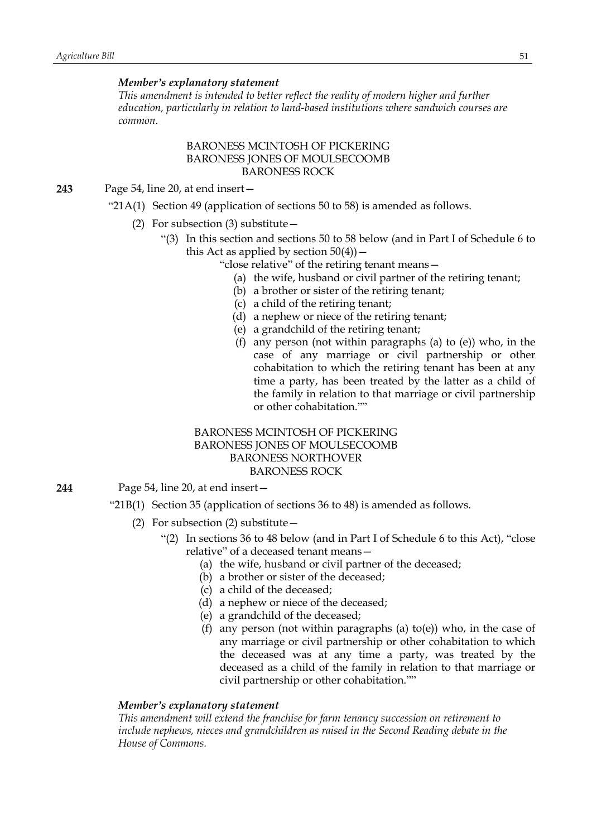### *Member's explanatory statement*

*This amendment is intended to better reflect the reality of modern higher and further education, particularly in relation to land-based institutions where sandwich courses are common.*

## BARONESS MCINTOSH OF PICKERING BARONESS JONES OF MOULSECOOMB BARONESS ROCK

- **243** Page 54, line 20, at end insert—
	- "21A(1) Section 49 (application of sections 50 to 58) is amended as follows.
		- (2) For subsection (3) substitute—
			- "(3) In this section and sections 50 to 58 below (and in Part I of Schedule 6 to this Act as applied by section  $50(4)$ ) –
				- "close relative" of the retiring tenant means—
					- (a) the wife, husband or civil partner of the retiring tenant;
					- (b) a brother or sister of the retiring tenant;
					- (c) a child of the retiring tenant;
					- (d) a nephew or niece of the retiring tenant;
					- (e) a grandchild of the retiring tenant;
					- (f) any person (not within paragraphs (a) to (e)) who, in the case of any marriage or civil partnership or other cohabitation to which the retiring tenant has been at any time a party, has been treated by the latter as a child of the family in relation to that marriage or civil partnership or other cohabitation.""

# BARONESS MCINTOSH OF PICKERING BARONESS JONES OF MOULSECOOMB BARONESS NORTHOVER BARONESS ROCK

**244** Page 54, line 20, at end insert—

- "21B(1) Section 35 (application of sections 36 to 48) is amended as follows.
	- (2) For subsection (2) substitute—
		- "(2) In sections 36 to 48 below (and in Part I of Schedule 6 to this Act), "close relative" of a deceased tenant means—
			- (a) the wife, husband or civil partner of the deceased;
			- (b) a brother or sister of the deceased;
			- (c) a child of the deceased;
			- (d) a nephew or niece of the deceased;
			- (e) a grandchild of the deceased;
			- (f) any person (not within paragraphs (a) to(e)) who, in the case of any marriage or civil partnership or other cohabitation to which the deceased was at any time a party, was treated by the deceased as a child of the family in relation to that marriage or civil partnership or other cohabitation.""

### *Member's explanatory statement*

*This amendment will extend the franchise for farm tenancy succession on retirement to include nephews, nieces and grandchildren as raised in the Second Reading debate in the House of Commons.*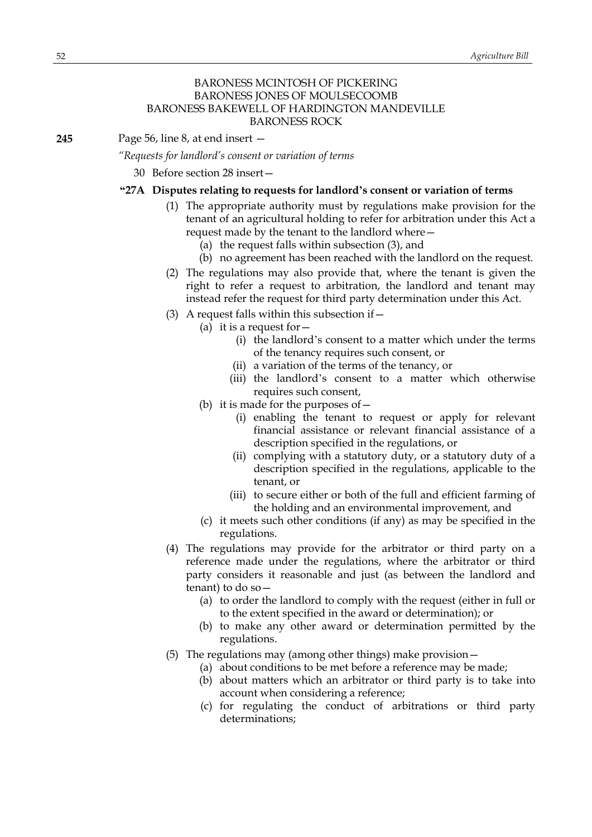# BARONESS MCINTOSH OF PICKERING BARONESS JONES OF MOULSECOOMB BARONESS BAKEWELL OF HARDINGTON MANDEVILLE BARONESS ROCK

**245** Page 56, line 8, at end insert —

#### *"Requests for landlord's consent or variation of terms*

30 Before section 28 insert—

# **"27A Disputes relating to requests for landlord's consent or variation of terms**

- (1) The appropriate authority must by regulations make provision for the tenant of an agricultural holding to refer for arbitration under this Act a request made by the tenant to the landlord where—
	- (a) the request falls within subsection (3), and
	- (b) no agreement has been reached with the landlord on the request.
- (2) The regulations may also provide that, where the tenant is given the right to refer a request to arbitration, the landlord and tenant may instead refer the request for third party determination under this Act.
- (3) A request falls within this subsection if  $-$ 
	- (a) it is a request for  $-$ 
		- (i) the landlord's consent to a matter which under the terms of the tenancy requires such consent, or
		- (ii) a variation of the terms of the tenancy, or
		- (iii) the landlord's consent to a matter which otherwise requires such consent,
	- (b) it is made for the purposes of  $-$ 
		- (i) enabling the tenant to request or apply for relevant financial assistance or relevant financial assistance of a description specified in the regulations, or
		- (ii) complying with a statutory duty, or a statutory duty of a description specified in the regulations, applicable to the tenant, or
		- (iii) to secure either or both of the full and efficient farming of the holding and an environmental improvement, and
	- (c) it meets such other conditions (if any) as may be specified in the regulations.
- (4) The regulations may provide for the arbitrator or third party on a reference made under the regulations, where the arbitrator or third party considers it reasonable and just (as between the landlord and tenant) to do so—
	- (a) to order the landlord to comply with the request (either in full or to the extent specified in the award or determination); or
	- (b) to make any other award or determination permitted by the regulations.
- (5) The regulations may (among other things) make provision—
	- (a) about conditions to be met before a reference may be made;
	- (b) about matters which an arbitrator or third party is to take into account when considering a reference;
	- (c) for regulating the conduct of arbitrations or third party determinations;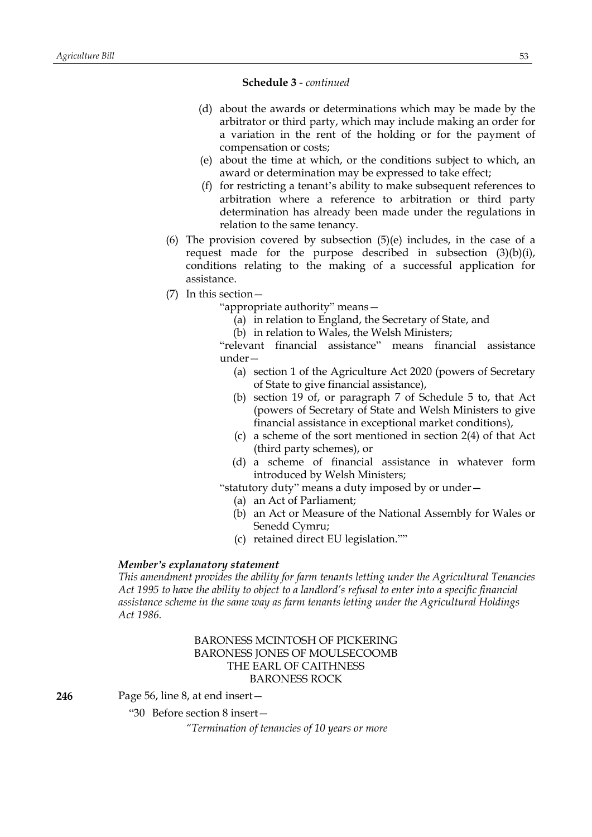### **Schedule 3** *- continued*

- (d) about the awards or determinations which may be made by the arbitrator or third party, which may include making an order for a variation in the rent of the holding or for the payment of compensation or costs;
- (e) about the time at which, or the conditions subject to which, an award or determination may be expressed to take effect;
- (f) for restricting a tenant's ability to make subsequent references to arbitration where a reference to arbitration or third party determination has already been made under the regulations in relation to the same tenancy.
- (6) The provision covered by subsection  $(5)(e)$  includes, in the case of a request made for the purpose described in subsection  $(3)(b)(i)$ , conditions relating to the making of a successful application for assistance.
- (7) In this section—
	- "appropriate authority" means—
		- (a) in relation to England, the Secretary of State, and
		- (b) in relation to Wales, the Welsh Ministers;

"relevant financial assistance" means financial assistance under—

- (a) section 1 of the Agriculture Act 2020 (powers of Secretary of State to give financial assistance),
- (b) section 19 of, or paragraph 7 of Schedule 5 to, that Act (powers of Secretary of State and Welsh Ministers to give financial assistance in exceptional market conditions),
- (c) a scheme of the sort mentioned in section 2(4) of that Act (third party schemes), or
- (d) a scheme of financial assistance in whatever form introduced by Welsh Ministers;
- "statutory duty" means a duty imposed by or under—
	- (a) an Act of Parliament;
	- (b) an Act or Measure of the National Assembly for Wales or Senedd Cymru;
	- (c) retained direct EU legislation.""

## *Member's explanatory statement*

*This amendment provides the ability for farm tenants letting under the Agricultural Tenancies Act 1995 to have the ability to object to a landlord's refusal to enter into a specific financial assistance scheme in the same way as farm tenants letting under the Agricultural Holdings Act 1986.*

# BARONESS MCINTOSH OF PICKERING BARONESS JONES OF MOULSECOOMB THE EARL OF CAITHNESS BARONESS ROCK

**246** Page 56, line 8, at end insert—

# "30 Before section 8 insert—

*"Termination of tenancies of 10 years or more*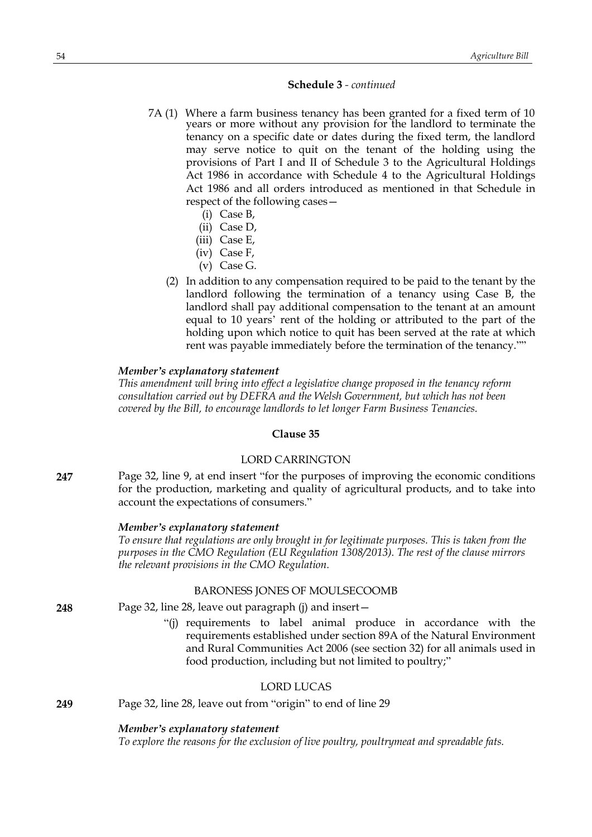#### **Schedule 3** *- continued*

- 7A (1) Where a farm business tenancy has been granted for a fixed term of 10 years or more without any provision for the landlord to terminate the tenancy on a specific date or dates during the fixed term, the landlord may serve notice to quit on the tenant of the holding using the provisions of Part I and II of Schedule 3 to the Agricultural Holdings Act 1986 in accordance with Schedule 4 to the Agricultural Holdings Act 1986 and all orders introduced as mentioned in that Schedule in respect of the following cases—
	- (i) Case B,
	- (ii) Case D,
	- (iii) Case E,
	- (iv) Case F,
	- (v) Case G.
	- (2) In addition to any compensation required to be paid to the tenant by the landlord following the termination of a tenancy using Case B, the landlord shall pay additional compensation to the tenant at an amount equal to 10 years' rent of the holding or attributed to the part of the holding upon which notice to quit has been served at the rate at which rent was payable immediately before the termination of the tenancy.""

### *Member's explanatory statement*

*This amendment will bring into effect a legislative change proposed in the tenancy reform consultation carried out by DEFRA and the Welsh Government, but which has not been covered by the Bill, to encourage landlords to let longer Farm Business Tenancies.*

## **Clause 35**

#### LORD CARRINGTON

**247** Page 32, line 9, at end insert "for the purposes of improving the economic conditions for the production, marketing and quality of agricultural products, and to take into account the expectations of consumers."

#### *Member's explanatory statement*

*To ensure that regulations are only brought in for legitimate purposes. This is taken from the purposes in the CMO Regulation (EU Regulation 1308/2013). The rest of the clause mirrors the relevant provisions in the CMO Regulation.*

## BARONESS JONES OF MOULSECOOMB

## **248** Page 32, line 28, leave out paragraph (j) and insert—

"(j) requirements to label animal produce in accordance with the requirements established under section 89A of the Natural Environment and Rural Communities Act 2006 (see section 32) for all animals used in food production, including but not limited to poultry;"

## LORD LUCAS

# **249** Page 32, line 28, leave out from "origin" to end of line 29

#### *Member's explanatory statement*

*To explore the reasons for the exclusion of live poultry, poultrymeat and spreadable fats.*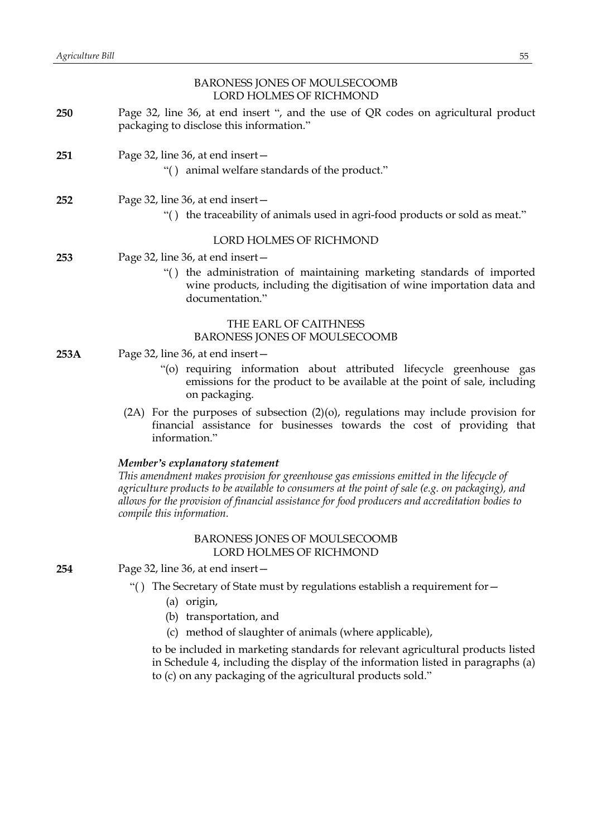# BARONESS JONES OF MOULSECOOMB LORD HOLMES OF RICHMOND

- **250** Page 32, line 36, at end insert ", and the use of QR codes on agricultural product packaging to disclose this information."
- **251** Page 32, line 36, at end insert—

"( ) animal welfare standards of the product."

## **252** Page 32, line 36, at end insert—

"( ) the traceability of animals used in agri-food products or sold as meat."

# LORD HOLMES OF RICHMOND

# **253** Page 32, line 36, at end insert—

"( ) the administration of maintaining marketing standards of imported wine products, including the digitisation of wine importation data and documentation."

# THE EARL OF CAITHNESS BARONESS JONES OF MOULSECOOMB

- **253A** Page 32, line 36, at end insert—
	- "(o) requiring information about attributed lifecycle greenhouse gas emissions for the product to be available at the point of sale, including on packaging.
	- (2A) For the purposes of subsection  $(2)(0)$ , regulations may include provision for financial assistance for businesses towards the cost of providing that information."

# *Member's explanatory statement*

*This amendment makes provision for greenhouse gas emissions emitted in the lifecycle of agriculture products to be available to consumers at the point of sale (e.g. on packaging), and allows for the provision of financial assistance for food producers and accreditation bodies to compile this information.*

# BARONESS JONES OF MOULSECOOMB LORD HOLMES OF RICHMOND

**254** Page 32, line 36, at end insert—

- "() The Secretary of State must by regulations establish a requirement for  $-$ 
	- (a) origin,
	- (b) transportation, and
	- (c) method of slaughter of animals (where applicable),

to be included in marketing standards for relevant agricultural products listed in Schedule 4, including the display of the information listed in paragraphs (a) to (c) on any packaging of the agricultural products sold."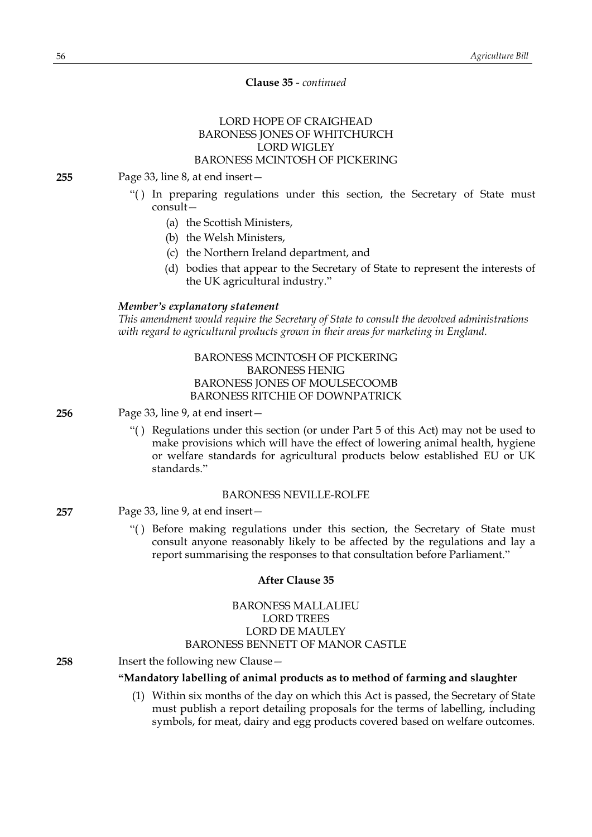## **Clause 35** *- continued*

# LORD HOPE OF CRAIGHEAD BARONESS JONES OF WHITCHURCH LORD WIGLEY BARONESS MCINTOSH OF PICKERING

**255** Page 33, line 8, at end insert—

- "( ) In preparing regulations under this section, the Secretary of State must consult—
	- (a) the Scottish Ministers,
	- (b) the Welsh Ministers,
	- (c) the Northern Ireland department, and
	- (d) bodies that appear to the Secretary of State to represent the interests of the UK agricultural industry."

#### *Member's explanatory statement*

*This amendment would require the Secretary of State to consult the devolved administrations with regard to agricultural products grown in their areas for marketing in England.*

# BARONESS MCINTOSH OF PICKERING BARONESS HENIG BARONESS JONES OF MOULSECOOMB BARONESS RITCHIE OF DOWNPATRICK

**256** Page 33, line 9, at end insert—

"( ) Regulations under this section (or under Part 5 of this Act) may not be used to make provisions which will have the effect of lowering animal health, hygiene or welfare standards for agricultural products below established EU or UK standards."

## BARONESS NEVILLE-ROLFE

**257** Page 33, line 9, at end insert—

"( ) Before making regulations under this section, the Secretary of State must consult anyone reasonably likely to be affected by the regulations and lay a report summarising the responses to that consultation before Parliament."

### **After Clause 35**

# BARONESS MALLALIEU LORD TREES LORD DE MAULEY BARONESS BENNETT OF MANOR CASTLE

#### **258** Insert the following new Clause—

### **"Mandatory labelling of animal products as to method of farming and slaughter**

(1) Within six months of the day on which this Act is passed, the Secretary of State must publish a report detailing proposals for the terms of labelling, including symbols, for meat, dairy and egg products covered based on welfare outcomes.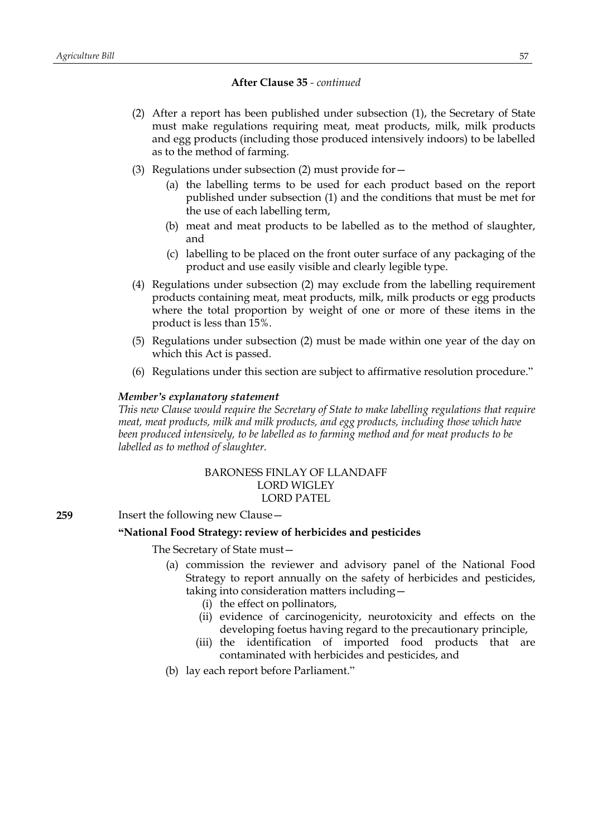- (2) After a report has been published under subsection (1), the Secretary of State must make regulations requiring meat, meat products, milk, milk products and egg products (including those produced intensively indoors) to be labelled as to the method of farming.
- (3) Regulations under subsection (2) must provide for—
	- (a) the labelling terms to be used for each product based on the report published under subsection (1) and the conditions that must be met for the use of each labelling term,
	- (b) meat and meat products to be labelled as to the method of slaughter, and
	- (c) labelling to be placed on the front outer surface of any packaging of the product and use easily visible and clearly legible type.
- (4) Regulations under subsection (2) may exclude from the labelling requirement products containing meat, meat products, milk, milk products or egg products where the total proportion by weight of one or more of these items in the product is less than 15%.
- (5) Regulations under subsection (2) must be made within one year of the day on which this Act is passed.
- (6) Regulations under this section are subject to affirmative resolution procedure."

## *Member's explanatory statement*

*This new Clause would require the Secretary of State to make labelling regulations that require meat, meat products, milk and milk products, and egg products, including those which have been produced intensively, to be labelled as to farming method and for meat products to be labelled as to method of slaughter.*

# BARONESS FINLAY OF LLANDAFF LORD WIGLEY LORD PATEL

**259** Insert the following new Clause—

### **"National Food Strategy: review of herbicides and pesticides**

The Secretary of State must—

- (a) commission the reviewer and advisory panel of the National Food Strategy to report annually on the safety of herbicides and pesticides, taking into consideration matters including—
	- (i) the effect on pollinators,
	- (ii) evidence of carcinogenicity, neurotoxicity and effects on the developing foetus having regard to the precautionary principle,
	- (iii) the identification of imported food products that are contaminated with herbicides and pesticides, and
- (b) lay each report before Parliament."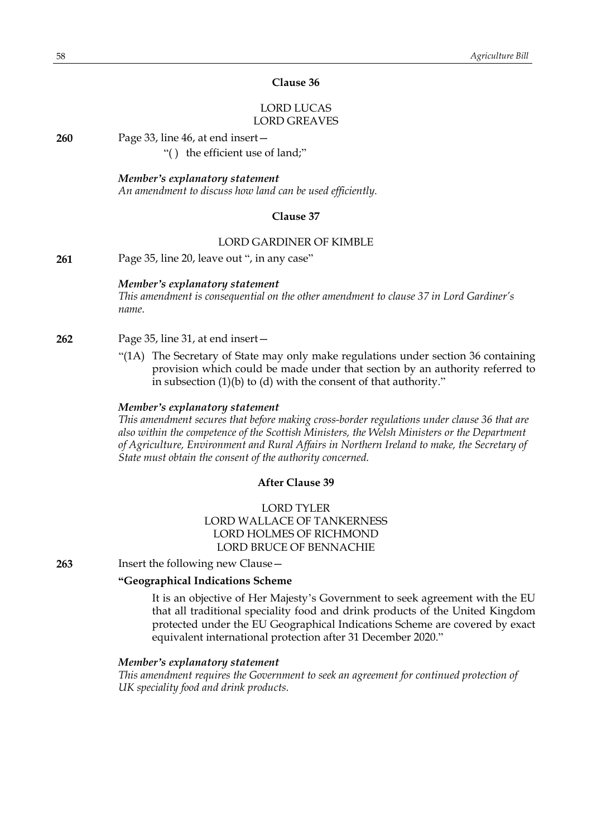## **Clause 36**

# LORD LUCAS LORD GREAVES

**260** Page 33, line 46, at end insert—

"( ) the efficient use of land;"

*Member's explanatory statement*

*An amendment to discuss how land can be used efficiently.*

# **Clause 37**

#### LORD GARDINER OF KIMBLE

**261** Page 35, line 20, leave out ", in any case"

#### *Member's explanatory statement*

*This amendment is consequential on the other amendment to clause 37 in Lord Gardiner's name.*

- **262** Page 35, line 31, at end insert—
	- "(1A) The Secretary of State may only make regulations under section 36 containing provision which could be made under that section by an authority referred to in subsection (1)(b) to (d) with the consent of that authority."

### *Member's explanatory statement*

*This amendment secures that before making cross-border regulations under clause 36 that are also within the competence of the Scottish Ministers, the Welsh Ministers or the Department of Agriculture, Environment and Rural Affairs in Northern Ireland to make, the Secretary of State must obtain the consent of the authority concerned.*

# **After Clause 39**

# LORD TYLER LORD WALLACE OF TANKERNESS LORD HOLMES OF RICHMOND LORD BRUCE OF BENNACHIE

**263** Insert the following new Clause—

## **"Geographical Indications Scheme**

It is an objective of Her Majesty's Government to seek agreement with the EU that all traditional speciality food and drink products of the United Kingdom protected under the EU Geographical Indications Scheme are covered by exact equivalent international protection after 31 December 2020."

#### *Member's explanatory statement*

*This amendment requires the Government to seek an agreement for continued protection of UK speciality food and drink products.*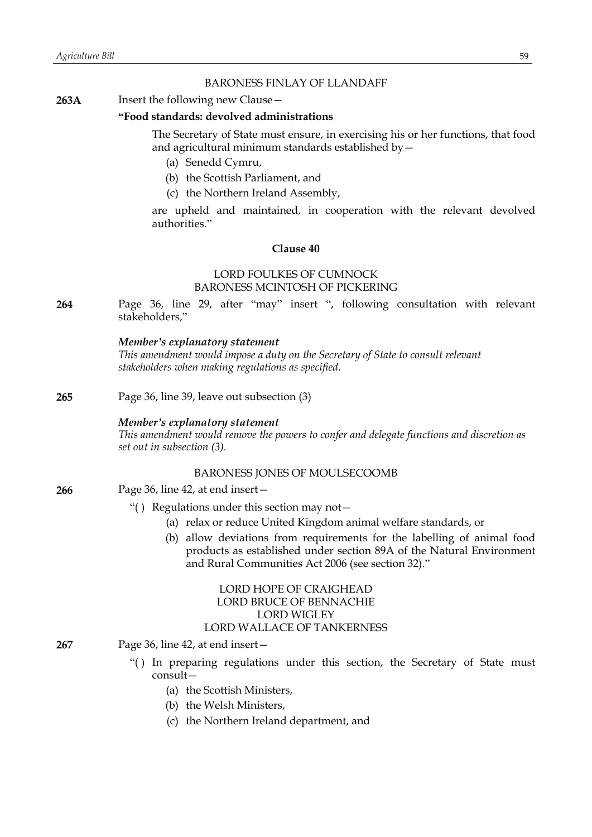## BARONESS FINLAY OF LLANDAFF

#### **263A** Insert the following new Clause—

#### **"Food standards: devolved administrations**

The Secretary of State must ensure, in exercising his or her functions, that food and agricultural minimum standards established by—

- (a) Senedd Cymru,
- (b) the Scottish Parliament, and
- (c) the Northern Ireland Assembly,

are upheld and maintained, in cooperation with the relevant devolved authorities."

## **Clause 40**

# LORD FOULKES OF CUMNOCK BARONESS MCINTOSH OF PICKERING

**264** Page 36, line 29, after "may" insert ", following consultation with relevant stakeholders,"

#### *Member's explanatory statement*

*This amendment would impose a duty on the Secretary of State to consult relevant stakeholders when making regulations as specified.*

**265** Page 36, line 39, leave out subsection (3)

### *Member's explanatory statement*

*This amendment would remove the powers to confer and delegate functions and discretion as set out in subsection (3).*

### BARONESS JONES OF MOULSECOOMB

#### **266** Page 36, line 42, at end insert—

- "( ) Regulations under this section may not—
	- (a) relax or reduce United Kingdom animal welfare standards, or
	- (b) allow deviations from requirements for the labelling of animal food products as established under section 89A of the Natural Environment and Rural Communities Act 2006 (see section 32)."

# LORD HOPE OF CRAIGHEAD LORD BRUCE OF BENNACHIE LORD WIGLEY LORD WALLACE OF TANKERNESS

- **267** Page 36, line 42, at end insert—
	- "( ) In preparing regulations under this section, the Secretary of State must consult—
		- (a) the Scottish Ministers,
		- (b) the Welsh Ministers,
		- (c) the Northern Ireland department, and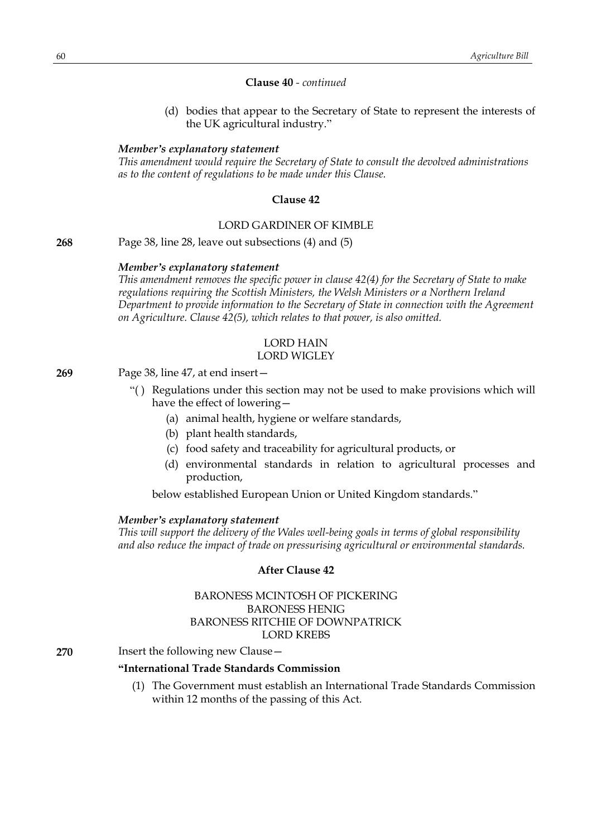## **Clause 40** *- continued*

(d) bodies that appear to the Secretary of State to represent the interests of the UK agricultural industry."

### *Member's explanatory statement*

*This amendment would require the Secretary of State to consult the devolved administrations as to the content of regulations to be made under this Clause.*

### **Clause 42**

## LORD GARDINER OF KIMBLE

**268** Page 38, line 28, leave out subsections (4) and (5)

#### *Member's explanatory statement*

*This amendment removes the specific power in clause 42(4) for the Secretary of State to make regulations requiring the Scottish Ministers, the Welsh Ministers or a Northern Ireland Department to provide information to the Secretary of State in connection with the Agreement on Agriculture. Clause 42(5), which relates to that power, is also omitted.*

# LORD HAIN

# LORD WIGLEY

**269** Page 38, line 47, at end insert—

- "( ) Regulations under this section may not be used to make provisions which will have the effect of lowering—
	- (a) animal health, hygiene or welfare standards,
	- (b) plant health standards,
	- (c) food safety and traceability for agricultural products, or
	- (d) environmental standards in relation to agricultural processes and production,

below established European Union or United Kingdom standards."

#### *Member's explanatory statement*

*This will support the delivery of the Wales well-being goals in terms of global responsibility and also reduce the impact of trade on pressurising agricultural or environmental standards.*

# **After Clause 42**

# BARONESS MCINTOSH OF PICKERING BARONESS HENIG BARONESS RITCHIE OF DOWNPATRICK LORD KREBS

**270** Insert the following new Clause—

# **"International Trade Standards Commission**

(1) The Government must establish an International Trade Standards Commission within 12 months of the passing of this Act.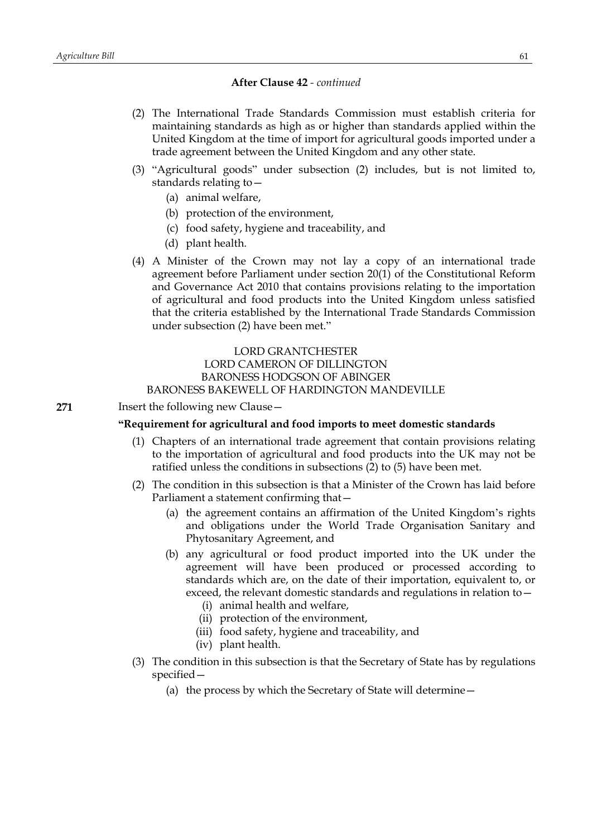- (2) The International Trade Standards Commission must establish criteria for maintaining standards as high as or higher than standards applied within the United Kingdom at the time of import for agricultural goods imported under a trade agreement between the United Kingdom and any other state.
- (3) "Agricultural goods" under subsection (2) includes, but is not limited to, standards relating to—
	- (a) animal welfare,
	- (b) protection of the environment,
	- (c) food safety, hygiene and traceability, and
	- (d) plant health.
- (4) A Minister of the Crown may not lay a copy of an international trade agreement before Parliament under section 20(1) of the Constitutional Reform and Governance Act 2010 that contains provisions relating to the importation of agricultural and food products into the United Kingdom unless satisfied that the criteria established by the International Trade Standards Commission under subsection (2) have been met."

# LORD GRANTCHESTER LORD CAMERON OF DILLINGTON BARONESS HODGSON OF ABINGER BARONESS BAKEWELL OF HARDINGTON MANDEVILLE

**271** Insert the following new Clause—

## **"Requirement for agricultural and food imports to meet domestic standards**

- (1) Chapters of an international trade agreement that contain provisions relating to the importation of agricultural and food products into the UK may not be ratified unless the conditions in subsections (2) to (5) have been met.
- (2) The condition in this subsection is that a Minister of the Crown has laid before Parliament a statement confirming that—
	- (a) the agreement contains an affirmation of the United Kingdom's rights and obligations under the World Trade Organisation Sanitary and Phytosanitary Agreement, and
	- (b) any agricultural or food product imported into the UK under the agreement will have been produced or processed according to standards which are, on the date of their importation, equivalent to, or exceed, the relevant domestic standards and regulations in relation to—
		- (i) animal health and welfare,
		- (ii) protection of the environment,
		- (iii) food safety, hygiene and traceability, and
		- (iv) plant health.
- (3) The condition in this subsection is that the Secretary of State has by regulations specified—
	- (a) the process by which the Secretary of State will determine—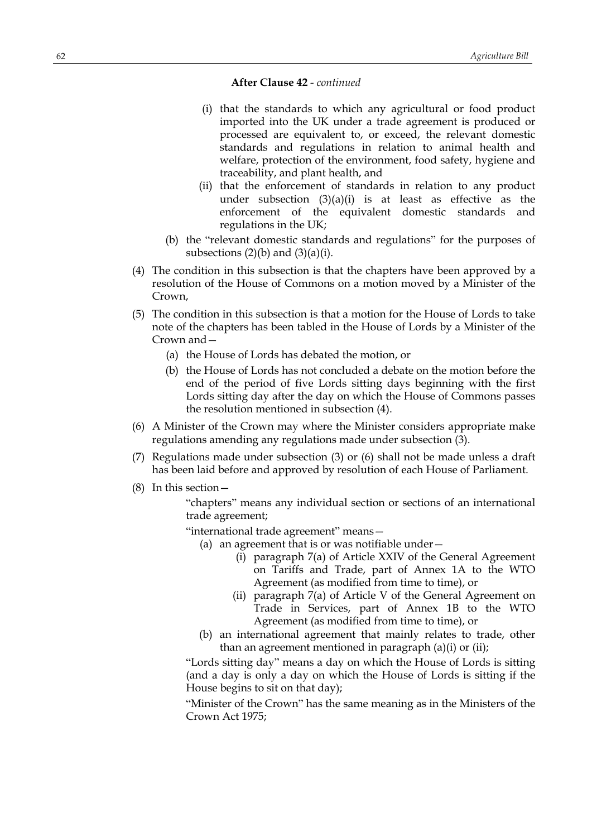- (i) that the standards to which any agricultural or food product imported into the UK under a trade agreement is produced or processed are equivalent to, or exceed, the relevant domestic standards and regulations in relation to animal health and welfare, protection of the environment, food safety, hygiene and traceability, and plant health, and
- (ii) that the enforcement of standards in relation to any product under subsection  $(3)(a)(i)$  is at least as effective as the enforcement of the equivalent domestic standards and regulations in the UK;
- (b) the "relevant domestic standards and regulations" for the purposes of subsections  $(2)(b)$  and  $(3)(a)(i)$ .
- (4) The condition in this subsection is that the chapters have been approved by a resolution of the House of Commons on a motion moved by a Minister of the Crown,
- (5) The condition in this subsection is that a motion for the House of Lords to take note of the chapters has been tabled in the House of Lords by a Minister of the Crown and—
	- (a) the House of Lords has debated the motion, or
	- (b) the House of Lords has not concluded a debate on the motion before the end of the period of five Lords sitting days beginning with the first Lords sitting day after the day on which the House of Commons passes the resolution mentioned in subsection (4).
- (6) A Minister of the Crown may where the Minister considers appropriate make regulations amending any regulations made under subsection (3).
- (7) Regulations made under subsection (3) or (6) shall not be made unless a draft has been laid before and approved by resolution of each House of Parliament.
- (8) In this section—
	- "chapters" means any individual section or sections of an international trade agreement;

"international trade agreement" means—

- (a) an agreement that is or was notifiable under—
	- (i) paragraph 7(a) of Article XXIV of the General Agreement on Tariffs and Trade, part of Annex 1A to the WTO Agreement (as modified from time to time), or
	- (ii) paragraph 7(a) of Article V of the General Agreement on Trade in Services, part of Annex 1B to the WTO Agreement (as modified from time to time), or
- (b) an international agreement that mainly relates to trade, other than an agreement mentioned in paragraph (a)(i) or (ii);

"Lords sitting day" means a day on which the House of Lords is sitting (and a day is only a day on which the House of Lords is sitting if the House begins to sit on that day);

"Minister of the Crown" has the same meaning as in the Ministers of the Crown Act 1975;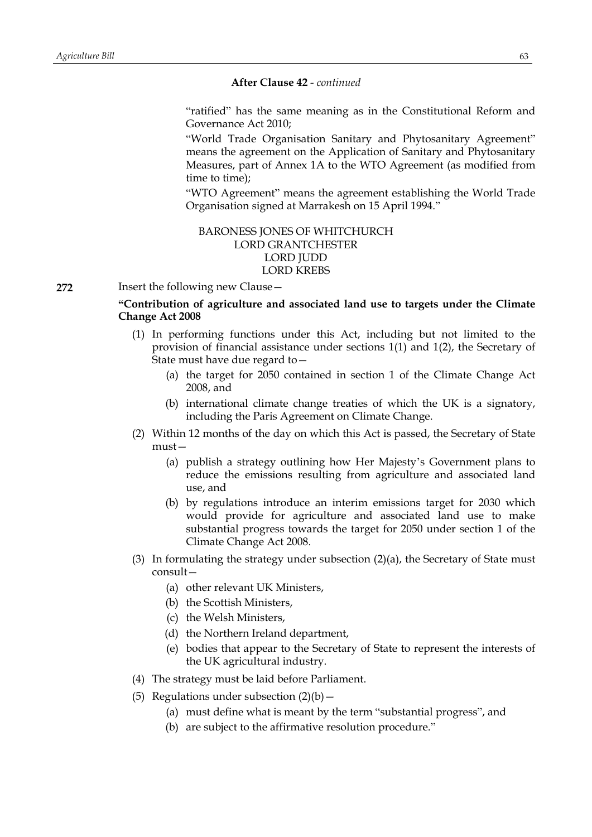"ratified" has the same meaning as in the Constitutional Reform and Governance Act 2010;

"World Trade Organisation Sanitary and Phytosanitary Agreement" means the agreement on the Application of Sanitary and Phytosanitary Measures, part of Annex 1A to the WTO Agreement (as modified from time to time);

"WTO Agreement" means the agreement establishing the World Trade Organisation signed at Marrakesh on 15 April 1994."

## BARONESS JONES OF WHITCHURCH LORD GRANTCHESTER LORD JUDD LORD KREBS

**272** Insert the following new Clause—

# **"Contribution of agriculture and associated land use to targets under the Climate Change Act 2008**

- (1) In performing functions under this Act, including but not limited to the provision of financial assistance under sections 1(1) and 1(2), the Secretary of State must have due regard to—
	- (a) the target for 2050 contained in section 1 of the Climate Change Act 2008, and
	- (b) international climate change treaties of which the UK is a signatory, including the Paris Agreement on Climate Change.
- (2) Within 12 months of the day on which this Act is passed, the Secretary of State must—
	- (a) publish a strategy outlining how Her Majesty's Government plans to reduce the emissions resulting from agriculture and associated land use, and
	- (b) by regulations introduce an interim emissions target for 2030 which would provide for agriculture and associated land use to make substantial progress towards the target for 2050 under section 1 of the Climate Change Act 2008.
- (3) In formulating the strategy under subsection (2)(a), the Secretary of State must consult—
	- (a) other relevant UK Ministers,
	- (b) the Scottish Ministers,
	- (c) the Welsh Ministers,
	- (d) the Northern Ireland department,
	- (e) bodies that appear to the Secretary of State to represent the interests of the UK agricultural industry.
- (4) The strategy must be laid before Parliament.
- (5) Regulations under subsection  $(2)(b)$ 
	- (a) must define what is meant by the term "substantial progress", and
	- (b) are subject to the affirmative resolution procedure."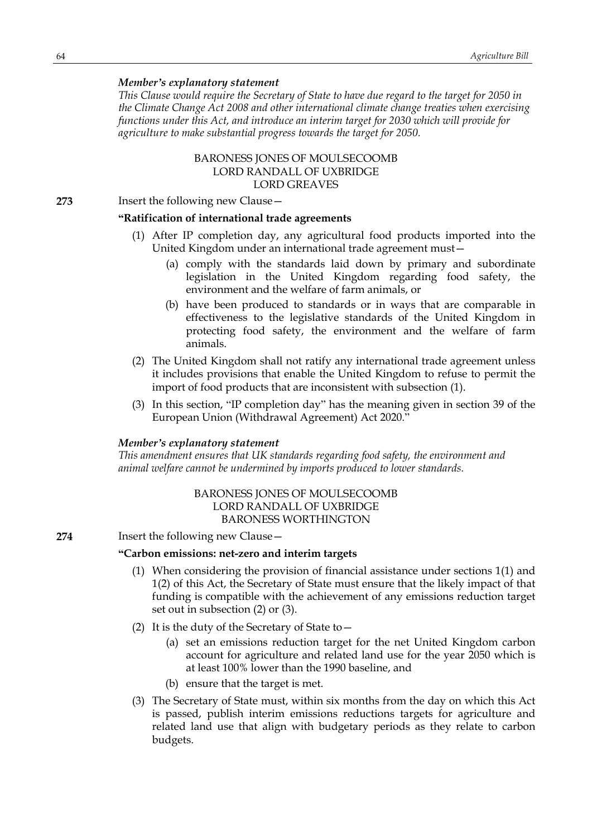## *Member's explanatory statement*

*This Clause would require the Secretary of State to have due regard to the target for 2050 in the Climate Change Act 2008 and other international climate change treaties when exercising functions under this Act, and introduce an interim target for 2030 which will provide for agriculture to make substantial progress towards the target for 2050.*

> BARONESS JONES OF MOULSECOOMB LORD RANDALL OF UXBRIDGE LORD GREAVES

**273** Insert the following new Clause—

### **"Ratification of international trade agreements**

- (1) After IP completion day, any agricultural food products imported into the United Kingdom under an international trade agreement must—
	- (a) comply with the standards laid down by primary and subordinate legislation in the United Kingdom regarding food safety, the environment and the welfare of farm animals, or
	- (b) have been produced to standards or in ways that are comparable in effectiveness to the legislative standards of the United Kingdom in protecting food safety, the environment and the welfare of farm animals.
- (2) The United Kingdom shall not ratify any international trade agreement unless it includes provisions that enable the United Kingdom to refuse to permit the import of food products that are inconsistent with subsection (1).
- (3) In this section, "IP completion day" has the meaning given in section 39 of the European Union (Withdrawal Agreement) Act 2020."

### *Member's explanatory statement*

*This amendment ensures that UK standards regarding food safety, the environment and animal welfare cannot be undermined by imports produced to lower standards.*

# BARONESS JONES OF MOULSECOOMB LORD RANDALL OF UXBRIDGE BARONESS WORTHINGTON

**274** Insert the following new Clause—

# **"Carbon emissions: net-zero and interim targets**

- (1) When considering the provision of financial assistance under sections 1(1) and 1(2) of this Act, the Secretary of State must ensure that the likely impact of that funding is compatible with the achievement of any emissions reduction target set out in subsection (2) or (3).
- (2) It is the duty of the Secretary of State to—
	- (a) set an emissions reduction target for the net United Kingdom carbon account for agriculture and related land use for the year 2050 which is at least 100% lower than the 1990 baseline, and
	- (b) ensure that the target is met.
- (3) The Secretary of State must, within six months from the day on which this Act is passed, publish interim emissions reductions targets for agriculture and related land use that align with budgetary periods as they relate to carbon budgets.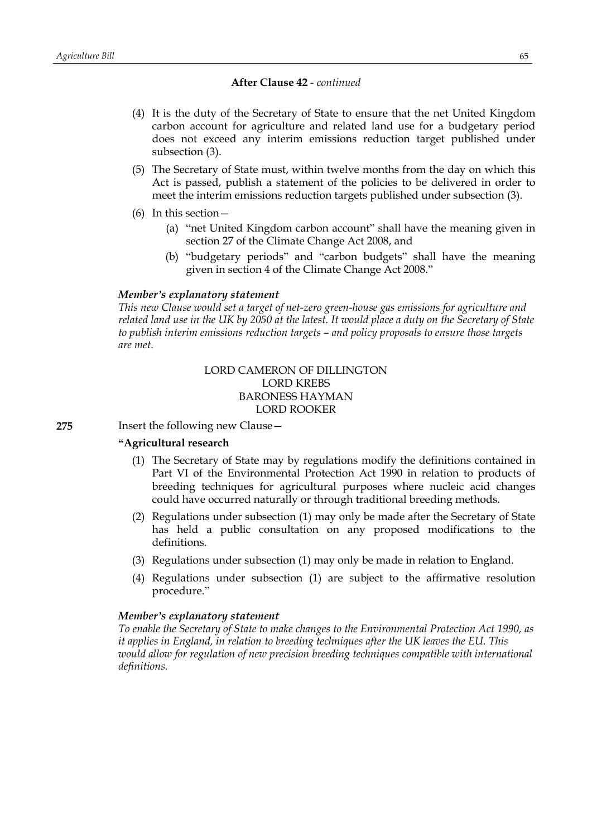- (4) It is the duty of the Secretary of State to ensure that the net United Kingdom carbon account for agriculture and related land use for a budgetary period does not exceed any interim emissions reduction target published under subsection (3).
- (5) The Secretary of State must, within twelve months from the day on which this Act is passed, publish a statement of the policies to be delivered in order to meet the interim emissions reduction targets published under subsection (3).
- (6) In this section—
	- (a) "net United Kingdom carbon account" shall have the meaning given in section 27 of the Climate Change Act 2008, and
	- (b) "budgetary periods" and "carbon budgets" shall have the meaning given in section 4 of the Climate Change Act 2008."

#### *Member's explanatory statement*

*This new Clause would set a target of net-zero green-house gas emissions for agriculture and* related land use in the UK by 2050 at the latest. It would place a duty on the Secretary of State *to publish interim emissions reduction targets – and policy proposals to ensure those targets are met.*

# LORD CAMERON OF DILLINGTON LORD KREBS BARONESS HAYMAN LORD ROOKER

**275** Insert the following new Clause—

# **"Agricultural research**

- (1) The Secretary of State may by regulations modify the definitions contained in Part VI of the Environmental Protection Act 1990 in relation to products of breeding techniques for agricultural purposes where nucleic acid changes could have occurred naturally or through traditional breeding methods.
- (2) Regulations under subsection (1) may only be made after the Secretary of State has held a public consultation on any proposed modifications to the definitions.
- (3) Regulations under subsection (1) may only be made in relation to England.
- (4) Regulations under subsection (1) are subject to the affirmative resolution procedure."

### *Member's explanatory statement*

*To enable the Secretary of State to make changes to the Environmental Protection Act 1990, as it applies in England, in relation to breeding techniques after the UK leaves the EU. This would allow for regulation of new precision breeding techniques compatible with international definitions.*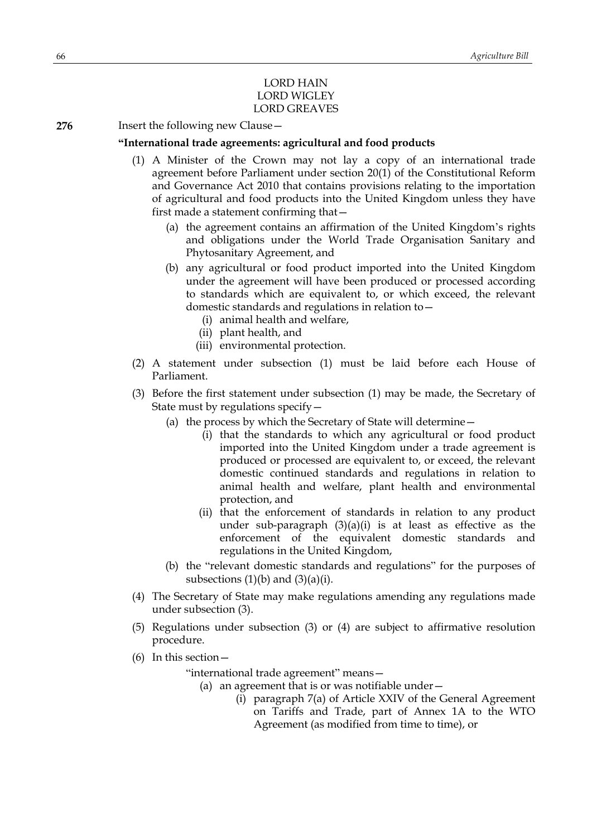# LORD HAIN LORD WIGLEY LORD GREAVES

**276** Insert the following new Clause—

### **"International trade agreements: agricultural and food products**

- (1) A Minister of the Crown may not lay a copy of an international trade agreement before Parliament under section 20(1) of the Constitutional Reform and Governance Act 2010 that contains provisions relating to the importation of agricultural and food products into the United Kingdom unless they have first made a statement confirming that—
	- (a) the agreement contains an affirmation of the United Kingdom's rights and obligations under the World Trade Organisation Sanitary and Phytosanitary Agreement, and
	- (b) any agricultural or food product imported into the United Kingdom under the agreement will have been produced or processed according to standards which are equivalent to, or which exceed, the relevant domestic standards and regulations in relation to—
		- (i) animal health and welfare,
		- (ii) plant health, and
		- (iii) environmental protection.
- (2) A statement under subsection (1) must be laid before each House of Parliament.
- (3) Before the first statement under subsection (1) may be made, the Secretary of State must by regulations specify—
	- (a) the process by which the Secretary of State will determine—
		- (i) that the standards to which any agricultural or food product imported into the United Kingdom under a trade agreement is produced or processed are equivalent to, or exceed, the relevant domestic continued standards and regulations in relation to animal health and welfare, plant health and environmental protection, and
		- (ii) that the enforcement of standards in relation to any product under sub-paragraph  $(3)(a)(i)$  is at least as effective as the enforcement of the equivalent domestic standards and regulations in the United Kingdom,
	- (b) the "relevant domestic standards and regulations" for the purposes of subsections  $(1)(b)$  and  $(3)(a)(i)$ .
- (4) The Secretary of State may make regulations amending any regulations made under subsection (3).
- (5) Regulations under subsection (3) or (4) are subject to affirmative resolution procedure.
- (6) In this section—

"international trade agreement" means—

- (a) an agreement that is or was notifiable under  $-$ 
	- (i) paragraph 7(a) of Article XXIV of the General Agreement on Tariffs and Trade, part of Annex 1A to the WTO Agreement (as modified from time to time), or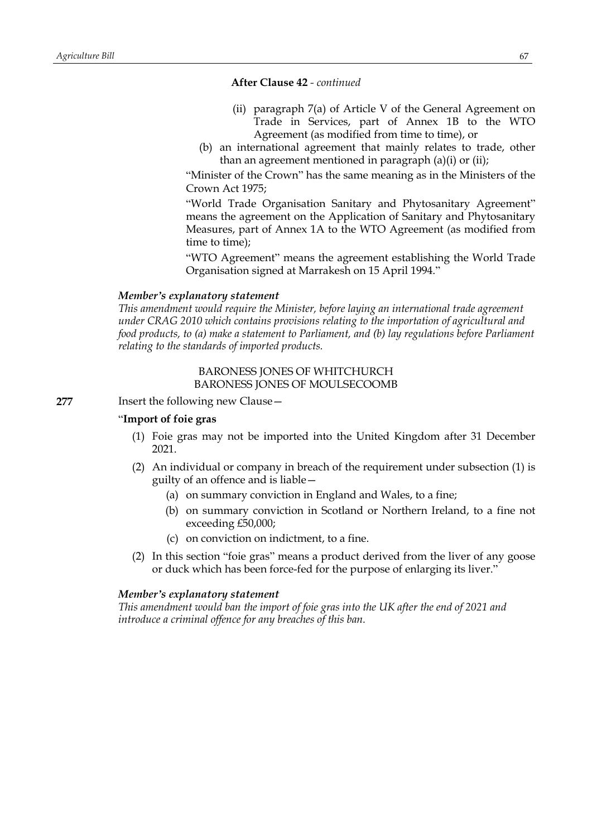- (ii) paragraph 7(a) of Article V of the General Agreement on Trade in Services, part of Annex 1B to the WTO Agreement (as modified from time to time), or
- (b) an international agreement that mainly relates to trade, other than an agreement mentioned in paragraph  $(a)(i)$  or  $(ii)$ ;

"Minister of the Crown" has the same meaning as in the Ministers of the Crown Act 1975;

"World Trade Organisation Sanitary and Phytosanitary Agreement" means the agreement on the Application of Sanitary and Phytosanitary Measures, part of Annex 1A to the WTO Agreement (as modified from time to time);

"WTO Agreement" means the agreement establishing the World Trade Organisation signed at Marrakesh on 15 April 1994."

### *Member's explanatory statement*

*This amendment would require the Minister, before laying an international trade agreement under CRAG 2010 which contains provisions relating to the importation of agricultural and food products, to (a) make a statement to Parliament, and (b) lay regulations before Parliament relating to the standards of imported products.*

## BARONESS JONES OF WHITCHURCH BARONESS JONES OF MOULSECOOMB

**277** Insert the following new Clause—

# "**Import of foie gras**

- (1) Foie gras may not be imported into the United Kingdom after 31 December 2021.
- (2) An individual or company in breach of the requirement under subsection (1) is guilty of an offence and is liable—
	- (a) on summary conviction in England and Wales, to a fine;
	- (b) on summary conviction in Scotland or Northern Ireland, to a fine not exceeding £50,000;
	- (c) on conviction on indictment, to a fine.
- (2) In this section "foie gras" means a product derived from the liver of any goose or duck which has been force-fed for the purpose of enlarging its liver."

### *Member's explanatory statement*

*This amendment would ban the import of foie gras into the UK after the end of 2021 and introduce a criminal offence for any breaches of this ban.*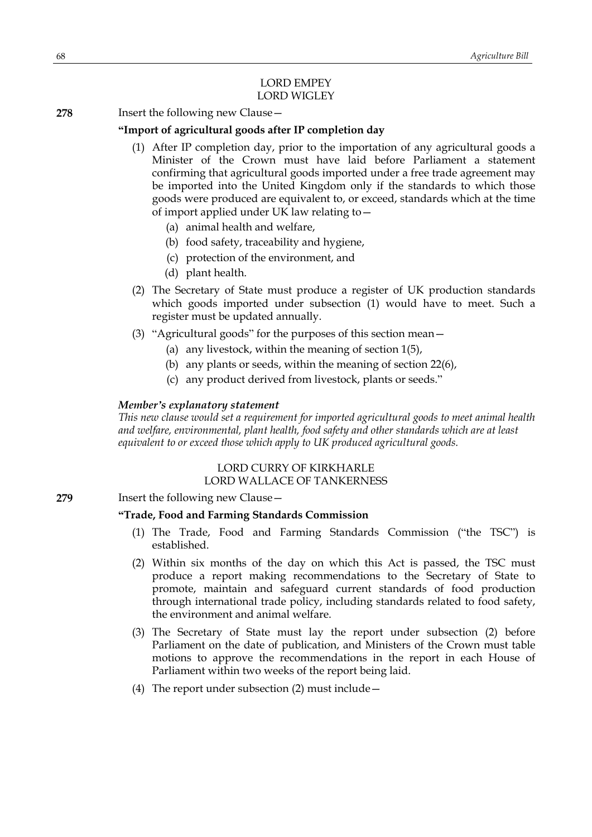## LORD EMPEY LORD WIGLEY

**278** Insert the following new Clause—

### **"Import of agricultural goods after IP completion day**

- (1) After IP completion day, prior to the importation of any agricultural goods a Minister of the Crown must have laid before Parliament a statement confirming that agricultural goods imported under a free trade agreement may be imported into the United Kingdom only if the standards to which those goods were produced are equivalent to, or exceed, standards which at the time of import applied under UK law relating to—
	- (a) animal health and welfare,
	- (b) food safety, traceability and hygiene,
	- (c) protection of the environment, and
	- (d) plant health.
- (2) The Secretary of State must produce a register of UK production standards which goods imported under subsection (1) would have to meet. Such a register must be updated annually.
- (3) "Agricultural goods" for the purposes of this section mean—
	- (a) any livestock, within the meaning of section 1(5),
	- (b) any plants or seeds, within the meaning of section 22(6),
	- (c) any product derived from livestock, plants or seeds."

### *Member's explanatory statement*

*This new clause would set a requirement for imported agricultural goods to meet animal health and welfare, environmental, plant health, food safety and other standards which are at least equivalent to or exceed those which apply to UK produced agricultural goods.*

## LORD CURRY OF KIRKHARLE

LORD WALLACE OF TANKERNESS

**279** Insert the following new Clause -

## **"Trade, Food and Farming Standards Commission**

- (1) The Trade, Food and Farming Standards Commission ("the TSC") is established.
- (2) Within six months of the day on which this Act is passed, the TSC must produce a report making recommendations to the Secretary of State to promote, maintain and safeguard current standards of food production through international trade policy, including standards related to food safety, the environment and animal welfare.
- (3) The Secretary of State must lay the report under subsection (2) before Parliament on the date of publication, and Ministers of the Crown must table motions to approve the recommendations in the report in each House of Parliament within two weeks of the report being laid.
- (4) The report under subsection (2) must include—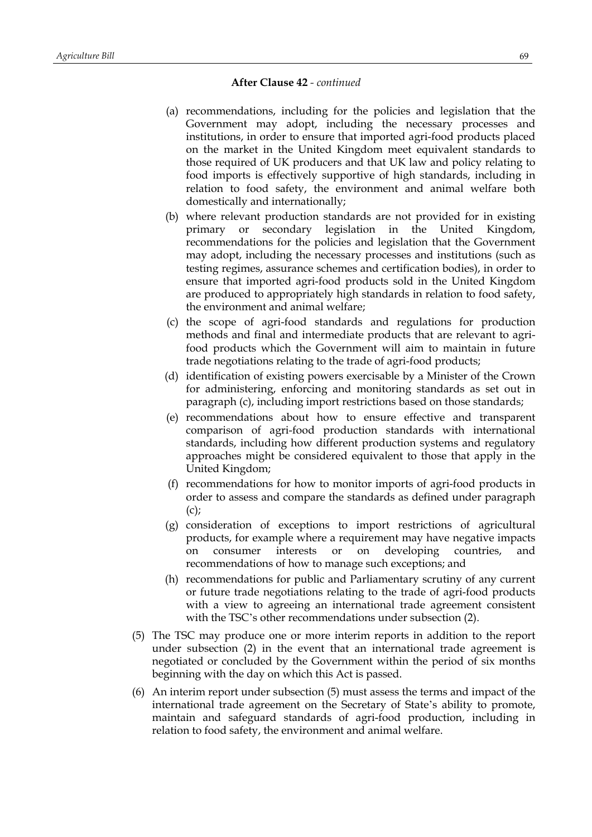- (a) recommendations, including for the policies and legislation that the Government may adopt, including the necessary processes and institutions, in order to ensure that imported agri-food products placed on the market in the United Kingdom meet equivalent standards to those required of UK producers and that UK law and policy relating to food imports is effectively supportive of high standards, including in relation to food safety, the environment and animal welfare both domestically and internationally;
- (b) where relevant production standards are not provided for in existing primary or secondary legislation in the United Kingdom, recommendations for the policies and legislation that the Government may adopt, including the necessary processes and institutions (such as testing regimes, assurance schemes and certification bodies), in order to ensure that imported agri-food products sold in the United Kingdom are produced to appropriately high standards in relation to food safety, the environment and animal welfare;
- (c) the scope of agri-food standards and regulations for production methods and final and intermediate products that are relevant to agrifood products which the Government will aim to maintain in future trade negotiations relating to the trade of agri-food products;
- (d) identification of existing powers exercisable by a Minister of the Crown for administering, enforcing and monitoring standards as set out in paragraph (c), including import restrictions based on those standards;
- (e) recommendations about how to ensure effective and transparent comparison of agri-food production standards with international standards, including how different production systems and regulatory approaches might be considered equivalent to those that apply in the United Kingdom;
- (f) recommendations for how to monitor imports of agri-food products in order to assess and compare the standards as defined under paragraph  $(c)$ ;
- (g) consideration of exceptions to import restrictions of agricultural products, for example where a requirement may have negative impacts on consumer interests or on developing countries, and recommendations of how to manage such exceptions; and
- (h) recommendations for public and Parliamentary scrutiny of any current or future trade negotiations relating to the trade of agri-food products with a view to agreeing an international trade agreement consistent with the TSC's other recommendations under subsection (2).
- (5) The TSC may produce one or more interim reports in addition to the report under subsection (2) in the event that an international trade agreement is negotiated or concluded by the Government within the period of six months beginning with the day on which this Act is passed.
- (6) An interim report under subsection (5) must assess the terms and impact of the international trade agreement on the Secretary of State's ability to promote, maintain and safeguard standards of agri-food production, including in relation to food safety, the environment and animal welfare.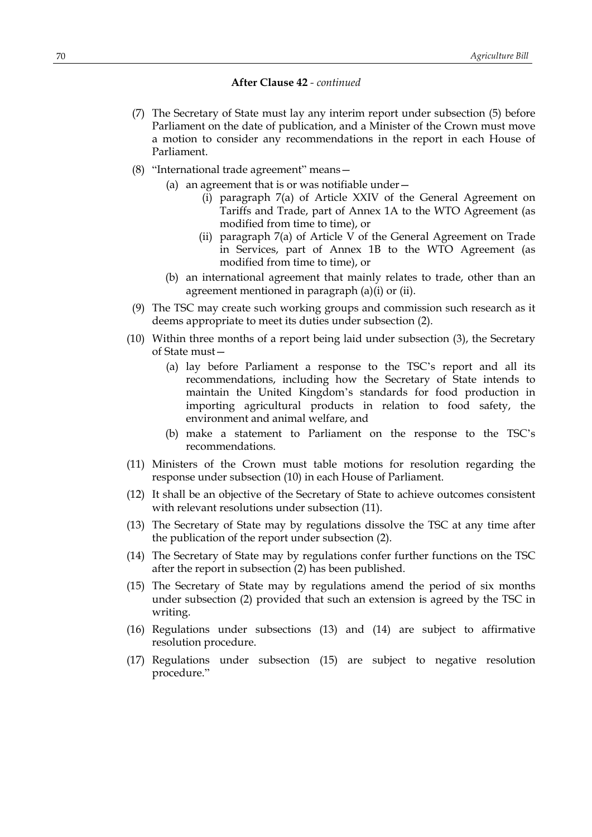- (7) The Secretary of State must lay any interim report under subsection (5) before Parliament on the date of publication, and a Minister of the Crown must move a motion to consider any recommendations in the report in each House of Parliament.
- (8) "International trade agreement" means—
	- (a) an agreement that is or was notifiable under—
		- (i) paragraph 7(a) of Article XXIV of the General Agreement on Tariffs and Trade, part of Annex 1A to the WTO Agreement (as modified from time to time), or
		- (ii) paragraph 7(a) of Article V of the General Agreement on Trade in Services, part of Annex 1B to the WTO Agreement (as modified from time to time), or
	- (b) an international agreement that mainly relates to trade, other than an agreement mentioned in paragraph (a)(i) or (ii).
- (9) The TSC may create such working groups and commission such research as it deems appropriate to meet its duties under subsection (2).
- (10) Within three months of a report being laid under subsection (3), the Secretary of State must—
	- (a) lay before Parliament a response to the TSC's report and all its recommendations, including how the Secretary of State intends to maintain the United Kingdom's standards for food production in importing agricultural products in relation to food safety, the environment and animal welfare, and
	- (b) make a statement to Parliament on the response to the TSC's recommendations.
- (11) Ministers of the Crown must table motions for resolution regarding the response under subsection (10) in each House of Parliament.
- (12) It shall be an objective of the Secretary of State to achieve outcomes consistent with relevant resolutions under subsection (11).
- (13) The Secretary of State may by regulations dissolve the TSC at any time after the publication of the report under subsection (2).
- (14) The Secretary of State may by regulations confer further functions on the TSC after the report in subsection (2) has been published.
- (15) The Secretary of State may by regulations amend the period of six months under subsection (2) provided that such an extension is agreed by the TSC in writing.
- (16) Regulations under subsections (13) and (14) are subject to affirmative resolution procedure.
- (17) Regulations under subsection (15) are subject to negative resolution procedure."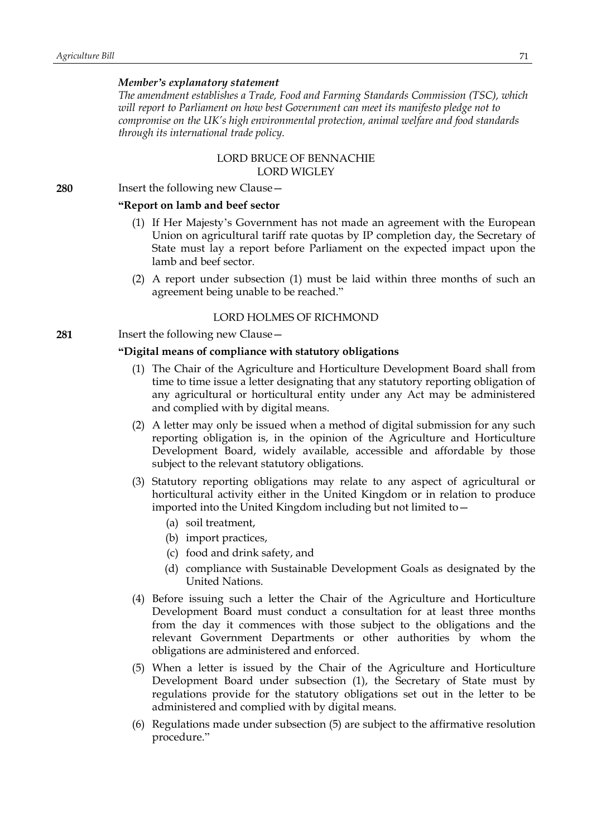## *Member's explanatory statement*

*The amendment establishes a Trade, Food and Farming Standards Commission (TSC), which will report to Parliament on how best Government can meet its manifesto pledge not to compromise on the UK's high environmental protection, animal welfare and food standards through its international trade policy.*

#### LORD BRUCE OF BENNACHIE LORD WIGLEY

**280** Insert the following new Clause—

## **"Report on lamb and beef sector**

- (1) If Her Majesty's Government has not made an agreement with the European Union on agricultural tariff rate quotas by IP completion day, the Secretary of State must lay a report before Parliament on the expected impact upon the lamb and beef sector.
- (2) A report under subsection (1) must be laid within three months of such an agreement being unable to be reached."

#### LORD HOLMES OF RICHMOND

**281** Insert the following new Clause—

#### **"Digital means of compliance with statutory obligations**

- (1) The Chair of the Agriculture and Horticulture Development Board shall from time to time issue a letter designating that any statutory reporting obligation of any agricultural or horticultural entity under any Act may be administered and complied with by digital means.
- (2) A letter may only be issued when a method of digital submission for any such reporting obligation is, in the opinion of the Agriculture and Horticulture Development Board, widely available, accessible and affordable by those subject to the relevant statutory obligations.
- (3) Statutory reporting obligations may relate to any aspect of agricultural or horticultural activity either in the United Kingdom or in relation to produce imported into the United Kingdom including but not limited to—
	- (a) soil treatment,
	- (b) import practices,
	- (c) food and drink safety, and
	- (d) compliance with Sustainable Development Goals as designated by the United Nations.
- (4) Before issuing such a letter the Chair of the Agriculture and Horticulture Development Board must conduct a consultation for at least three months from the day it commences with those subject to the obligations and the relevant Government Departments or other authorities by whom the obligations are administered and enforced.
- (5) When a letter is issued by the Chair of the Agriculture and Horticulture Development Board under subsection (1), the Secretary of State must by regulations provide for the statutory obligations set out in the letter to be administered and complied with by digital means.
- (6) Regulations made under subsection (5) are subject to the affirmative resolution procedure."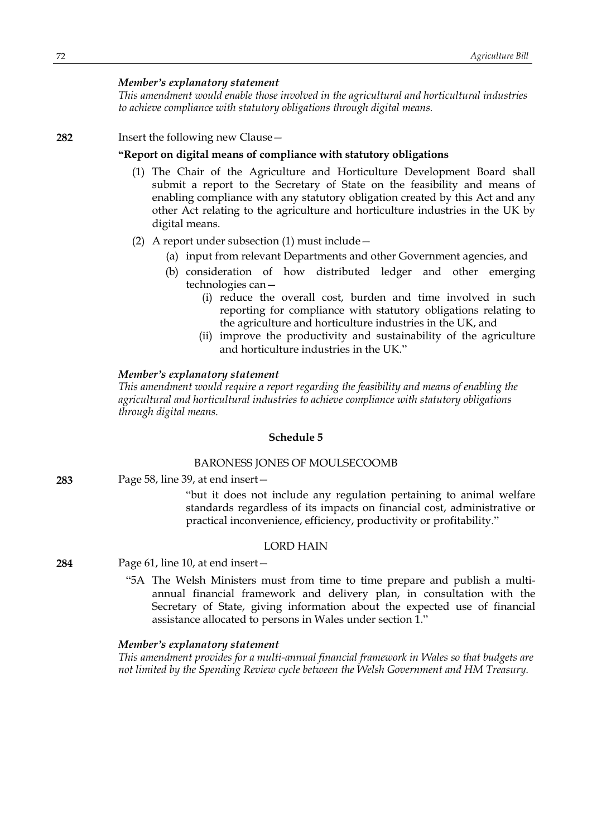# *Member's explanatory statement*

*This amendment would enable those involved in the agricultural and horticultural industries to achieve compliance with statutory obligations through digital means.*

## **282** Insert the following new Clause—

## **"Report on digital means of compliance with statutory obligations**

- (1) The Chair of the Agriculture and Horticulture Development Board shall submit a report to the Secretary of State on the feasibility and means of enabling compliance with any statutory obligation created by this Act and any other Act relating to the agriculture and horticulture industries in the UK by digital means.
- (2) A report under subsection (1) must include—
	- (a) input from relevant Departments and other Government agencies, and
	- (b) consideration of how distributed ledger and other emerging technologies can—
		- (i) reduce the overall cost, burden and time involved in such reporting for compliance with statutory obligations relating to the agriculture and horticulture industries in the UK, and
		- (ii) improve the productivity and sustainability of the agriculture and horticulture industries in the UK."

# *Member's explanatory statement*

*This amendment would require a report regarding the feasibility and means of enabling the agricultural and horticultural industries to achieve compliance with statutory obligations through digital means.*

#### **Schedule 5**

#### BARONESS JONES OF MOULSECOOMB

**283** Page 58, line 39, at end insert—

"but it does not include any regulation pertaining to animal welfare standards regardless of its impacts on financial cost, administrative or practical inconvenience, efficiency, productivity or profitability."

#### LORD HAIN

**284** Page 61, line 10, at end insert—

"5A The Welsh Ministers must from time to time prepare and publish a multiannual financial framework and delivery plan, in consultation with the Secretary of State, giving information about the expected use of financial assistance allocated to persons in Wales under section 1."

#### *Member's explanatory statement*

*This amendment provides for a multi-annual financial framework in Wales so that budgets are not limited by the Spending Review cycle between the Welsh Government and HM Treasury.*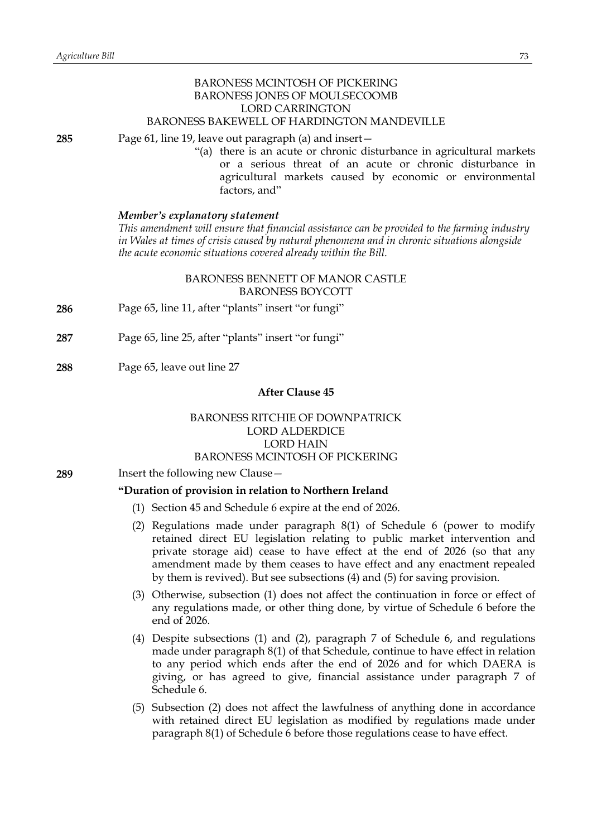# BARONESS MCINTOSH OF PICKERING BARONESS JONES OF MOULSECOOMB LORD CARRINGTON BARONESS BAKEWELL OF HARDINGTON MANDEVILLE

- **285** Page 61, line 19, leave out paragraph (a) and insert—
	- "(a) there is an acute or chronic disturbance in agricultural markets or a serious threat of an acute or chronic disturbance in agricultural markets caused by economic or environmental factors, and"

#### *Member's explanatory statement*

*This amendment will ensure that financial assistance can be provided to the farming industry in Wales at times of crisis caused by natural phenomena and in chronic situations alongside the acute economic situations covered already within the Bill.*

### BARONESS BENNETT OF MANOR CASTLE BARONESS BOYCOTT

- **286** Page 65, line 11, after "plants" insert "or fungi"
- **287** Page 65, line 25, after "plants" insert "or fungi"
- **288** Page 65, leave out line 27

### **After Clause 45**

# BARONESS RITCHIE OF DOWNPATRICK LORD ALDERDICE LORD HAIN BARONESS MCINTOSH OF PICKERING

**289** Insert the following new Clause—

#### **"Duration of provision in relation to Northern Ireland**

- (1) Section 45 and Schedule 6 expire at the end of 2026.
- (2) Regulations made under paragraph 8(1) of Schedule 6 (power to modify retained direct EU legislation relating to public market intervention and private storage aid) cease to have effect at the end of 2026 (so that any amendment made by them ceases to have effect and any enactment repealed by them is revived). But see subsections (4) and (5) for saving provision.
- (3) Otherwise, subsection (1) does not affect the continuation in force or effect of any regulations made, or other thing done, by virtue of Schedule 6 before the end of 2026.
- (4) Despite subsections (1) and (2), paragraph 7 of Schedule 6, and regulations made under paragraph 8(1) of that Schedule, continue to have effect in relation to any period which ends after the end of 2026 and for which DAERA is giving, or has agreed to give, financial assistance under paragraph 7 of Schedule 6.
- (5) Subsection (2) does not affect the lawfulness of anything done in accordance with retained direct EU legislation as modified by regulations made under paragraph 8(1) of Schedule 6 before those regulations cease to have effect.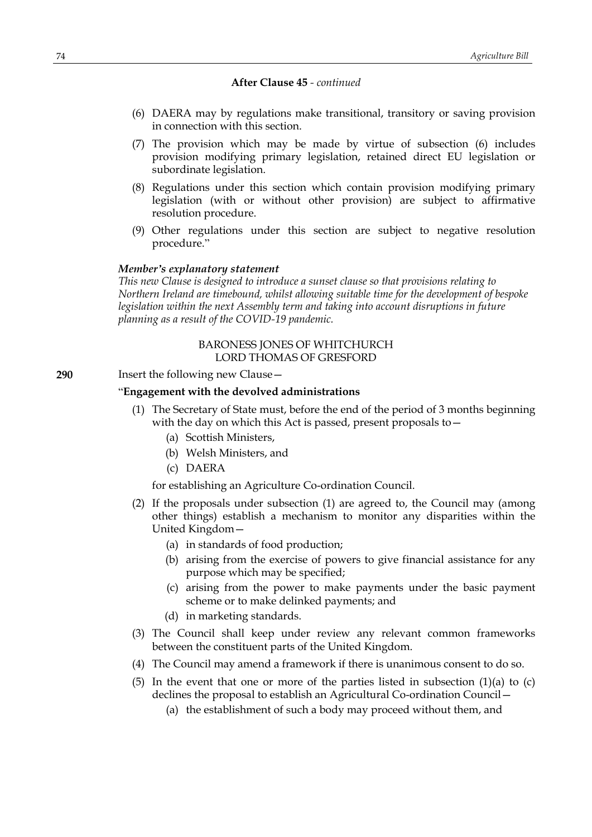### **After Clause 45** *- continued*

- (6) DAERA may by regulations make transitional, transitory or saving provision in connection with this section.
- (7) The provision which may be made by virtue of subsection (6) includes provision modifying primary legislation, retained direct EU legislation or subordinate legislation.
- (8) Regulations under this section which contain provision modifying primary legislation (with or without other provision) are subject to affirmative resolution procedure.
- (9) Other regulations under this section are subject to negative resolution procedure."

### *Member's explanatory statement*

*This new Clause is designed to introduce a sunset clause so that provisions relating to Northern Ireland are timebound, whilst allowing suitable time for the development of bespoke legislation within the next Assembly term and taking into account disruptions in future planning as a result of the COVID-19 pandemic.*

# BARONESS JONES OF WHITCHURCH LORD THOMAS OF GRESFORD

**290** Insert the following new Clause—

## "**Engagement with the devolved administrations**

- (1) The Secretary of State must, before the end of the period of 3 months beginning with the day on which this Act is passed, present proposals to—
	- (a) Scottish Ministers,
	- (b) Welsh Ministers, and
	- (c) DAERA

for establishing an Agriculture Co-ordination Council.

- (2) If the proposals under subsection (1) are agreed to, the Council may (among other things) establish a mechanism to monitor any disparities within the United Kingdom—
	- (a) in standards of food production;
	- (b) arising from the exercise of powers to give financial assistance for any purpose which may be specified;
	- (c) arising from the power to make payments under the basic payment scheme or to make delinked payments; and
	- (d) in marketing standards.
- (3) The Council shall keep under review any relevant common frameworks between the constituent parts of the United Kingdom.
- (4) The Council may amend a framework if there is unanimous consent to do so.
- (5) In the event that one or more of the parties listed in subsection  $(1)(a)$  to  $(c)$ declines the proposal to establish an Agricultural Co-ordination Council—
	- (a) the establishment of such a body may proceed without them, and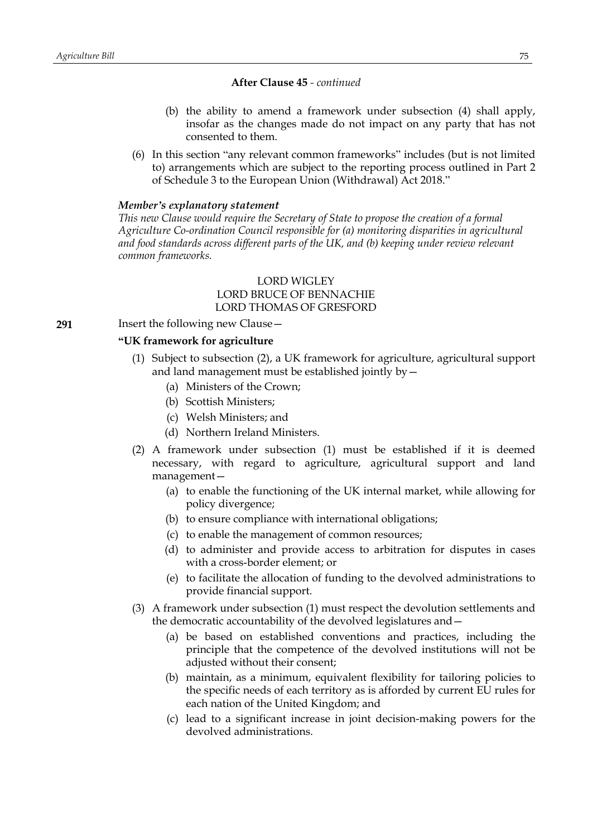## **After Clause 45** *- continued*

- (b) the ability to amend a framework under subsection (4) shall apply, insofar as the changes made do not impact on any party that has not consented to them.
- (6) In this section "any relevant common frameworks" includes (but is not limited to) arrangements which are subject to the reporting process outlined in Part 2 of Schedule 3 to the European Union (Withdrawal) Act 2018."

#### *Member's explanatory statement*

*This new Clause would require the Secretary of State to propose the creation of a formal Agriculture Co-ordination Council responsible for (a) monitoring disparities in agricultural and food standards across different parts of the UK, and (b) keeping under review relevant common frameworks.*

# LORD WIGLEY LORD BRUCE OF BENNACHIE LORD THOMAS OF GRESFORD

**291** Insert the following new Clause—

# **"UK framework for agriculture**

- (1) Subject to subsection (2), a UK framework for agriculture, agricultural support and land management must be established jointly by—
	- (a) Ministers of the Crown;
	- (b) Scottish Ministers;
	- (c) Welsh Ministers; and
	- (d) Northern Ireland Ministers.
- (2) A framework under subsection (1) must be established if it is deemed necessary, with regard to agriculture, agricultural support and land management—
	- (a) to enable the functioning of the UK internal market, while allowing for policy divergence;
	- (b) to ensure compliance with international obligations;
	- (c) to enable the management of common resources;
	- (d) to administer and provide access to arbitration for disputes in cases with a cross-border element; or
	- (e) to facilitate the allocation of funding to the devolved administrations to provide financial support.
- (3) A framework under subsection (1) must respect the devolution settlements and the democratic accountability of the devolved legislatures and—
	- (a) be based on established conventions and practices, including the principle that the competence of the devolved institutions will not be adjusted without their consent;
	- (b) maintain, as a minimum, equivalent flexibility for tailoring policies to the specific needs of each territory as is afforded by current EU rules for each nation of the United Kingdom; and
	- (c) lead to a significant increase in joint decision-making powers for the devolved administrations.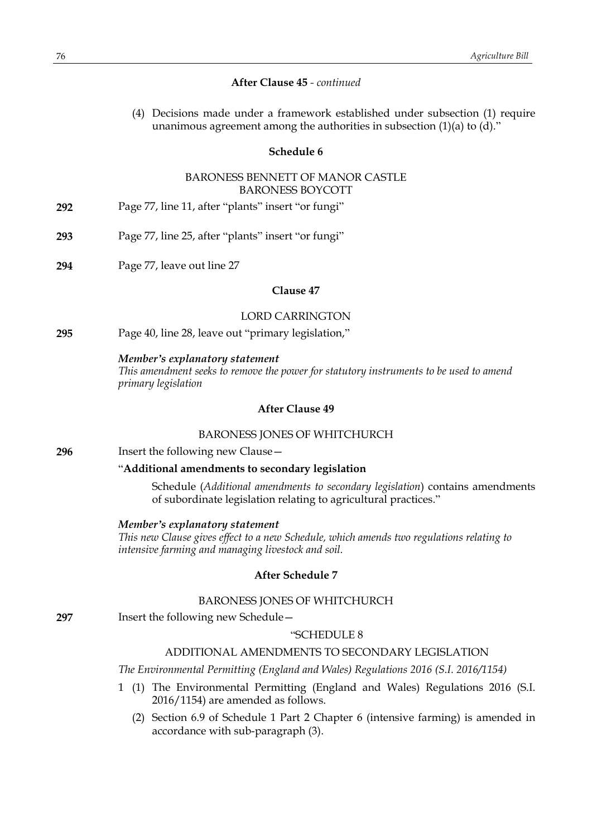# **After Clause 45** *- continued*

(4) Decisions made under a framework established under subsection (1) require unanimous agreement among the authorities in subsection  $(1)(a)$  to  $(d)$ ."

### **Schedule 6**

## BARONESS BENNETT OF MANOR CASTLE BARONESS BOYCOTT

| 292 | Page 77, line 11, after "plants" insert "or fungi" |  |  |  |
|-----|----------------------------------------------------|--|--|--|
|-----|----------------------------------------------------|--|--|--|

- **293** Page 77, line 25, after "plants" insert "or fungi"
- **294** Page 77, leave out line 27

## **Clause 47**

### LORD CARRINGTON

**295** Page 40, line 28, leave out "primary legislation,"

#### *Member's explanatory statement*

*This amendment seeks to remove the power for statutory instruments to be used to amend primary legislation*

# **After Clause 49**

#### BARONESS JONES OF WHITCHURCH

**296** Insert the following new Clause—

### "**Additional amendments to secondary legislation**

Schedule (*Additional amendments to secondary legislation*) contains amendments of subordinate legislation relating to agricultural practices."

#### *Member's explanatory statement*

*This new Clause gives effect to a new Schedule, which amends two regulations relating to intensive farming and managing livestock and soil.*

### **After Schedule 7**

#### BARONESS JONES OF WHITCHURCH

**297** Insert the following new Schedule—

### "SCHEDULE 8

## ADDITIONAL AMENDMENTS TO SECONDARY LEGISLATION

# *The Environmental Permitting (England and Wales) Regulations 2016 (S.I. 2016/1154)*

- 1 (1) The Environmental Permitting (England and Wales) Regulations 2016 (S.I. 2016/1154) are amended as follows.
	- (2) Section 6.9 of Schedule 1 Part 2 Chapter 6 (intensive farming) is amended in accordance with sub-paragraph (3).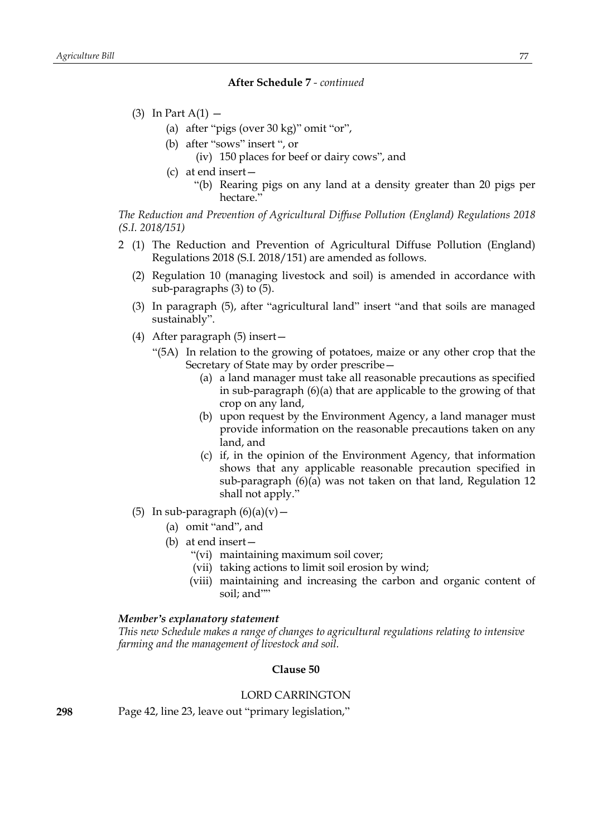# (3) In Part  $A(1)$  –

- (a) after "pigs (over 30 kg)" omit "or",
- (b) after "sows" insert ", or
	- (iv) 150 places for beef or dairy cows", and
- (c) at end insert—
	- "(b) Rearing pigs on any land at a density greater than 20 pigs per hectare.'

*The Reduction and Prevention of Agricultural Diffuse Pollution (England) Regulations 2018 (S.I. 2018/151)*

- 2 (1) The Reduction and Prevention of Agricultural Diffuse Pollution (England) Regulations 2018 (S.I. 2018/151) are amended as follows.
	- (2) Regulation 10 (managing livestock and soil) is amended in accordance with sub-paragraphs (3) to (5).
	- (3) In paragraph (5), after "agricultural land" insert "and that soils are managed sustainably".
	- (4) After paragraph (5) insert—
		- "(5A) In relation to the growing of potatoes, maize or any other crop that the Secretary of State may by order prescribe—
			- (a) a land manager must take all reasonable precautions as specified in sub-paragraph (6)(a) that are applicable to the growing of that crop on any land,
			- (b) upon request by the Environment Agency, a land manager must provide information on the reasonable precautions taken on any land, and
			- (c) if, in the opinion of the Environment Agency, that information shows that any applicable reasonable precaution specified in sub-paragraph (6)(a) was not taken on that land, Regulation 12 shall not apply."
	- (5) In sub-paragraph  $(6)(a)(v)$  -
		- (a) omit "and", and
		- (b) at end insert—
			- "(vi) maintaining maximum soil cover;
			- (vii) taking actions to limit soil erosion by wind;
			- (viii) maintaining and increasing the carbon and organic content of soil; and""

### *Member's explanatory statement*

*This new Schedule makes a range of changes to agricultural regulations relating to intensive farming and the management of livestock and soil.*

## **Clause 50**

### LORD CARRINGTON

**298** Page 42, line 23, leave out "primary legislation,"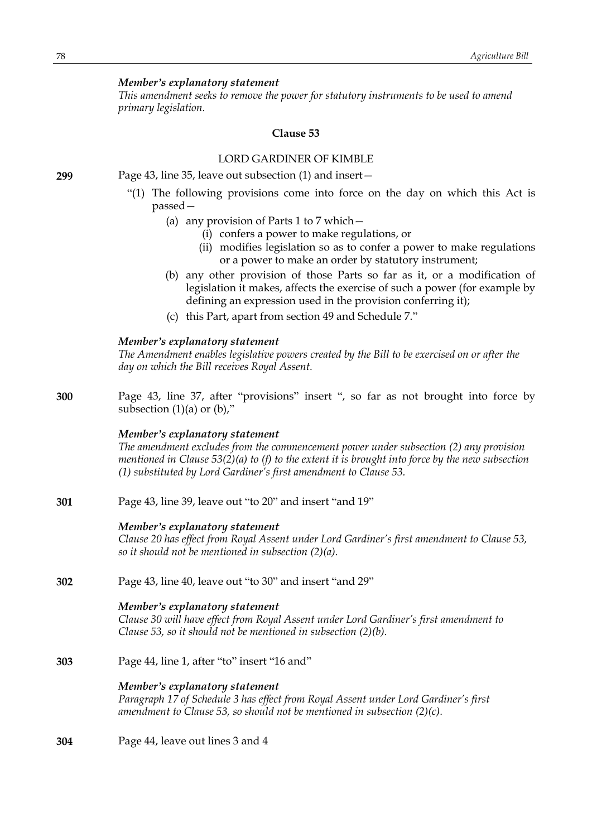#### *Member's explanatory statement*

*This amendment seeks to remove the power for statutory instruments to be used to amend primary legislation.*

### **Clause 53**

### LORD GARDINER OF KIMBLE

**299** Page 43, line 35, leave out subsection (1) and insert—

- "(1) The following provisions come into force on the day on which this Act is passed—
	- (a) any provision of Parts 1 to 7 which—
		- (i) confers a power to make regulations, or
		- (ii) modifies legislation so as to confer a power to make regulations or a power to make an order by statutory instrument;
	- (b) any other provision of those Parts so far as it, or a modification of legislation it makes, affects the exercise of such a power (for example by defining an expression used in the provision conferring it);
	- (c) this Part, apart from section 49 and Schedule 7."

#### *Member's explanatory statement*

*The Amendment enables legislative powers created by the Bill to be exercised on or after the day on which the Bill receives Royal Assent.*

**300** Page 43, line 37, after "provisions" insert ", so far as not brought into force by subsection  $(1)(a)$  or  $(b)$ ,"

### *Member's explanatory statement*

*The amendment excludes from the commencement power under subsection (2) any provision mentioned in Clause 53(2)(a) to (f) to the extent it is brought into force by the new subsection (1) substituted by Lord Gardiner's first amendment to Clause 53.*

**301** Page 43, line 39, leave out "to 20" and insert "and 19"

#### *Member's explanatory statement*

*Clause 20 has effect from Royal Assent under Lord Gardiner's first amendment to Clause 53, so it should not be mentioned in subsection (2)(a).*

**302** Page 43, line 40, leave out "to 30" and insert "and 29"

### *Member's explanatory statement*

*Clause 30 will have effect from Royal Assent under Lord Gardiner's first amendment to Clause 53, so it should not be mentioned in subsection (2)(b).*

**303** Page 44, line 1, after "to" insert "16 and"

#### *Member's explanatory statement*

*Paragraph 17 of Schedule 3 has effect from Royal Assent under Lord Gardiner's first amendment to Clause 53, so should not be mentioned in subsection (2)(c).*

**304** Page 44, leave out lines 3 and 4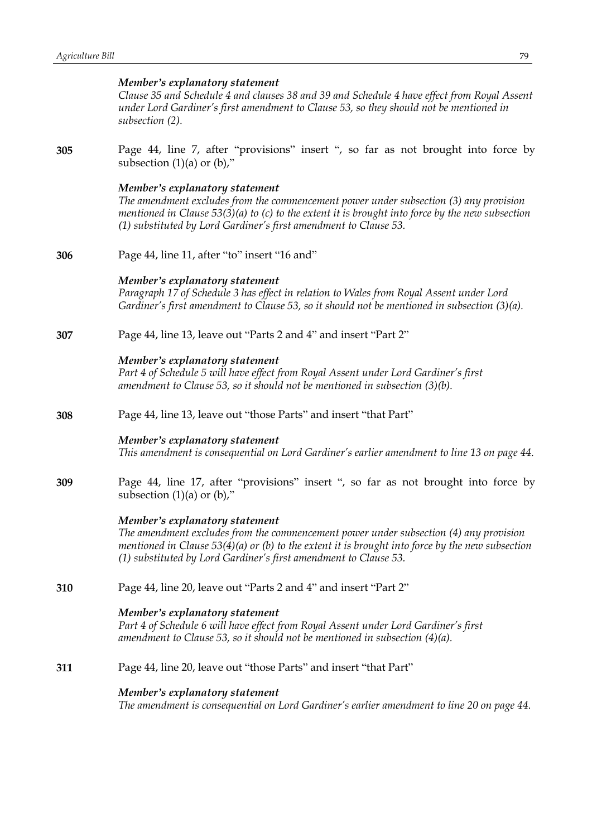|     | Member's explanatory statement<br>Clause 35 and Schedule 4 and clauses 38 and 39 and Schedule 4 have effect from Royal Assent<br>under Lord Gardiner's first amendment to Clause 53, so they should not be mentioned in<br>subsection (2).                                                        |
|-----|---------------------------------------------------------------------------------------------------------------------------------------------------------------------------------------------------------------------------------------------------------------------------------------------------|
| 305 | Page 44, line 7, after "provisions" insert ", so far as not brought into force by<br>subsection $(1)(a)$ or $(b)$ ,"                                                                                                                                                                              |
|     | Member's explanatory statement<br>The amendment excludes from the commencement power under subsection (3) any provision<br>mentioned in Clause $53(3)(a)$ to (c) to the extent it is brought into force by the new subsection<br>(1) substituted by Lord Gardiner's first amendment to Clause 53. |
| 306 | Page 44, line 11, after "to" insert "16 and"                                                                                                                                                                                                                                                      |
|     | Member's explanatory statement<br>Paragraph 17 of Schedule 3 has effect in relation to Wales from Royal Assent under Lord<br>Gardiner's first amendment to Clause 53, so it should not be mentioned in subsection (3)(a).                                                                         |
| 307 | Page 44, line 13, leave out "Parts 2 and 4" and insert "Part 2"                                                                                                                                                                                                                                   |
|     | Member's explanatory statement<br>Part 4 of Schedule 5 will have effect from Royal Assent under Lord Gardiner's first<br>amendment to Clause 53, so it should not be mentioned in subsection $(3)(b)$ .                                                                                           |
| 308 | Page 44, line 13, leave out "those Parts" and insert "that Part"                                                                                                                                                                                                                                  |
|     | Member's explanatory statement<br>This amendment is consequential on Lord Gardiner's earlier amendment to line 13 on page 44.                                                                                                                                                                     |
| 309 | Page 44, line 17, after "provisions" insert ", so far as not brought into force by<br>subsection $(1)(a)$ or $(b)$ ,"                                                                                                                                                                             |
|     | Member's explanatory statement<br>The amendment excludes from the commencement power under subsection (4) any provision<br>mentioned in Clause $53(4)(a)$ or (b) to the extent it is brought into force by the new subsection<br>(1) substituted by Lord Gardiner's first amendment to Clause 53. |
| 310 | Page 44, line 20, leave out "Parts 2 and 4" and insert "Part 2"                                                                                                                                                                                                                                   |
|     | Member's explanatory statement<br>Part 4 of Schedule 6 will have effect from Royal Assent under Lord Gardiner's first<br>amendment to Clause 53, so it should not be mentioned in subsection $(4)(a)$ .                                                                                           |
| 311 | Page 44, line 20, leave out "those Parts" and insert "that Part"                                                                                                                                                                                                                                  |
|     | Member's explanatory statement<br>The amendment is consequential on Lord Gardiner's earlier amendment to line 20 on page 44.                                                                                                                                                                      |